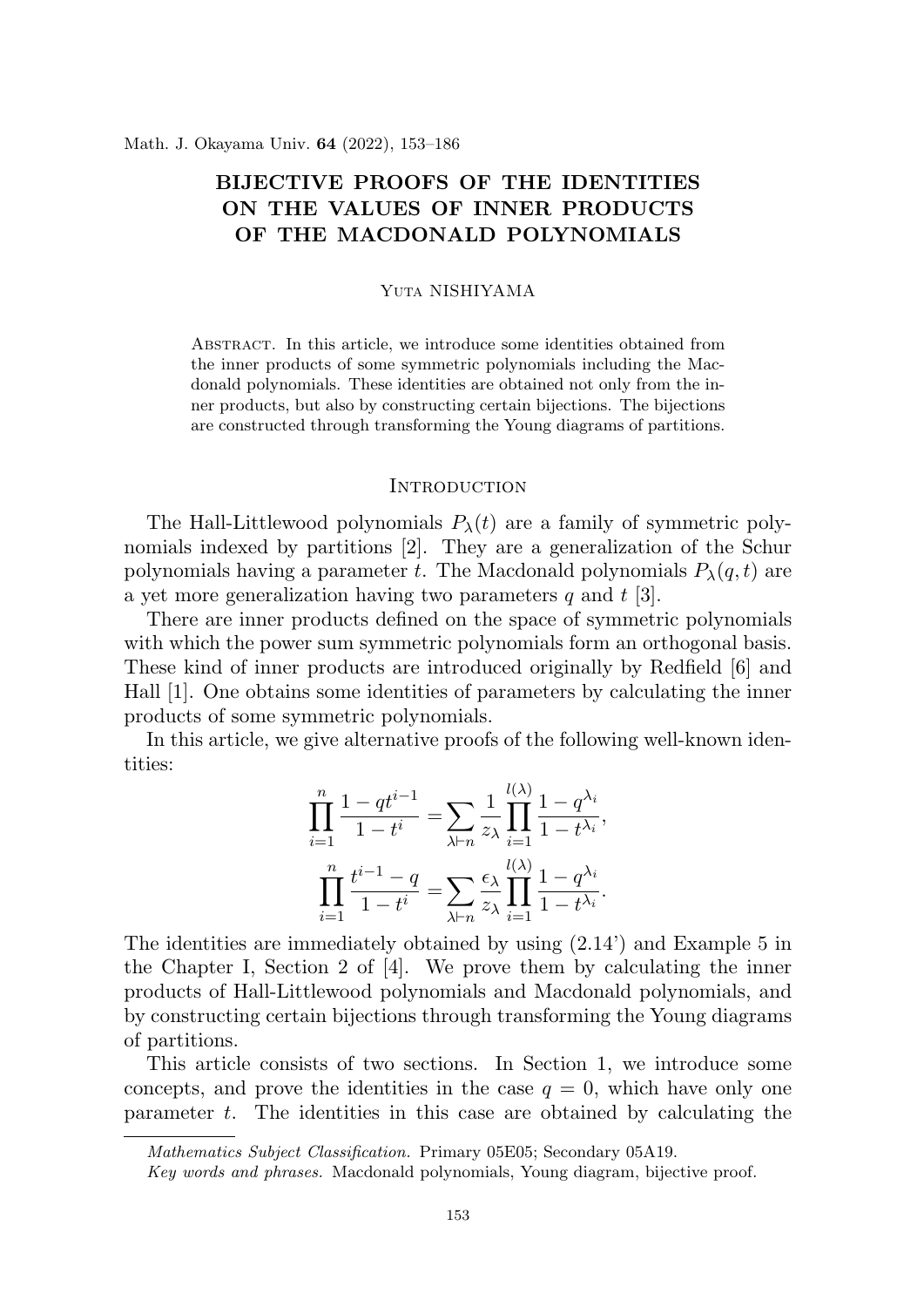# **BIJECTIVE PROOFS OF THE IDENTITIES ON THE VALUES OF INNER PRODUCTS OF THE MACDONALD POLYNOMIALS**

#### Yuta NISHIYAMA

Abstract. In this article, we introduce some identities obtained from the inner products of some symmetric polynomials including the Macdonald polynomials. These identities are obtained not only from the inner products, but also by constructing certain bijections. The bijections are constructed through transforming the Young diagrams of partitions.

## **INTRODUCTION**

The Hall-Littlewood polynomials  $P_{\lambda}(t)$  are a family of symmetric polynomials indexed by partitions [2]. They are a generalization of the Schur polynomials having a parameter *t*. The Macdonald polynomials  $P_{\lambda}(q, t)$  are a yet more generalization having two parameters *q* and *t* [3].

There are inner products defined on the space of symmetric polynomials with which the power sum symmetric polynomials form an orthogonal basis. These kind of inner products are introduced originally by Redfield [6] and Hall [1]. One obtains some identities of parameters by calculating the inner products of some symmetric polynomials.

In this article, we give alternative proofs of the following well-known identities:

$$
\prod_{i=1}^{n} \frac{1 - qt^{i-1}}{1 - t^{i}} = \sum_{\lambda \vdash n} \frac{1}{z_{\lambda}} \prod_{i=1}^{l(\lambda)} \frac{1 - q^{\lambda_i}}{1 - t^{\lambda_i}},
$$

$$
\prod_{i=1}^{n} \frac{t^{i-1} - q}{1 - t^{i}} = \sum_{\lambda \vdash n} \frac{\epsilon_{\lambda}}{z_{\lambda}} \prod_{i=1}^{l(\lambda)} \frac{1 - q^{\lambda_i}}{1 - t^{\lambda_i}}.
$$

The identities are immediately obtained by using (2.14') and Example 5 in the Chapter I, Section 2 of [4]. We prove them by calculating the inner products of Hall-Littlewood polynomials and Macdonald polynomials, and by constructing certain bijections through transforming the Young diagrams of partitions.

This article consists of two sections. In Section 1, we introduce some concepts, and prove the identities in the case  $q = 0$ , which have only one parameter *t*. The identities in this case are obtained by calculating the

*Mathematics Subject Classification.* Primary 05E05; Secondary 05A19.

*Key words and phrases.* Macdonald polynomials, Young diagram, bijective proof.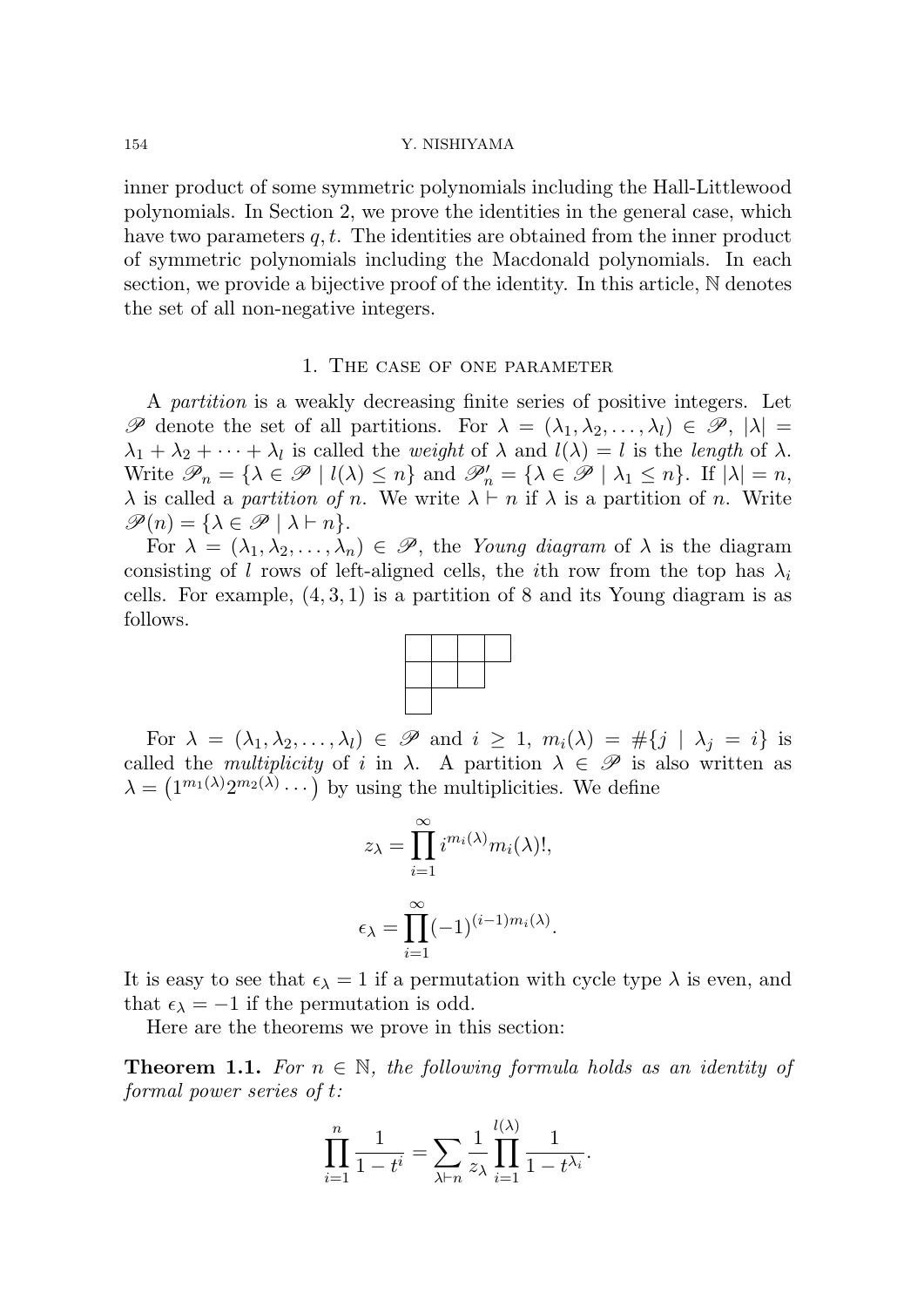154 Y. NISHIYAMA

inner product of some symmetric polynomials including the Hall-Littlewood polynomials. In Section 2, we prove the identities in the general case, which have two parameters *q, t*. The identities are obtained from the inner product of symmetric polynomials including the Macdonald polynomials. In each section, we provide a bijective proof of the identity. In this article, N denotes the set of all non-negative integers.

## 1. The case of one parameter

A *partition* is a weakly decreasing finite series of positive integers. Let *P* denote the set of all partitions. For  $\lambda = (\lambda_1, \lambda_2, \ldots, \lambda_l) \in \mathcal{P}, |\lambda| =$  $\lambda_1 + \lambda_2 + \cdots + \lambda_l$  is called the *weight* of  $\lambda$  and  $l(\lambda) = l$  is the *length* of  $\lambda$ . Write  $\mathscr{P}_n = \{ \lambda \in \mathscr{P} \mid l(\lambda) \leq n \}$  and  $\mathscr{P}'_n = \{ \lambda \in \mathscr{P} \mid \lambda_1 \leq n \}$ . If  $|\lambda| = n$ , *λ* is called a *partition of n*. We write  $λ ⊢ n$  if  $λ$  is a partition of *n*. Write  $\mathscr{P}(n) = {\lambda \in \mathscr{P} \mid \lambda \vdash n}.$ 

For  $\lambda = (\lambda_1, \lambda_2, \ldots, \lambda_n) \in \mathscr{P}$ , the *Young diagram* of  $\lambda$  is the diagram consisting of *l* rows of left-aligned cells, the *i*th row from the top has  $\lambda_i$ cells. For example, (4*,* 3*,* 1) is a partition of 8 and its Young diagram is as follows.



For  $\lambda = (\lambda_1, \lambda_2, \ldots, \lambda_l) \in \mathscr{P}$  and  $i \geq 1$ ,  $m_i(\lambda) = \#\{j \mid \lambda_j = i\}$  is called the *multiplicity* of *i* in  $\lambda$ . A partition  $\lambda \in \mathscr{P}$  is also written as  $\lambda = (1^{m_1(\lambda)} 2^{m_2(\lambda)} \cdots)$  by using the multiplicities. We define

$$
z_{\lambda} = \prod_{i=1}^{\infty} i^{m_i(\lambda)} m_i(\lambda)!,
$$
  

$$
\epsilon_{\lambda} = \prod_{i=1}^{\infty} (-1)^{(i-1)m_i(\lambda)}.
$$

It is easy to see that  $\epsilon_{\lambda} = 1$  if a permutation with cycle type  $\lambda$  is even, and that  $\epsilon_{\lambda} = -1$  if the permutation is odd.

Here are the theorems we prove in this section:

**Theorem 1.1.** For  $n \in \mathbb{N}$ , the following formula holds as an identity of *formal power series of t:*

$$
\prod_{i=1}^{n} \frac{1}{1-t^{i}} = \sum_{\lambda \vdash n} \frac{1}{z_{\lambda}} \prod_{i=1}^{l(\lambda)} \frac{1}{1-t^{\lambda_{i}}}.
$$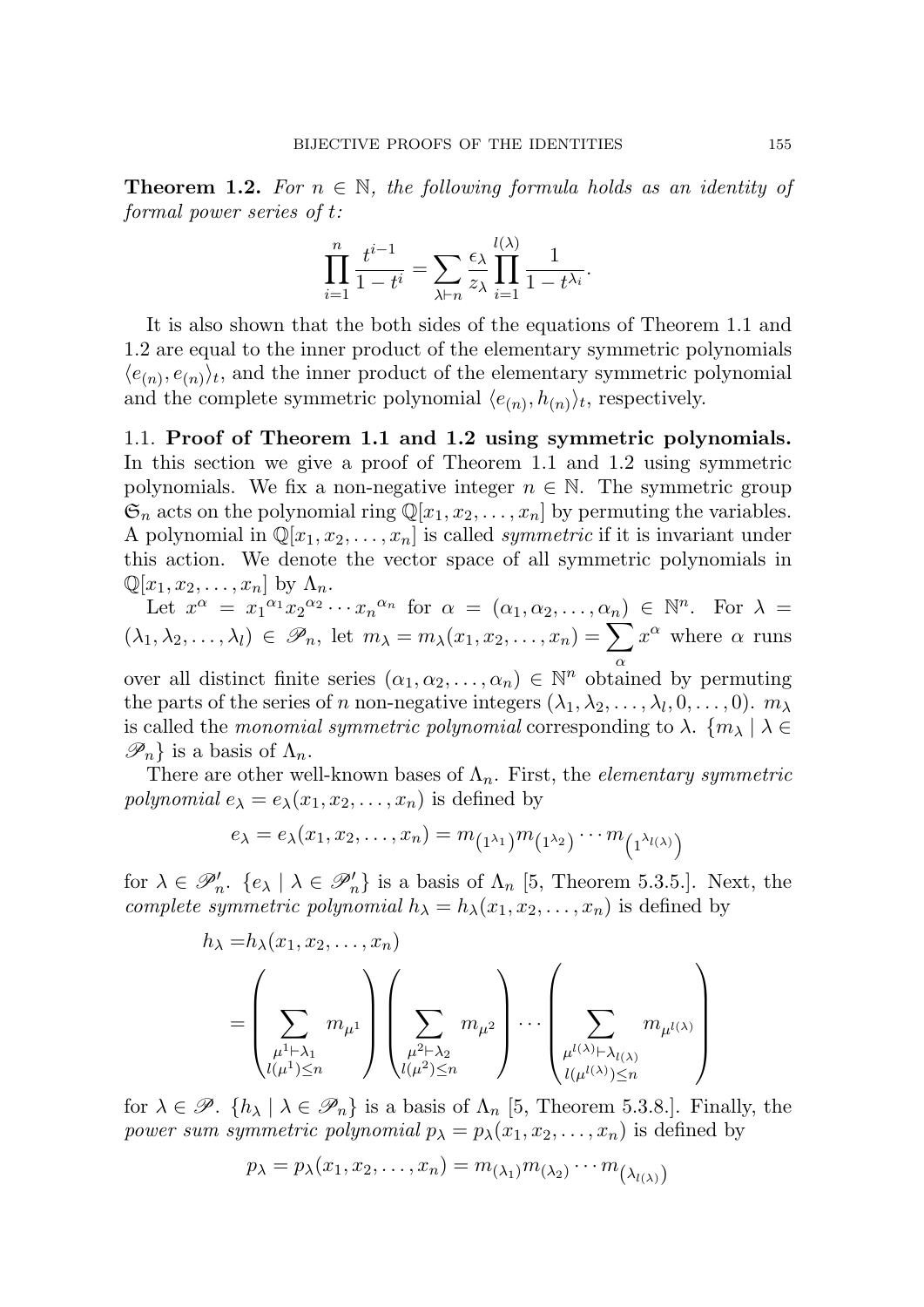**Theorem 1.2.** For  $n \in \mathbb{N}$ , the following formula holds as an identity of *formal power series of t:*

$$
\prod_{i=1}^{n} \frac{t^{i-1}}{1-t^{i}} = \sum_{\lambda \vdash n} \frac{\epsilon_{\lambda}}{z_{\lambda}} \prod_{i=1}^{l(\lambda)} \frac{1}{1-t^{\lambda_{i}}}.
$$

It is also shown that the both sides of the equations of Theorem 1.1 and 1.2 are equal to the inner product of the elementary symmetric polynomials  $\langle e_{(n)}, e_{(n)} \rangle_t$ , and the inner product of the elementary symmetric polynomial and the complete symmetric polynomial  $\langle e_{(n)}, h_{(n)} \rangle_t$ , respectively.

1.1. **Proof of Theorem 1.1 and 1.2 using symmetric polynomials.** In this section we give a proof of Theorem 1.1 and 1.2 using symmetric polynomials. We fix a non-negative integer  $n \in \mathbb{N}$ . The symmetric group  $\mathfrak{S}_n$  acts on the polynomial ring  $\mathbb{Q}[x_1, x_2, \ldots, x_n]$  by permuting the variables. A polynomial in  $\mathbb{Q}[x_1, x_2, \ldots, x_n]$  is called *symmetric* if it is invariant under this action. We denote the vector space of all symmetric polynomials in  $\mathbb{Q}[x_1, x_2, \ldots, x_n]$  by  $\Lambda_n$ .

Let  $x^{\alpha} = x_1^{\alpha_1} x_2^{\alpha_2} \cdots x_n^{\alpha_n}$  for  $\alpha = (\alpha_1, \alpha_2, \ldots, \alpha_n) \in \mathbb{N}^n$ . For  $\lambda =$  $(\lambda_1, \lambda_2, \ldots, \lambda_l) \in \mathscr{P}_n$ , let  $m_\lambda = m_\lambda(x_1, x_2, \ldots, x_n) = \sum_{i=1}^n \lambda_i$ *α*  $x^{\alpha}$  where  $\alpha$  runs over all distinct finite series  $(\alpha_1, \alpha_2, \ldots, \alpha_n) \in \mathbb{N}^n$  obtained by permuting the parts of the series of *n* non-negative integers  $(\lambda_1, \lambda_2, \ldots, \lambda_l, 0, \ldots, 0)$ .  $m_{\lambda}$ is called the *monomial symmetric polynomial* corresponding to  $\lambda$ .  $\{m_{\lambda} \mid \lambda \in$ 

 $\mathscr{P}_n$ } is a basis of  $\Lambda_n$ .

There are other well-known bases of  $\Lambda_n$ . First, the *elementary symmetric polynomial*  $e_{\lambda} = e_{\lambda}(x_1, x_2, \dots, x_n)$  is defined by

$$
e_{\lambda}=e_{\lambda}(x_1,x_2,\ldots,x_n)=m_{(1^{\lambda_1})}m_{(1^{\lambda_2})}\cdots m_{(1^{\lambda_{l(\lambda)}})}
$$

for  $\lambda \in \mathscr{P}'_n$ .  $\{e_\lambda \mid \lambda \in \mathscr{P}'_n\}$  is a basis of  $\Lambda_n$  [5, Theorem 5.3.5.]. Next, the *complete symmetric polynomial*  $h_{\lambda} = h_{\lambda}(x_1, x_2, \dots, x_n)$  is defined by

$$
h_{\lambda} = h_{\lambda}(x_1, x_2, \dots, x_n)
$$
  
= 
$$
\left(\sum_{\substack{\mu^{1} \vdash \lambda_1 \\ l(\mu^{1}) \le n}} m_{\mu^{1}}\right) \left(\sum_{\substack{\mu^{2} \vdash \lambda_2 \\ l(\mu^{2}) \le n}} m_{\mu^{2}}\right) \cdots \left(\sum_{\substack{\mu^{l(\lambda)} \vdash \lambda_{l(\lambda)} \\ l(\mu^{l(\lambda)}) \le n}} m_{\mu^{l(\lambda)}}\right)
$$

for  $\lambda \in \mathscr{P}$ .  $\{h_{\lambda} \mid \lambda \in \mathscr{P}_n\}$  is a basis of  $\Lambda_n$  [5, Theorem 5.3.8.]. Finally, the *power sum symmetric polynomial*  $p_{\lambda} = p_{\lambda}(x_1, x_2, \dots, x_n)$  is defined by

$$
p_{\lambda} = p_{\lambda}(x_1, x_2, \dots, x_n) = m_{(\lambda_1)} m_{(\lambda_2)} \cdots m_{(\lambda_{l(\lambda)})}
$$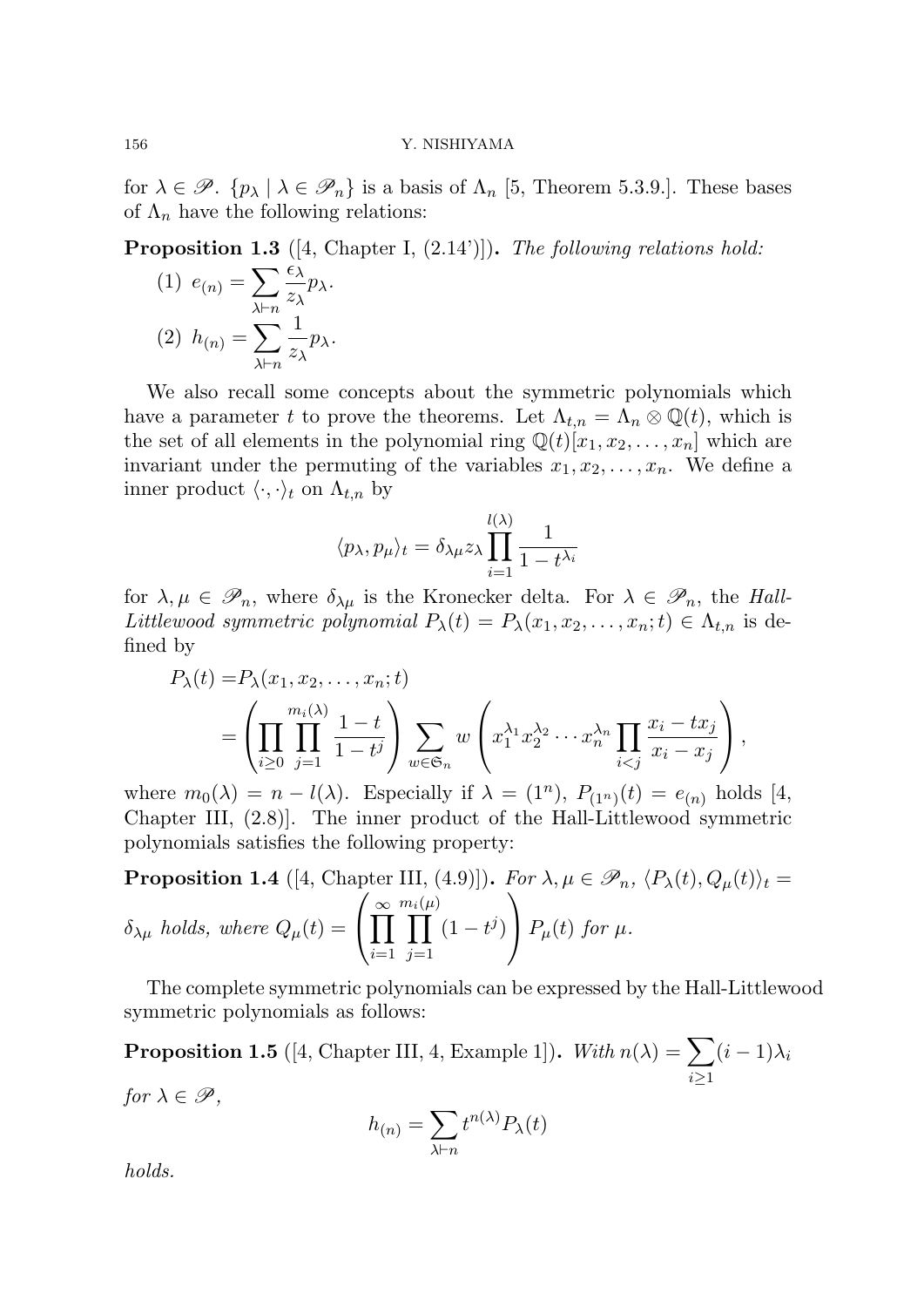## 156 Y. NISHIYAMA

for  $\lambda \in \mathscr{P}$ .  $\{p_{\lambda} \mid \lambda \in \mathscr{P}_n\}$  is a basis of  $\Lambda_n$  [5, Theorem 5.3.9.]. These bases of  $\Lambda_n$  have the following relations:

**Proposition 1.3** ([4, Chapter I, (2.14')])**.** *The following relations hold:*

(1) 
$$
e_{(n)} = \sum_{\lambda \vdash n} \frac{\epsilon_{\lambda}}{z_{\lambda}} p_{\lambda}.
$$
  
(2)  $h_{(n)} = \sum_{\lambda \vdash n} \frac{1}{z_{\lambda}} p_{\lambda}.$ 

We also recall some concepts about the symmetric polynomials which have a parameter *t* to prove the theorems. Let  $\Lambda_{t,n} = \Lambda_n \otimes \mathbb{Q}(t)$ , which is the set of all elements in the polynomial ring  $\mathbb{Q}(t)[x_1, x_2, \ldots, x_n]$  which are invariant under the permuting of the variables  $x_1, x_2, \ldots, x_n$ . We define a inner product  $\langle \cdot, \cdot \rangle_t$  on  $\Lambda_{t,n}$  by

$$
\langle p_{\lambda}, p_{\mu} \rangle_t = \delta_{\lambda \mu} z_{\lambda} \prod_{i=1}^{l(\lambda)} \frac{1}{1 - t^{\lambda_i}}
$$

for  $\lambda, \mu \in \mathscr{P}_n$ , where  $\delta_{\lambda\mu}$  is the Kronecker delta. For  $\lambda \in \mathscr{P}_n$ , the *Hall-Littlewood symmetric polynomial*  $P_{\lambda}(t) = P_{\lambda}(x_1, x_2, \ldots, x_n; t) \in \Lambda_{t,n}$  is defined by

$$
P_{\lambda}(t) = P_{\lambda}(x_1, x_2, \dots, x_n; t)
$$
  
= 
$$
\left(\prod_{i \geq 0} \prod_{j=1}^{m_i(\lambda)} \frac{1-t}{1-t^j}\right) \sum_{w \in \mathfrak{S}_n} w\left(x_1^{\lambda_1} x_2^{\lambda_2} \cdots x_n^{\lambda_n} \prod_{i < j} \frac{x_i - tx_j}{x_i - x_j}\right),
$$

where  $m_0(\lambda) = n - l(\lambda)$ . Especially if  $\lambda = (1^n)$ ,  $P_{(1^n)}(t) = e_{(n)}$  holds [4, Chapter III, (2.8)]. The inner product of the Hall-Littlewood symmetric polynomials satisfies the following property:

**Proposition 1.4** ([4, Chapter III, (4.9)]). For 
$$
\lambda, \mu \in \mathcal{P}_n
$$
,  $\langle P_{\lambda}(t), Q_{\mu}(t) \rangle_t = \delta_{\lambda\mu}$  holds, where  $Q_{\mu}(t) = \left(\prod_{i=1}^{\infty} \prod_{j=1}^{m_i(\mu)} (1-t^j)\right) P_{\mu}(t)$  for  $\mu$ .

The complete symmetric polynomials can be expressed by the Hall-Littlewood symmetric polynomials as follows:

**Proposition 1.5** ([4, Chapter III, 4, Example 1]). *With*  $n(\lambda) = \sum$ *i≥*1  $(i-1)\lambda_i$ *for*  $\lambda \in \mathscr{P}$ *,* 

$$
h_{(n)} = \sum_{\lambda \vdash n} t^{n(\lambda)} P_{\lambda}(t)
$$

*holds.*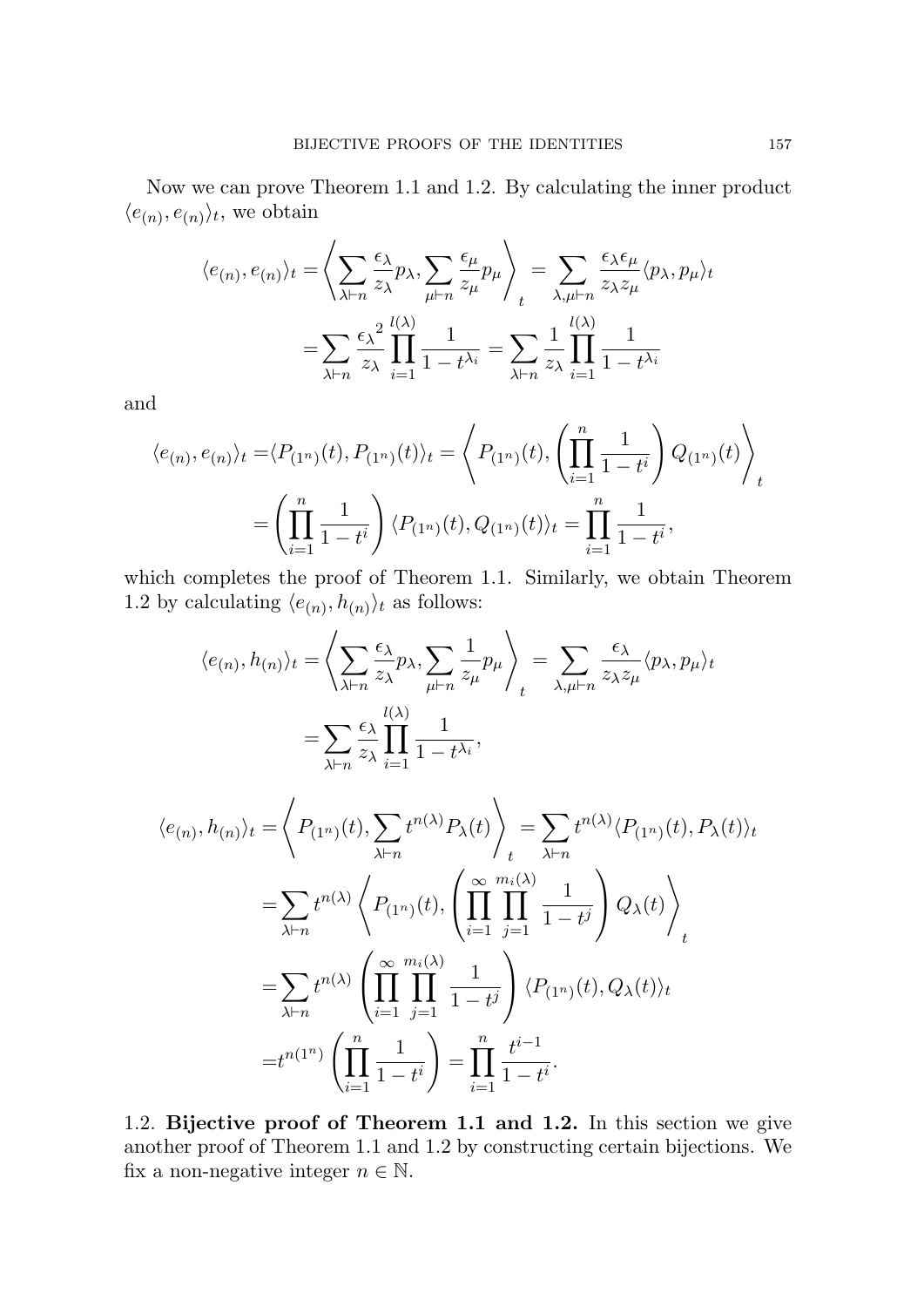Now we can prove Theorem 1.1 and 1.2. By calculating the inner product  $\langle e_{(n)}, e_{(n)} \rangle_t$ , we obtain

$$
\langle e_{(n)}, e_{(n)} \rangle_t = \left\langle \sum_{\lambda \vdash n} \frac{\epsilon_{\lambda}}{z_{\lambda}} p_{\lambda}, \sum_{\mu \vdash n} \frac{\epsilon_{\mu}}{z_{\mu}} p_{\mu} \right\rangle_t = \sum_{\lambda, \mu \vdash n} \frac{\epsilon_{\lambda} \epsilon_{\mu}}{z_{\lambda} z_{\mu}} \langle p_{\lambda}, p_{\mu} \rangle_t
$$

$$
= \sum_{\lambda \vdash n} \frac{\epsilon_{\lambda}^2}{z_{\lambda}} \prod_{i=1}^{l(\lambda)} \frac{1}{1 - t^{\lambda_i}} = \sum_{\lambda \vdash n} \frac{1}{z_{\lambda}} \prod_{i=1}^{l(\lambda)} \frac{1}{1 - t^{\lambda_i}}
$$

and

$$
\langle e_{(n)}, e_{(n)} \rangle_t = \langle P_{(1^n)}(t), P_{(1^n)}(t) \rangle_t = \left\langle P_{(1^n)}(t), \left( \prod_{i=1}^n \frac{1}{1-t^i} \right) Q_{(1^n)}(t) \right\rangle_t
$$

$$
= \left( \prod_{i=1}^n \frac{1}{1-t^i} \right) \langle P_{(1^n)}(t), Q_{(1^n)}(t) \rangle_t = \prod_{i=1}^n \frac{1}{1-t^i},
$$

which completes the proof of Theorem 1.1. Similarly, we obtain Theorem 1.2 by calculating  $\langle e_{(n)}, h_{(n)} \rangle_t$  as follows:

$$
\langle e_{(n)}, h_{(n)} \rangle_t = \left\langle \sum_{\lambda \vdash n} \frac{\epsilon_{\lambda}}{z_{\lambda}} p_{\lambda}, \sum_{\mu \vdash n} \frac{1}{z_{\mu}} p_{\mu} \right\rangle_t = \sum_{\lambda, \mu \vdash n} \frac{\epsilon_{\lambda}}{z_{\lambda} z_{\mu}} \langle p_{\lambda}, p_{\mu} \rangle_t
$$

$$
= \sum_{\lambda \vdash n} \frac{\epsilon_{\lambda}}{z_{\lambda}} \prod_{i=1}^{l(\lambda)} \frac{1}{1 - t^{\lambda_i}},
$$

$$
\langle e_{(n)}, h_{(n)} \rangle_t = \left\langle P_{(1^n)}(t), \sum_{\lambda \vdash n} t^{n(\lambda)} P_{\lambda}(t) \right\rangle_t = \sum_{\lambda \vdash n} t^{n(\lambda)} \langle P_{(1^n)}(t), P_{\lambda}(t) \rangle_t
$$

$$
= \sum_{\lambda \vdash n} t^{n(\lambda)} \left\langle P_{(1^n)}(t), \left( \prod_{i=1}^{\infty} \prod_{j=1}^{m_i(\lambda)} \frac{1}{1-t^j} \right) Q_{\lambda}(t) \right\rangle_t
$$

$$
= \sum_{\lambda \vdash n} t^{n(\lambda)} \left( \prod_{i=1}^{\infty} \prod_{j=1}^{m_i(\lambda)} \frac{1}{1-t^j} \right) \langle P_{(1^n)}(t), Q_{\lambda}(t) \rangle_t
$$

$$
= t^{n(1^n)} \left( \prod_{i=1}^n \frac{1}{1-t^i} \right) = \prod_{i=1}^n \frac{t^{i-1}}{1-t^i}.
$$

1.2. **Bijective proof of Theorem 1.1 and 1.2.** In this section we give another proof of Theorem 1.1 and 1.2 by constructing certain bijections. We fix a non-negative integer  $n \in \mathbb{N}$ .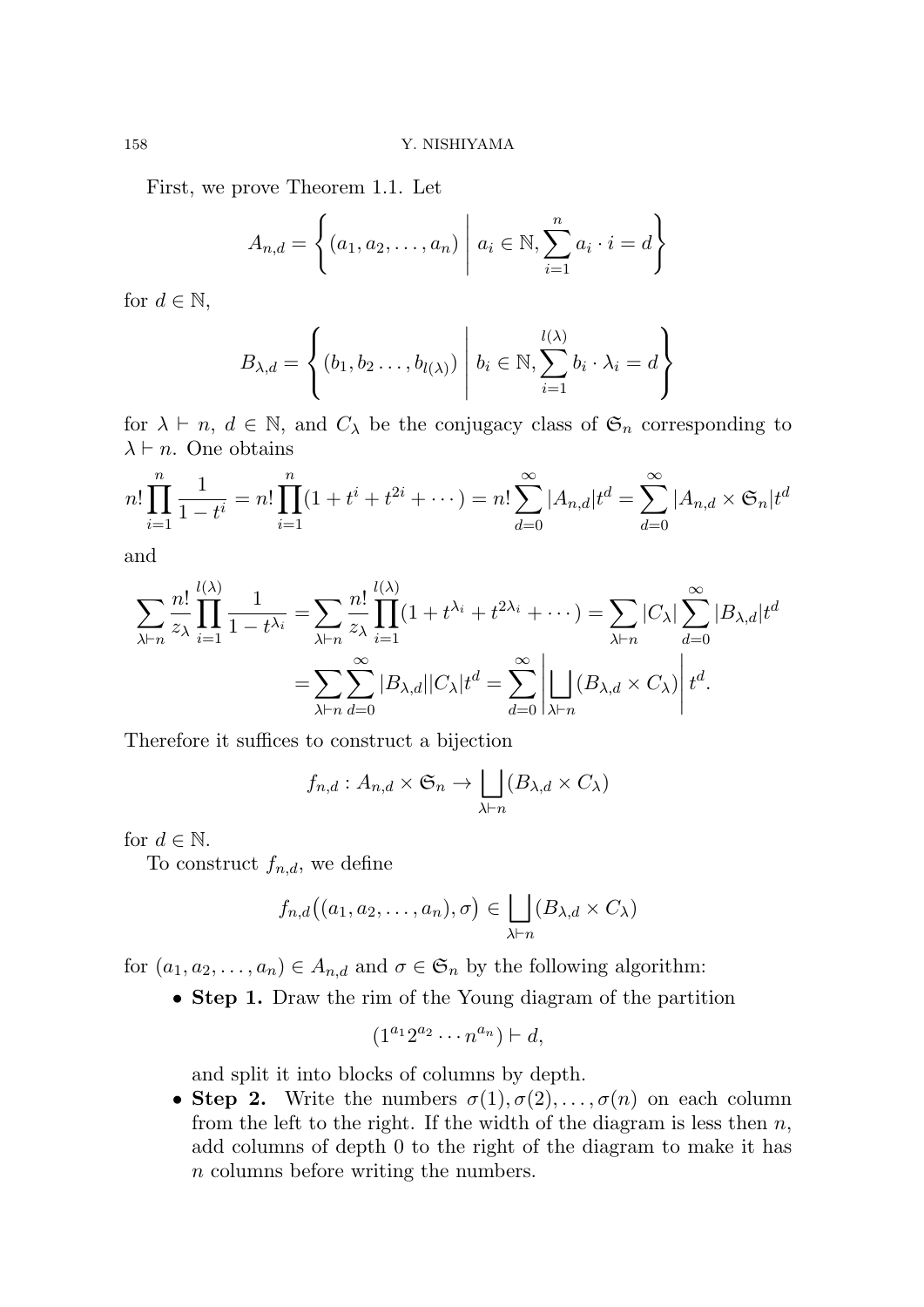First, we prove Theorem 1.1. Let

$$
A_{n,d} = \left\{ (a_1, a_2, ..., a_n) \middle| a_i \in \mathbb{N}, \sum_{i=1}^{n} a_i \cdot i = d \right\}
$$

for  $d \in \mathbb{N}$ ,

$$
B_{\lambda,d} = \left\{ (b_1, b_2 \dots, b_{l(\lambda)}) \middle| b_i \in \mathbb{N}, \sum_{i=1}^{l(\lambda)} b_i \cdot \lambda_i = d \right\}
$$

for  $\lambda \vdash n, d \in \mathbb{N}$ , and  $C_{\lambda}$  be the conjugacy class of  $\mathfrak{S}_n$  corresponding to  $\lambda \vdash n$ . One obtains

$$
n! \prod_{i=1}^{n} \frac{1}{1-t^{i}} = n! \prod_{i=1}^{n} (1+t^{i}+t^{2i}+\cdots) = n! \sum_{d=0}^{\infty} |A_{n,d}| t^{d} = \sum_{d=0}^{\infty} |A_{n,d} \times \mathfrak{S}_n| t^{d}
$$

and

$$
\sum_{\lambda \vdash n} \frac{n!}{z_{\lambda}} \prod_{i=1}^{l(\lambda)} \frac{1}{1-t^{\lambda_i}} = \sum_{\lambda \vdash n} \frac{n!}{z_{\lambda}} \prod_{i=1}^{l(\lambda)} (1+t^{\lambda_i}+t^{2\lambda_i}+\cdots) = \sum_{\lambda \vdash n} |C_{\lambda}| \sum_{d=0}^{\infty} |B_{\lambda,d}| t^d
$$

$$
= \sum_{\lambda \vdash n} \sum_{d=0}^{\infty} |B_{\lambda,d}| |C_{\lambda}| t^d = \sum_{d=0}^{\infty} \left| \bigcup_{\lambda \vdash n} (B_{\lambda,d} \times C_{\lambda}) \right| t^d.
$$

Therefore it suffices to construct a bijection

$$
f_{n,d}: A_{n,d} \times \mathfrak{S}_n \to \bigsqcup_{\lambda \vdash n} (B_{\lambda,d} \times C_{\lambda})
$$

for  $d \in \mathbb{N}$ .

To construct  $f_{n,d}$ , we define

$$
f_{n,d}((a_1,a_2,\ldots,a_n),\sigma) \in \bigsqcup_{\lambda \vdash n} (B_{\lambda,d} \times C_{\lambda})
$$

for  $(a_1, a_2, \ldots, a_n) \in A_{n,d}$  and  $\sigma \in \mathfrak{S}_n$  by the following algorithm:

*•* **Step 1.** Draw the rim of the Young diagram of the partition

$$
(1^{a_1}2^{a_2}\cdots n^{a_n})\vdash d,
$$

and split it into blocks of columns by depth.

• **Step 2.** Write the numbers  $\sigma(1), \sigma(2), \ldots, \sigma(n)$  on each column from the left to the right. If the width of the diagram is less then *n*, add columns of depth 0 to the right of the diagram to make it has *n* columns before writing the numbers.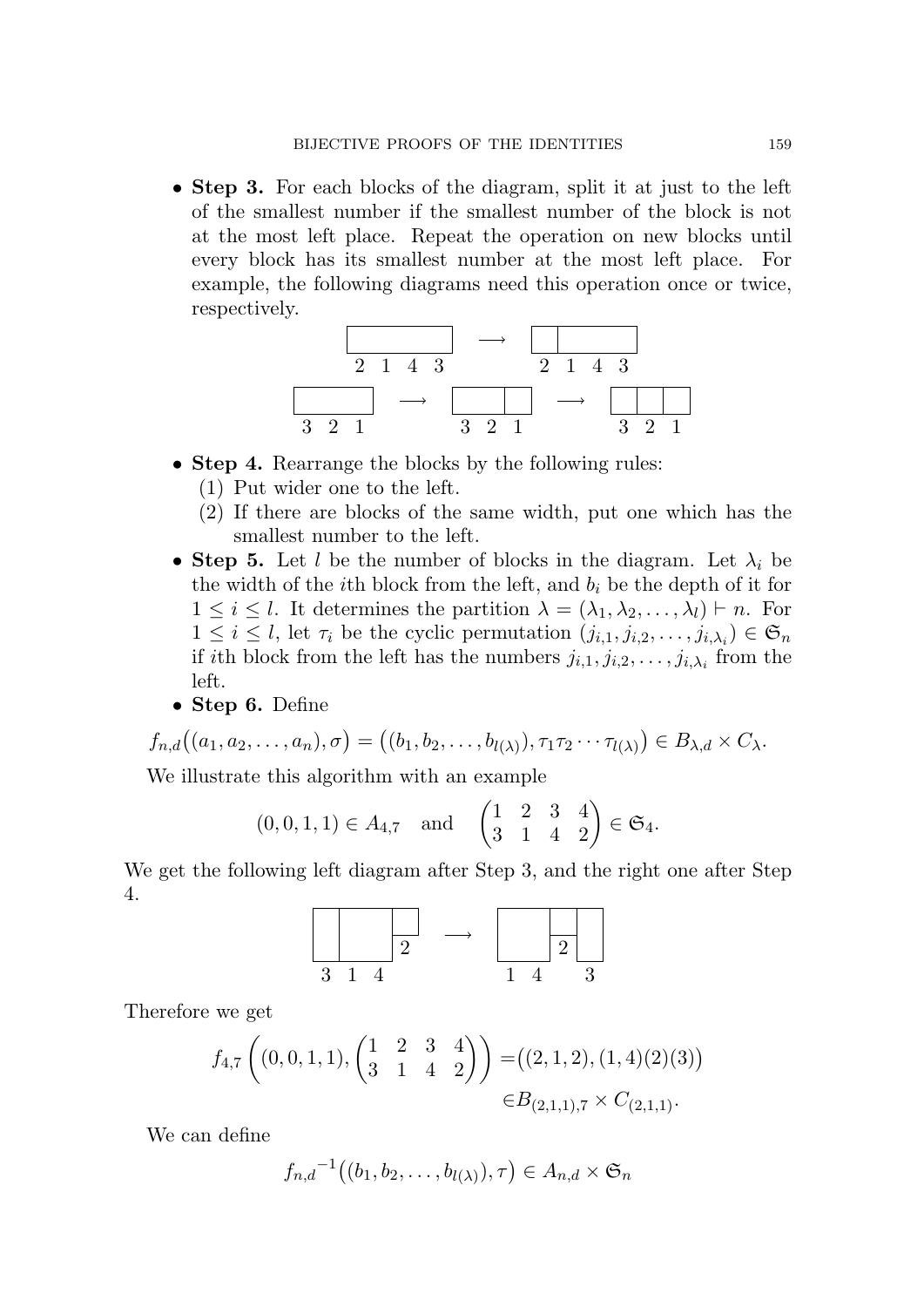*•* **Step 3.** For each blocks of the diagram, split it at just to the left of the smallest number if the smallest number of the block is not at the most left place. Repeat the operation on new blocks until every block has its smallest number at the most left place. For example, the following diagrams need this operation once or twice, respectively.



- *•* **Step 4.** Rearrange the blocks by the following rules:
	- (1) Put wider one to the left.
	- (2) If there are blocks of the same width, put one which has the smallest number to the left.
- **Step 5.** Let *l* be the number of blocks in the diagram. Let  $\lambda_i$  be the width of the *i*th block from the left, and  $b_i$  be the depth of it for  $1 \leq i \leq l$ . It determines the partition  $\lambda = (\lambda_1, \lambda_2, \dots, \lambda_l) \vdash n$ . For  $1 \leq i \leq l$ , let  $\tau_i$  be the cyclic permutation  $(j_{i,1}, j_{i,2}, \ldots, j_{i,\lambda_i}) \in \mathfrak{S}_n$ if *i*th block from the left has the numbers  $j_{i,1}, j_{i,2}, \ldots, j_{i,\lambda_i}$  from the left.
- *•* **Step 6.** Define

$$
f_{n,d}((a_1,a_2,\ldots,a_n),\sigma) = ((b_1,b_2,\ldots,b_{l(\lambda)}),\tau_1\tau_2\cdots\tau_{l(\lambda)}) \in B_{\lambda,d} \times C_{\lambda}.
$$

We illustrate this algorithm with an example

$$
(0,0,1,1) \in A_{4,7}
$$
 and  $\begin{pmatrix} 1 & 2 & 3 & 4 \\ 3 & 1 & 4 & 2 \end{pmatrix} \in \mathfrak{S}_4$ .

We get the following left diagram after Step 3, and the right one after Step 4.

$$
\begin{array}{c|c}\n\phantom{a|}\n\end{array}\n\longrightarrow\n\begin{array}{c|c}\n\phantom{a|}\n\end{array}\n\longrightarrow\n\begin{array}{c|c}\n\phantom{a|}\n\end{array}\n\longrightarrow\n\begin{array}{c|c}\n\phantom{a|}\n\end{array}
$$

Therefore we get

$$
f_{4,7}\left((0,0,1,1),\begin{pmatrix}1&2&3&4\\3&1&4&2\end{pmatrix}\right) = ((2,1,2),(1,4)(2)(3))
$$
  

$$
\in B_{(2,1,1),7} \times C_{(2,1,1)}.
$$

We can define

$$
f_{n,d}^{-1}((b_1,b_2,\ldots,b_{l(\lambda)}),\tau)\in A_{n,d}\times\mathfrak{S}_n
$$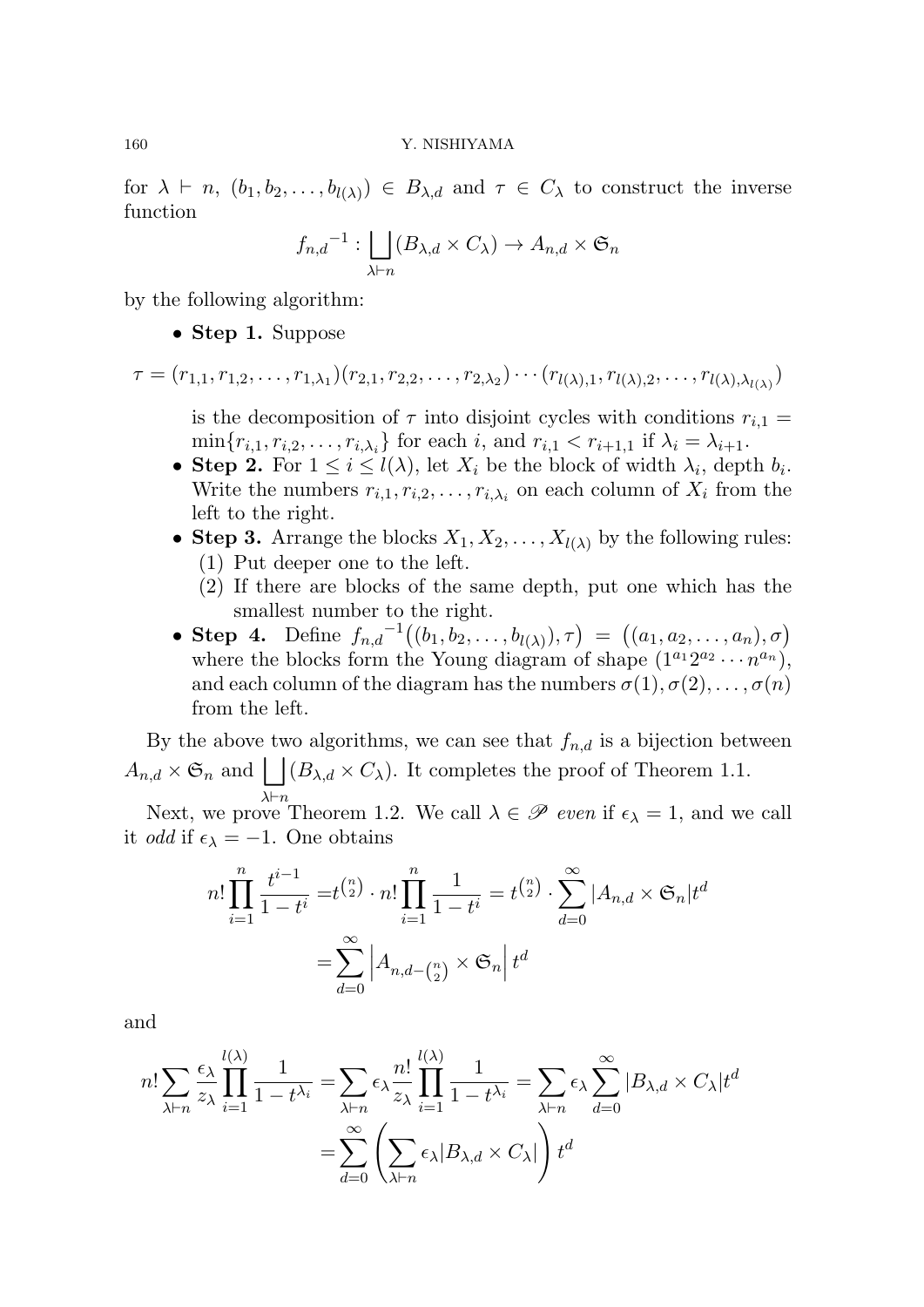$f$  *h*  $h$  *h*,  $(h_1, b_2, \ldots, b_{l(\lambda)}) \in B_{\lambda,d}$  and  $\tau \in C_{\lambda}$  to construct the inverse function

$$
f_{n,d}^{-1}: \bigsqcup_{\lambda \vdash n} (B_{\lambda,d} \times C_{\lambda}) \to A_{n,d} \times \mathfrak{S}_n
$$

by the following algorithm:

*•* **Step 1.** Suppose

$$
\tau = (r_{1,1}, r_{1,2}, \ldots, r_{1,\lambda_1})(r_{2,1}, r_{2,2}, \ldots, r_{2,\lambda_2}) \cdots (r_{l(\lambda),1}, r_{l(\lambda),2}, \ldots, r_{l(\lambda),\lambda_{l(\lambda)}})
$$

is the decomposition of  $\tau$  into disjoint cycles with conditions  $r_{i,1} =$  $\min\{r_{i,1}, r_{i,2}, \ldots, r_{i,\lambda_i}\}\$ for each *i*, and  $r_{i,1} < r_{i+1,1}$  if  $\lambda_i = \lambda_{i+1}$ .

- **Step 2.** For  $1 \leq i \leq l(\lambda)$ , let  $X_i$  be the block of width  $\lambda_i$ , depth  $b_i$ . Write the numbers  $r_{i,1}, r_{i,2}, \ldots, r_{i,\lambda_i}$  on each column of  $X_i$  from the left to the right.
- **Step 3.** Arrange the blocks  $X_1, X_2, \ldots, X_{l(\lambda)}$  by the following rules: (1) Put deeper one to the left.
	- (2) If there are blocks of the same depth, put one which has the smallest number to the right.
- **Step 4.** Define  $f_{n,d}^{-1}((b_1, b_2, \ldots, b_{l(\lambda)}), \tau) = ((a_1, a_2, \ldots, a_n), \sigma)$ where the blocks form the Young diagram of shape  $(1^{a_1}2^{a_2}\cdots n^{a_n})$ , and each column of the diagram has the numbers  $\sigma(1), \sigma(2), \ldots, \sigma(n)$ from the left.

By the above two algorithms, we can see that  $f_{n,d}$  is a bijection between  $A_{n,d} \times \mathfrak{S}_n$  and  $| \cdot | (B_{\lambda,d} \times C_{\lambda})$ . It completes the proof of Theorem 1.1. *λ⊢n*

Next, we prove Theorem 1.2. We call  $\lambda \in \mathscr{P}$  *even* if  $\epsilon_{\lambda} = 1$ , and we call it *odd* if  $\epsilon_{\lambda} = -1$ . One obtains

$$
n! \prod_{i=1}^{n} \frac{t^{i-1}}{1-t^i} = t^{\binom{n}{2}} \cdot n! \prod_{i=1}^{n} \frac{1}{1-t^i} = t^{\binom{n}{2}} \cdot \sum_{d=0}^{\infty} |A_{n,d} \times \mathfrak{S}_n| t^d
$$

$$
= \sum_{d=0}^{\infty} |A_{n,d-\binom{n}{2}} \times \mathfrak{S}_n| t^d
$$

and

$$
n! \sum_{\lambda \vdash n} \frac{\epsilon_{\lambda}}{z_{\lambda}} \prod_{i=1}^{l(\lambda)} \frac{1}{1 - t^{\lambda_i}} = \sum_{\lambda \vdash n} \epsilon_{\lambda} \frac{n!}{z_{\lambda}} \prod_{i=1}^{l(\lambda)} \frac{1}{1 - t^{\lambda_i}} = \sum_{\lambda \vdash n} \epsilon_{\lambda} \sum_{d=0}^{\infty} |B_{\lambda,d} \times C_{\lambda}| t^d
$$

$$
= \sum_{d=0}^{\infty} \left( \sum_{\lambda \vdash n} \epsilon_{\lambda} |B_{\lambda,d} \times C_{\lambda}| \right) t^d
$$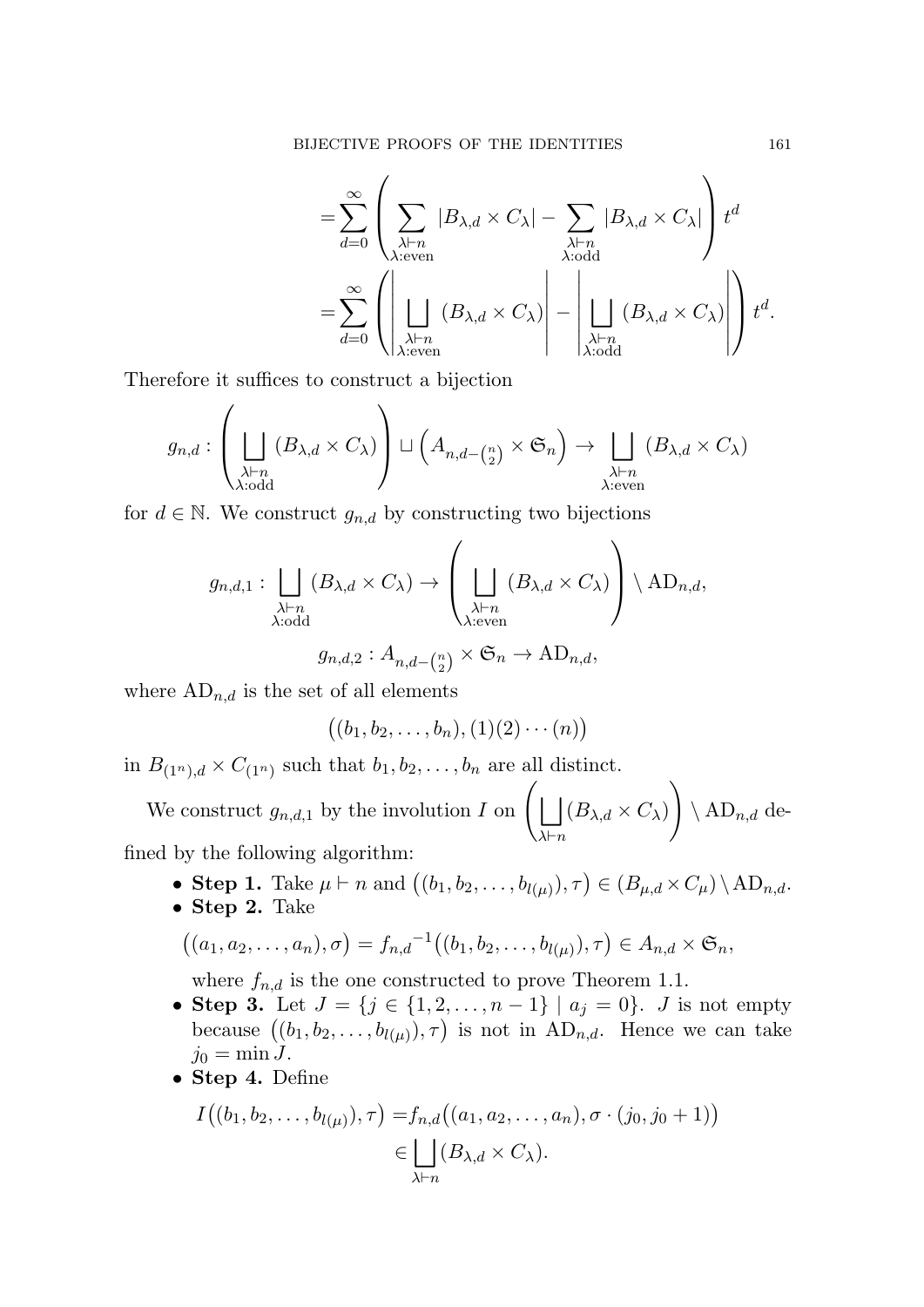$$
= \sum_{d=0}^{\infty} \left( \sum_{\substack{\lambda \vdash n \\ \lambda: \text{even}}} |B_{\lambda,d} \times C_{\lambda}| - \sum_{\substack{\lambda \vdash n \\ \lambda: \text{odd}}} |B_{\lambda,d} \times C_{\lambda}| \right) t^d
$$
  

$$
= \sum_{d=0}^{\infty} \left( \left| \bigsqcup_{\substack{\lambda \vdash n \\ \lambda: \text{even}}} (B_{\lambda,d} \times C_{\lambda}) \right| - \left| \bigsqcup_{\substack{\lambda \vdash n \\ \lambda: \text{odd}}} (B_{\lambda,d} \times C_{\lambda}) \right| \right) t^d.
$$

Therefore it suffices to construct a bijection

$$
g_{n,d} : \left( \bigsqcup_{\substack{\lambda \vdash n \\ \lambda : \text{odd}}} (B_{\lambda,d} \times C_{\lambda}) \right) \sqcup \left( A_{n,d-\binom{n}{2}} \times \mathfrak{S}_n \right) \to \bigsqcup_{\substack{\lambda \vdash n \\ \lambda : \text{even}}} (B_{\lambda,d} \times C_{\lambda})
$$

for  $d \in \mathbb{N}$ . We construct  $g_{n,d}$  by constructing two bijections

$$
g_{n,d,1} : \bigsqcup_{\substack{\lambda \vdash n \\ \lambda : \text{odd}}} (B_{\lambda,d} \times C_{\lambda}) \to \left(\bigsqcup_{\substack{\lambda \vdash n \\ \lambda : \text{even}}} (B_{\lambda,d} \times C_{\lambda})\right) \setminus \text{AD}_{n,d},
$$

$$
g_{n,d,2}:A_{n,d-\binom{n}{2}}\times\mathfrak{S}_n\to\mathrm{AD}_{n,d},
$$

where  $AD_{n,d}$  is the set of all elements

$$
((b_1,b_2,\ldots,b_n),(1)(2)\cdots(n))
$$

in  $B_{(1^n),d} \times C_{(1^n)}$  such that  $b_1, b_2, \ldots, b_n$  are all distinct.

We construct  $g_{n,d,1}$  by the involution *I* on  $\left( \begin{array}{c} | \end{array} \right)$ *λ⊢n*  $(B_{\lambda,d} \times C_{\lambda})$  $\setminus$  $\setminus$  AD<sub>*n,d*</sub> defined by the following algorithm:

- $\bullet$  **Step 1.** Take  $μ ⊢ n$  and  $((b_1, b_2, \ldots, b_{l(μ)}), τ) ∈ (B_{μ,d} × C_{μ}) \setminus AD_{n,d}$ .
- *•* **Step 2.** Take

$$
((a_1, a_2,..., a_n), \sigma) = f_{n,d}^{-1}((b_1, b_2,..., b_{l(\mu)}), \tau) \in A_{n,d} \times \mathfrak{S}_n,
$$

where  $f_{n,d}$  is the one constructed to prove Theorem 1.1.

- **Step 3.** Let *J* = {*j* ∈ {1, 2, . . . , *n* − 1} |  $a_j = 0$ }. *J* is not empty because  $((b_1, b_2, \ldots, b_{l(\mu)}), \tau)$  is not in  $AD_{n,d}$ . Hence we can take  $j_0 = \min J$ .
- *•* **Step 4.** Define

$$
I((b_1, b_2, \dots, b_{l(\mu)}), \tau) = f_{n,d}((a_1, a_2, \dots, a_n), \sigma \cdot (j_0, j_0 + 1))
$$
  

$$
\in \bigsqcup_{\lambda \vdash n} (B_{\lambda,d} \times C_{\lambda}).
$$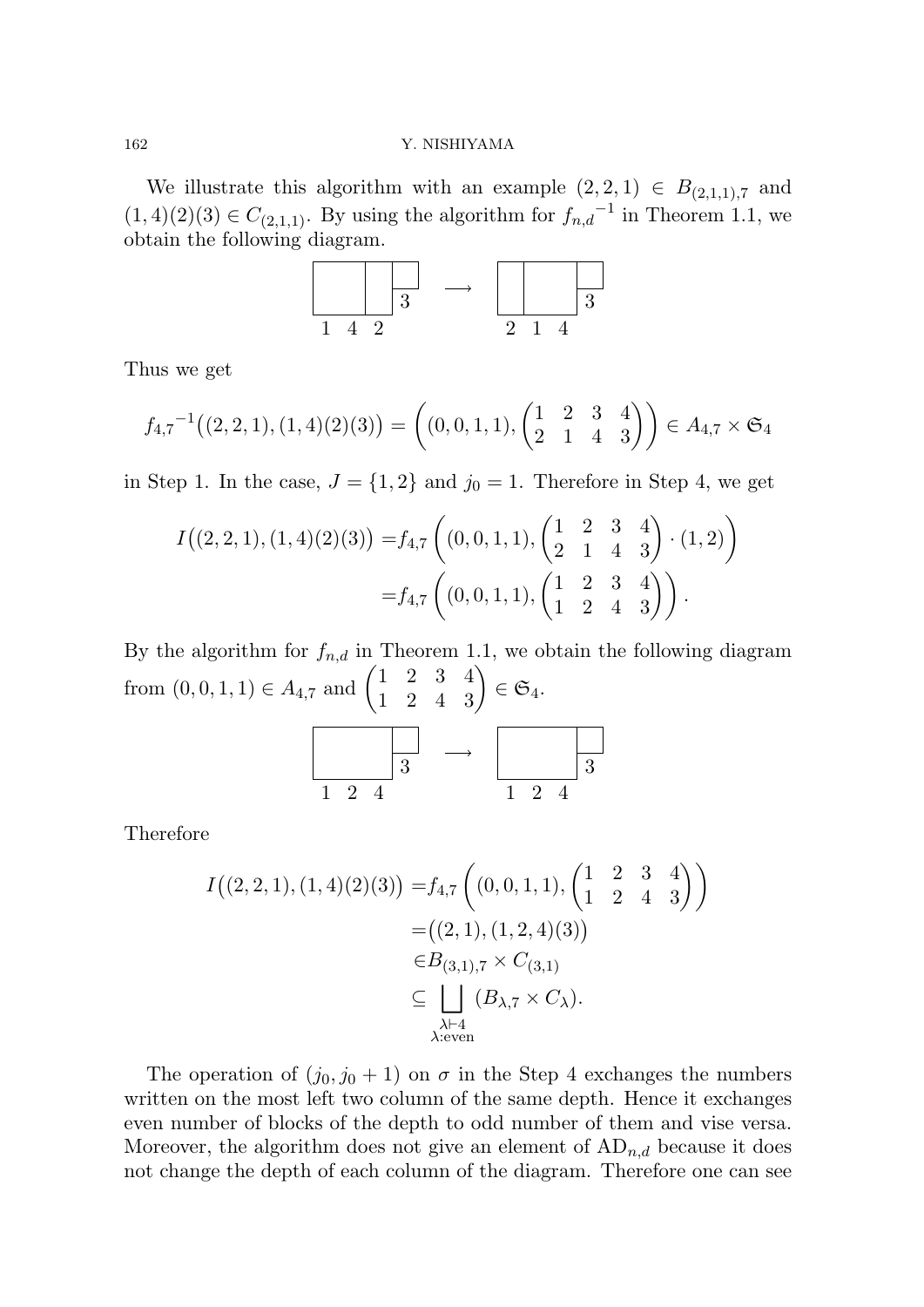We illustrate this algorithm with an example  $(2, 2, 1) \in B_{(2,1,1),7}$  and  $(1, 4)(2)(3) \in C_{(2,1,1)}$ . By using the algorithm for  $f_{n,d}^{-1}$  in Theorem 1.1, we obtain the following diagram.



Thus we get

$$
f_{4,7}^{-1}((2,2,1),(1,4)(2)(3)) = ((0,0,1,1),\begin{pmatrix} 1 & 2 & 3 & 4 \\ 2 & 1 & 4 & 3 \end{pmatrix}) \in A_{4,7} \times \mathfrak{S}_4
$$

in Step 1. In the case,  $J = \{1, 2\}$  and  $j_0 = 1$ . Therefore in Step 4, we get

$$
I((2,2,1),(1,4)(2)(3)) = f_{4,7}\left((0,0,1,1),\begin{pmatrix} 1 & 2 & 3 & 4 \\ 2 & 1 & 4 & 3 \end{pmatrix} \cdot (1,2)\right)
$$
  
= f\_{4,7}\left((0,0,1,1),\begin{pmatrix} 1 & 2 & 3 & 4 \\ 1 & 2 & 4 & 3 \end{pmatrix}\right).

By the algorithm for  $f_{n,d}$  in Theorem 1.1, we obtain the following diagram from  $(0, 0, 1, 1) \in A_{4,7}$  and  $\begin{pmatrix} 1 & 2 & 3 & 4 \\ 1 & 2 & 4 & 3 \end{pmatrix} \in \mathfrak{S}_4$ .



Therefore

$$
I((2,2,1),(1,4)(2)(3)) = f_{4,7}\left((0,0,1,1),\begin{pmatrix} 1 & 2 & 3 & 4\\ 1 & 2 & 4 & 3 \end{pmatrix}\right)
$$
  
= ((2,1),(1,2,4)(3))  

$$
\in B_{(3,1),7} \times C_{(3,1)}
$$
  

$$
\subseteq \bigsqcup_{\substack{\lambda \vdash 4\\ \lambda: \text{even}}} (B_{\lambda,7} \times C_{\lambda}).
$$

The operation of  $(j_0, j_0 + 1)$  on  $\sigma$  in the Step 4 exchanges the numbers written on the most left two column of the same depth. Hence it exchanges even number of blocks of the depth to odd number of them and vise versa. Moreover, the algorithm does not give an element of  $AD_{n,d}$  because it does not change the depth of each column of the diagram. Therefore one can see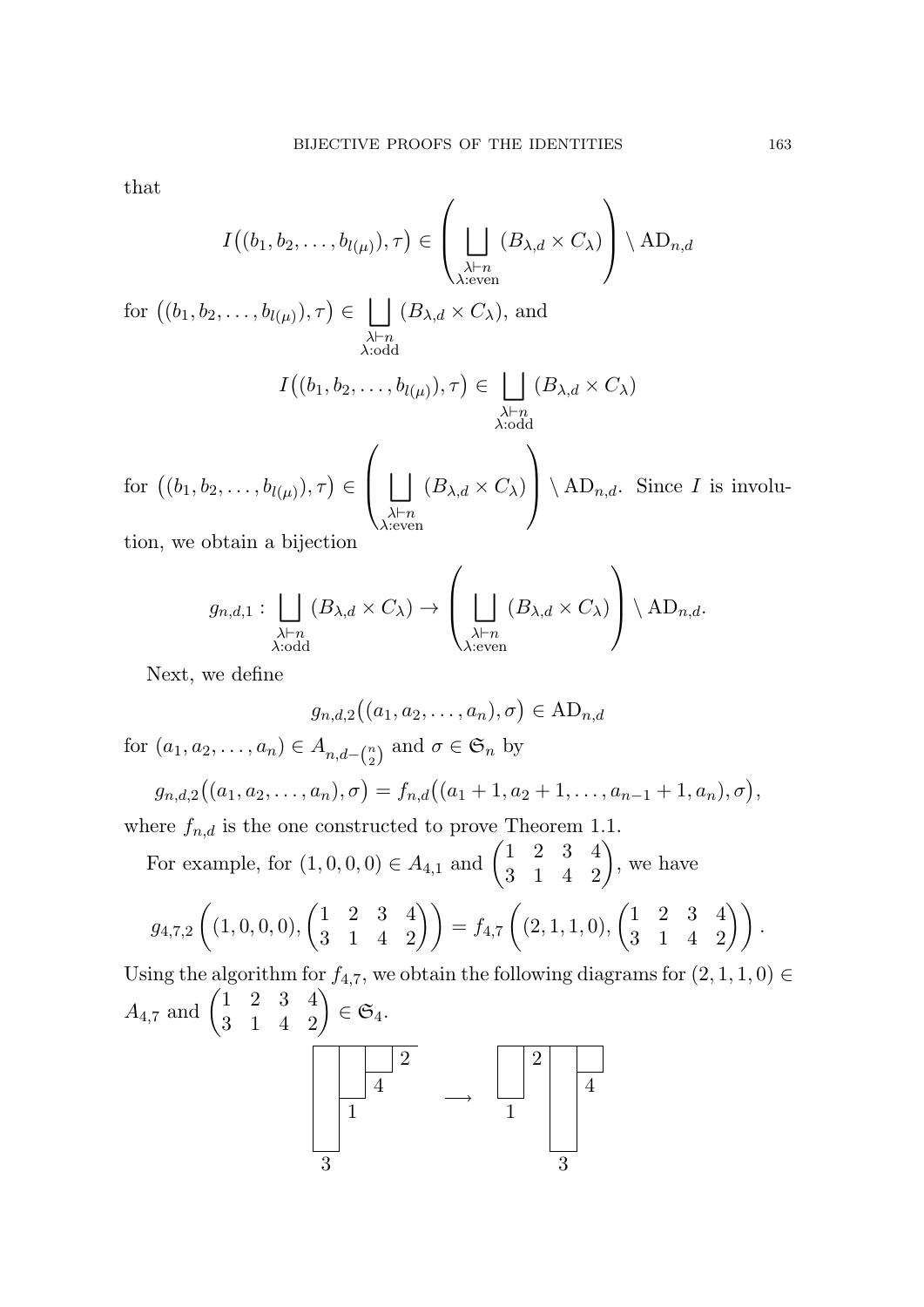that

$$
I((b_1, b_2, \ldots, b_{l(\mu)}), \tau) \in \left(\bigsqcup_{\substack{\lambda \vdash n \\ \lambda : \text{even}}} (B_{\lambda, d} \times C_{\lambda})\right) \setminus \text{AD}_{n, d}
$$

 $\text{for } ((b_1, b_2, \ldots, b_{l(\mu)}), \tau) \in \Box$ *λ⊢n λ*:odd  $(B_{\lambda,d} \times C_{\lambda})$ , and

$$
I\big((b_1, b_2, \dots, b_{l(\mu)}), \tau\big) \in \bigsqcup_{\substack{\lambda \vdash n \\ \lambda : \text{odd}}} (B_{\lambda, d} \times C_{\lambda})
$$

 $\text{for } ((b_1, b_2, \ldots, b_{l(\mu)}), \tau) \in$  $\sqrt{ }$  $\bigcup_{\lambda \vdash r}$ *λ⊢n λ*:even  $(B_{\lambda,d} \times C_{\lambda})$  $\setminus$  $\bigcap \{AD_{n,d}$ . Since *I* is involu-

tion, we obtain a bijection

$$
g_{n,d,1} : \bigsqcup_{\substack{\lambda \vdash n \\ \lambda : \text{odd}}} (B_{\lambda,d} \times C_{\lambda}) \to \left(\bigsqcup_{\substack{\lambda \vdash n \\ \lambda : \text{even}}} (B_{\lambda,d} \times C_{\lambda})\right) \setminus \text{AD}_{n,d}.
$$

Next, we define

$$
g_{n,d,2}((a_1,a_2,\ldots,a_n),\sigma) \in \mathrm{AD}_{n,d}
$$

for  $(a_1, a_2, \ldots, a_n) \in A_{n, d - \binom{n}{2}}$  $\binom{n}{2}$  and  $\sigma \in \mathfrak{S}_n$  by

$$
g_{n,d,2}((a_1,a_2,\ldots,a_n),\sigma)=f_{n,d}((a_1+1,a_2+1,\ldots,a_{n-1}+1,a_n),\sigma),
$$

where  $f_{n,d}$  is the one constructed to prove Theorem 1.1.

For example, for  $(1, 0, 0, 0) \in A_{4,1}$  and  $\begin{pmatrix} 1 & 2 & 3 & 4 \\ 3 & 1 & 4 & 2 \end{pmatrix}$ , we have

$$
g_{4,7,2}\left((1,0,0,0),\begin{pmatrix}1&2&3&4\\3&1&4&2\end{pmatrix}\right)=f_{4,7}\left((2,1,1,0),\begin{pmatrix}1&2&3&4\\3&1&4&2\end{pmatrix}\right).
$$

Using the algorithm for  $f_{4,7}$ , we obtain the following diagrams for  $(2, 1, 1, 0) \in$  $A_{4,7} \text{ and } \begin{pmatrix} 1 & 2 & 3 & 4 \ 3 & 1 & 4 & 2 \end{pmatrix} \in \mathfrak{S}_4.$ 

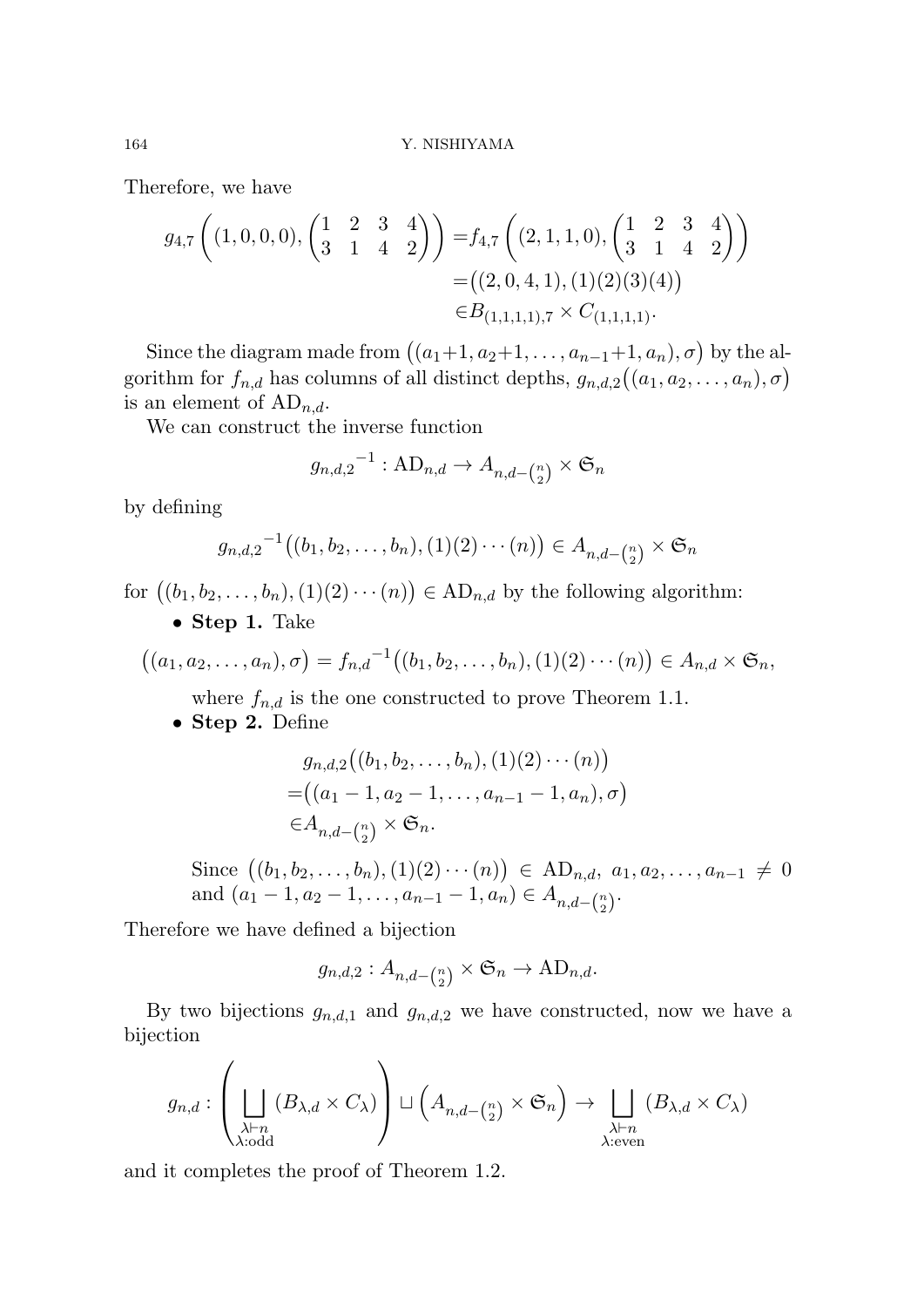Therefore, we have

$$
g_{4,7}\left((1,0,0,0),\begin{pmatrix}1&2&3&4\\3&1&4&2\end{pmatrix}\right) = f_{4,7}\left((2,1,1,0),\begin{pmatrix}1&2&3&4\\3&1&4&2\end{pmatrix}\right)
$$
  
=  $((2,0,4,1),(1)(2)(3)(4))$   
 $\in B_{(1,1,1,1),7} \times C_{(1,1,1,1)}.$ 

Since the diagram made from  $((a_1+1, a_2+1, \ldots, a_{n-1}+1, a_n), \sigma)$  by the algorithm for  $f_{n,d}$  has columns of all distinct depths,  $g_{n,d,2}((a_1, a_2, \ldots, a_n), \sigma)$ is an element of  $AD_{n,d}$ .

We can construct the inverse function

$$
g_{n,d,2}^{-1} : \mathbf{AD}_{n,d} \to A_{n,d - \binom{n}{2}} \times \mathfrak{S}_n
$$

by defining

$$
g_{n,d,2}^{-1}((b_1, b_2, \ldots, b_n), (1)(2) \cdots (n)) \in A_{n,d - {n \choose 2}} \times \mathfrak{S}_n
$$

for  $((b_1, b_2, \ldots, b_n), (1)(2) \cdots (n)) \in \mathrm{AD}_{n,d}$  by the following algorithm:

*•* **Step 1.** Take

$$
((a_1, a_2,..., a_n), \sigma) = f_{n,d}^{-1}((b_1, b_2,..., b_n), (1)(2) \cdots (n)) \in A_{n,d} \times \mathfrak{S}_n,
$$

where  $f_{n,d}$  is the one constructed to prove Theorem 1.1.

*•* **Step 2.** Define

$$
g_{n,d,2}((b_1, b_2, \dots, b_n), (1)(2) \cdots (n))
$$
  
=  $((a_1 - 1, a_2 - 1, \dots, a_{n-1} - 1, a_n), \sigma)$   
 $\in A_{n,d-(\frac{n}{2})} \times \mathfrak{S}_n.$ 

Since  $((b_1, b_2, \ldots, b_n), (1)(2) \cdots (n))$  ∈ AD<sub>*n,d*</sub>, *a*<sub>1</sub>*, a*<sub>2</sub>*,...,a*<sub>*n*−1</sub> ≠ 0 and  $(a_1 - 1, a_2 - 1, \ldots, a_{n-1} - 1, a_n) \in A_{n,d-(\frac{n}{2})}$  $\binom{n}{2}$ .

Therefore we have defined a bijection

$$
g_{n,d,2}: A_{n,d-\binom{n}{2}} \times \mathfrak{S}_n \to \mathrm{AD}_{n,d}.
$$

By two bijections  $g_{n,d,1}$  and  $g_{n,d,2}$  we have constructed, now we have a bijection

$$
g_{n,d} : \left( \bigsqcup_{\substack{\lambda \vdash n \\ \lambda : \text{odd}}} (B_{\lambda,d} \times C_{\lambda}) \right) \sqcup \left( A_{n,d - \binom{n}{2}} \times \mathfrak{S}_n \right) \to \bigsqcup_{\substack{\lambda \vdash n \\ \lambda : \text{even}}} (B_{\lambda,d} \times C_{\lambda})
$$

and it completes the proof of Theorem 1.2.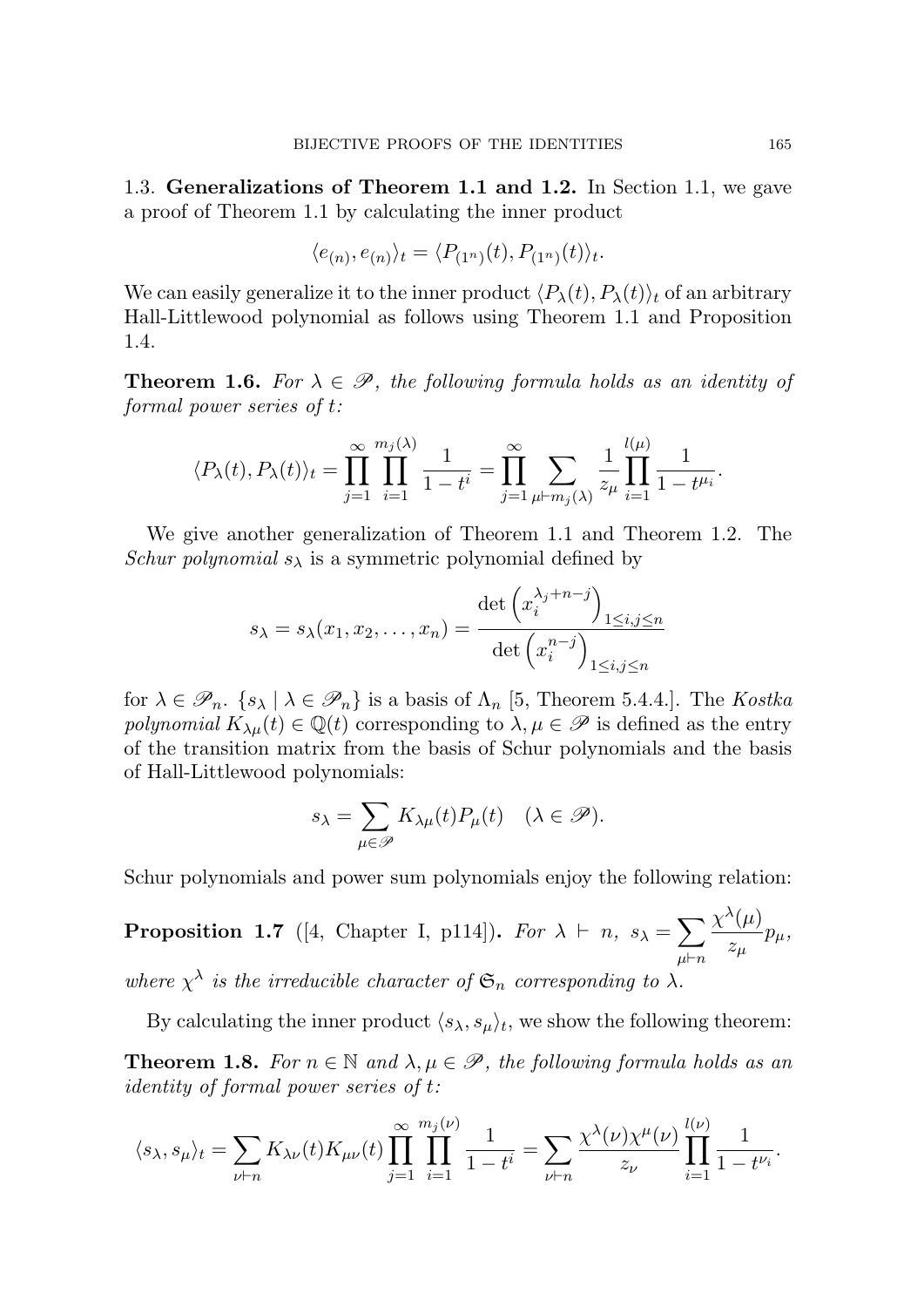1.3. **Generalizations of Theorem 1.1 and 1.2.** In Section 1.1, we gave a proof of Theorem 1.1 by calculating the inner product

$$
\langle e_{(n)}, e_{(n)} \rangle_t = \langle P_{(1^n)}(t), P_{(1^n)}(t) \rangle_t.
$$

We can easily generalize it to the inner product  $\langle P_{\lambda}(t), P_{\lambda}(t) \rangle_t$  of an arbitrary Hall-Littlewood polynomial as follows using Theorem 1.1 and Proposition 1.4.

**Theorem 1.6.** *For*  $\lambda \in \mathcal{P}$ *, the following formula holds as an identity of formal power series of t:*

$$
\langle P_{\lambda}(t), P_{\lambda}(t) \rangle_{t} = \prod_{j=1}^{\infty} \prod_{i=1}^{m_{j}(\lambda)} \frac{1}{1-t^{i}} = \prod_{j=1}^{\infty} \sum_{\mu \vdash m_{j}(\lambda)} \frac{1}{z_{\mu}} \prod_{i=1}^{l(\mu)} \frac{1}{1-t^{\mu_{i}}}.
$$

We give another generalization of Theorem 1.1 and Theorem 1.2. The *Schur polynomial*  $s_{\lambda}$  is a symmetric polynomial defined by

$$
s_{\lambda} = s_{\lambda}(x_1, x_2, \dots, x_n) = \frac{\det \left(x_i^{\lambda_j + n - j}\right)_{1 \le i, j \le n}}{\det \left(x_i^{n-j}\right)_{1 \le i, j \le n}}
$$

for  $\lambda \in \mathscr{P}_n$ .  $\{s_\lambda \mid \lambda \in \mathscr{P}_n\}$  is a basis of  $\Lambda_n$  [5, Theorem 5.4.4.]. The *Kostka polynomial*  $K_{\lambda\mu}(t) \in \mathbb{Q}(t)$  corresponding to  $\lambda, \mu \in \mathscr{P}$  is defined as the entry of the transition matrix from the basis of Schur polynomials and the basis of Hall-Littlewood polynomials:

$$
s_{\lambda} = \sum_{\mu \in \mathscr{P}} K_{\lambda \mu}(t) P_{\mu}(t) \quad (\lambda \in \mathscr{P}).
$$

Schur polynomials and power sum polynomials enjoy the following relation:

**Proposition 1.7** ([4, Chapter I, p114]). *For*  $\lambda \vdash n$ ,  $s_{\lambda} = \sum$ *µ⊢n*  $\chi^{\lambda}(\mu)$ *zµ pµ,* where  $\chi^{\lambda}$  is the irreducible character of  $\mathfrak{S}_n$  corresponding to  $\lambda$ .

By calculating the inner product  $\langle s_{\lambda}, s_{\mu} \rangle_t$ , we show the following theorem:

**Theorem 1.8.** *For*  $n \in \mathbb{N}$  *and*  $\lambda, \mu \in \mathcal{P}$ *, the following formula holds as an identity of formal power series of t:*

$$
\langle s_{\lambda}, s_{\mu} \rangle_t = \sum_{\nu \vdash n} K_{\lambda \nu}(t) K_{\mu \nu}(t) \prod_{j=1}^{\infty} \prod_{i=1}^{m_j(\nu)} \frac{1}{1-t^i} = \sum_{\nu \vdash n} \frac{\chi^{\lambda}(\nu) \chi^{\mu}(\nu)}{z_{\nu}} \prod_{i=1}^{l(\nu)} \frac{1}{1-t^{\nu_i}}.
$$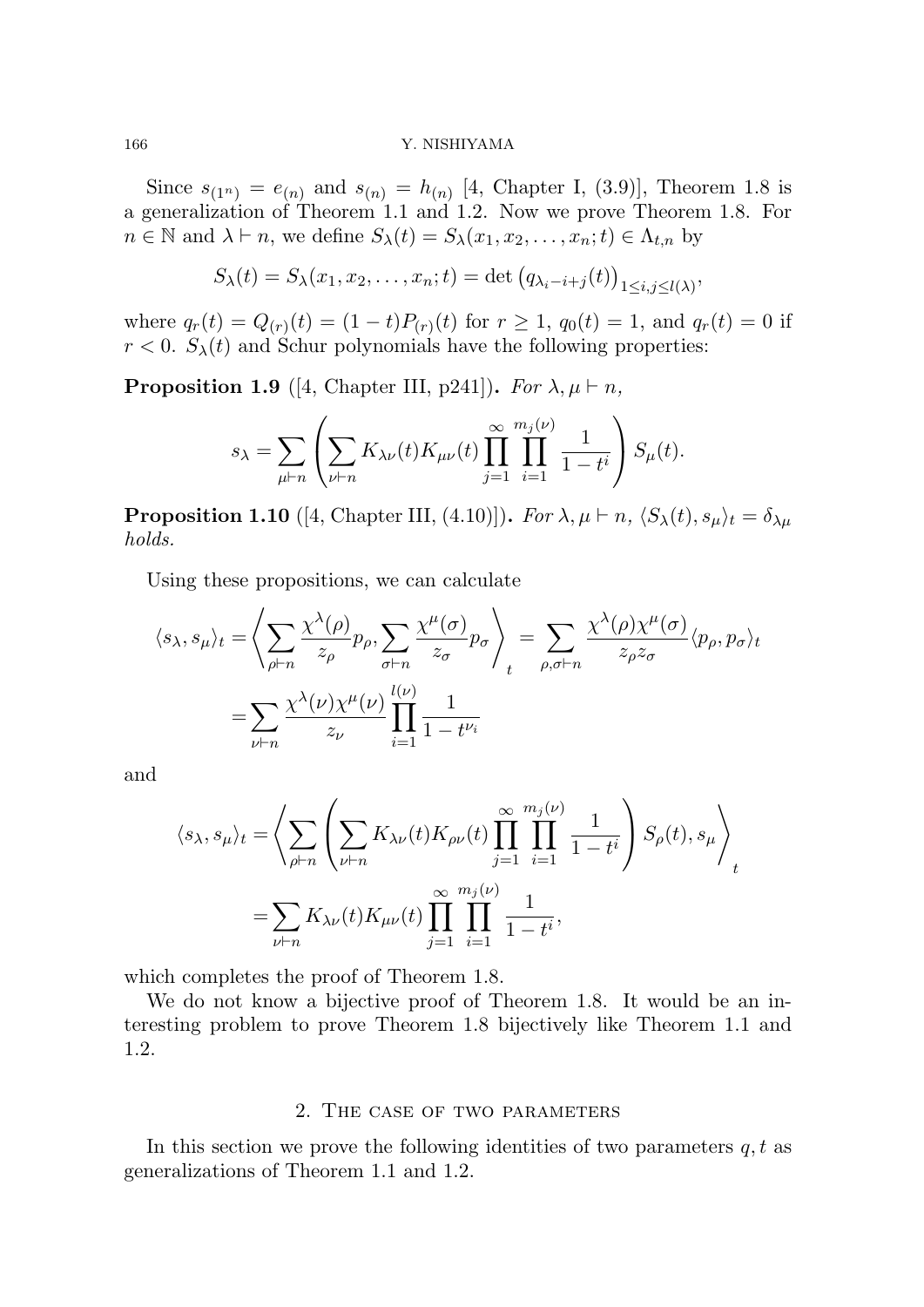Since  $s_{(1^n)} = e_{(n)}$  and  $s_{(n)} = h_{(n)}$  [4, Chapter I, (3.9)], Theorem 1.8 is a generalization of Theorem 1.1 and 1.2. Now we prove Theorem 1.8. For  $n \in \mathbb{N}$  and  $\lambda \vdash n$ , we define  $S_{\lambda}(t) = S_{\lambda}(x_1, x_2, \ldots, x_n; t) \in \Lambda_{t,n}$  by

$$
S_{\lambda}(t) = S_{\lambda}(x_1, x_2, \dots, x_n; t) = \det (q_{\lambda_i - i + j}(t))_{1 \leq i, j \leq l(\lambda)},
$$

 $\text{where } q_r(t) = Q_{(r)}(t) = (1-t)P_{(r)}(t) \text{ for } r \geq 1, q_0(t) = 1, \text{ and } q_r(t) = 0 \text{ if }$  $r < 0$ .  $S_{\lambda}(t)$  and Schur polynomials have the following properties:

**Proposition 1.9** ([4, Chapter III, p241]). *For*  $\lambda, \mu \vdash n$ ,

$$
s_\lambda = \sum_{\mu \vdash n} \left( \sum_{\nu \vdash n} K_{\lambda \nu}(t) K_{\mu \nu}(t) \prod_{j=1}^\infty \prod_{i=1}^{m_j(\nu)} \frac{1}{1-t^i} \right) S_\mu(t).
$$

**Proposition 1.10** ([4, Chapter III, (4.10)]). *For*  $\lambda, \mu \vdash n$ ,  $\langle S_{\lambda}(t), s_{\mu} \rangle_t = \delta_{\lambda \mu}$ *holds.*

Using these propositions, we can calculate

$$
\langle s_{\lambda}, s_{\mu} \rangle_t = \left\langle \sum_{\rho \vdash n} \frac{\chi^{\lambda}(\rho)}{z_{\rho}} p_{\rho}, \sum_{\sigma \vdash n} \frac{\chi^{\mu}(\sigma)}{z_{\sigma}} p_{\sigma} \right\rangle_t = \sum_{\rho, \sigma \vdash n} \frac{\chi^{\lambda}(\rho) \chi^{\mu}(\sigma)}{z_{\rho} z_{\sigma}} \langle p_{\rho}, p_{\sigma} \rangle_t
$$

$$
= \sum_{\nu \vdash n} \frac{\chi^{\lambda}(\nu) \chi^{\mu}(\nu)}{z_{\nu}} \prod_{i=1}^{l(\nu)} \frac{1}{1 - t^{\nu_i}}
$$

and

$$
\langle s_{\lambda}, s_{\mu} \rangle_t = \left\langle \sum_{\rho \vdash n} \left( \sum_{\nu \vdash n} K_{\lambda \nu}(t) K_{\rho \nu}(t) \prod_{j=1}^{\infty} \prod_{i=1}^{m_j(\nu)} \frac{1}{1-t^i} \right) S_{\rho}(t), s_{\mu} \right\rangle_t
$$
  
= 
$$
\sum_{\nu \vdash n} K_{\lambda \nu}(t) K_{\mu \nu}(t) \prod_{j=1}^{\infty} \prod_{i=1}^{m_j(\nu)} \frac{1}{1-t^i},
$$

which completes the proof of Theorem 1.8.

We do not know a bijective proof of Theorem 1.8. It would be an interesting problem to prove Theorem 1.8 bijectively like Theorem 1.1 and 1.2.

# 2. The case of two parameters

In this section we prove the following identities of two parameters *q, t* as generalizations of Theorem 1.1 and 1.2.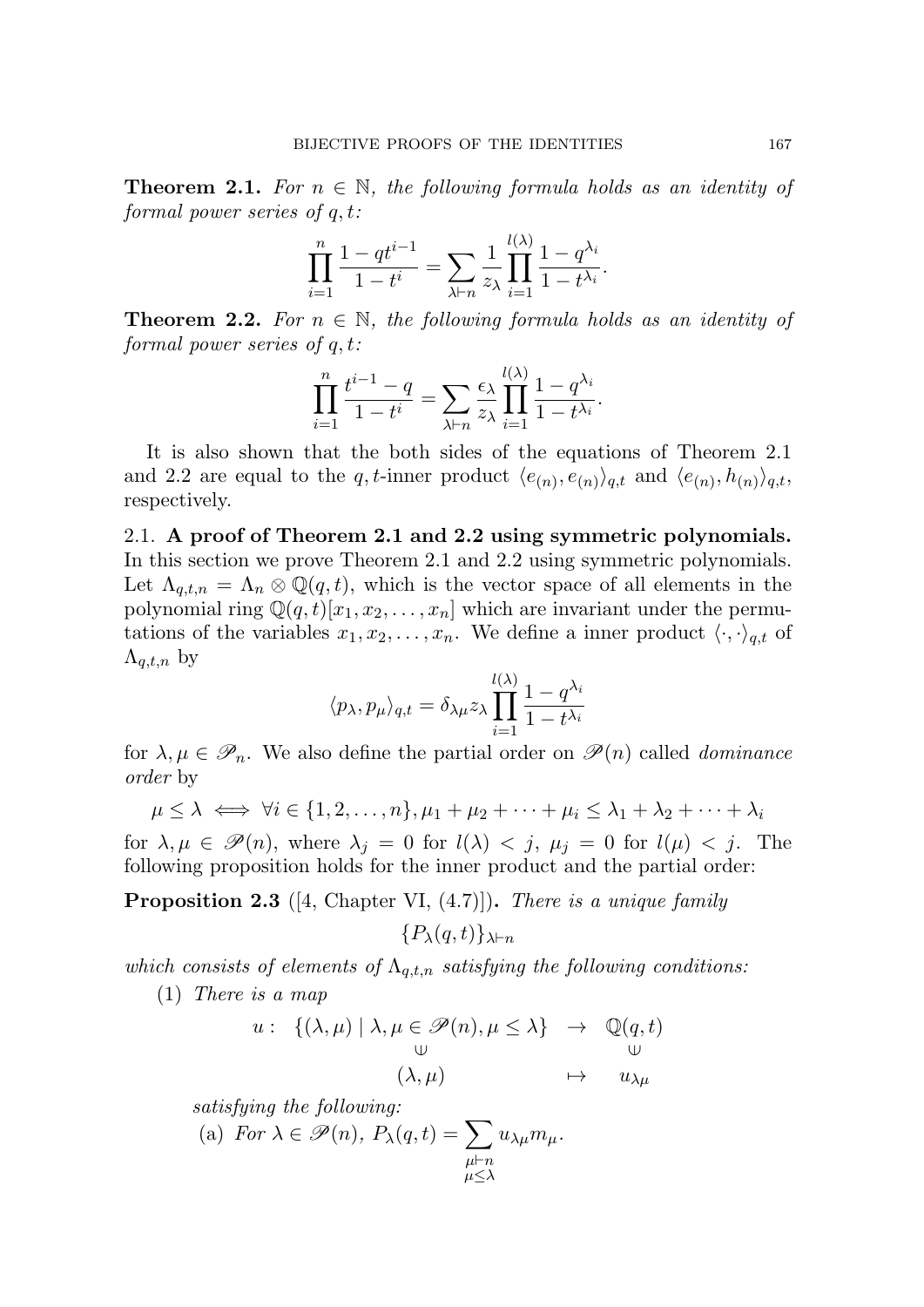**Theorem 2.1.** For  $n \in \mathbb{N}$ , the following formula holds as an identity of *formal power series of q, t:*

$$
\prod_{i=1}^{n} \frac{1 - qt^{i-1}}{1 - t^{i}} = \sum_{\lambda \vdash n} \frac{1}{z_{\lambda}} \prod_{i=1}^{l(\lambda)} \frac{1 - q^{\lambda_i}}{1 - t^{\lambda_i}}.
$$

**Theorem 2.2.** For  $n \in \mathbb{N}$ , the following formula holds as an identity of *formal power series of q, t:*

$$
\prod_{i=1}^n \frac{t^{i-1} - q}{1 - t^i} = \sum_{\lambda \vdash n} \frac{\epsilon_\lambda}{z_\lambda} \prod_{i=1}^{l(\lambda)} \frac{1 - q^{\lambda_i}}{1 - t^{\lambda_i}}.
$$

It is also shown that the both sides of the equations of Theorem 2.1 and 2.2 are equal to the *q*, *t*-inner product  $\langle e_{(n)}, e_{(n)} \rangle_{q,t}$  and  $\langle e_{(n)}, h_{(n)} \rangle_{q,t}$ , respectively.

2.1. **A proof of Theorem 2.1 and 2.2 using symmetric polynomials.** In this section we prove Theorem 2.1 and 2.2 using symmetric polynomials. Let  $\Lambda_{q,t,n} = \Lambda_n \otimes \mathbb{Q}(q,t)$ , which is the vector space of all elements in the polynomial ring  $\mathbb{Q}(q,t)[x_1, x_2, \ldots, x_n]$  which are invariant under the permutations of the variables  $x_1, x_2, \ldots, x_n$ . We define a inner product  $\langle \cdot, \cdot \rangle_{q,t}$  of  $\Lambda_{q,t,n}$  by

$$
\langle p_{\lambda}, p_{\mu} \rangle_{q,t} = \delta_{\lambda \mu} z_{\lambda} \prod_{i=1}^{l(\lambda)} \frac{1 - q^{\lambda_i}}{1 - t^{\lambda_i}}
$$

for  $\lambda, \mu \in \mathscr{P}_n$ . We also define the partial order on  $\mathscr{P}(n)$  called *dominance order* by

$$
\mu \leq \lambda \iff \forall i \in \{1, 2, \dots, n\}, \mu_1 + \mu_2 + \dots + \mu_i \leq \lambda_1 + \lambda_2 + \dots + \lambda_i
$$

for  $\lambda, \mu \in \mathcal{P}(n)$ , where  $\lambda_j = 0$  for  $l(\lambda) < j$ ,  $\mu_j = 0$  for  $l(\mu) < j$ . The following proposition holds for the inner product and the partial order:

**Proposition 2.3** ([4, Chapter VI, (4.7)])**.** *There is a unique family*

$$
\{P_{\lambda}(q,t)\}_{\lambda\vdash n}
$$

*which consists of elements of*  $\Lambda_{q,t,n}$  *satisfying the following conditions:* 

(1) *There is a map*

$$
u: \{(\lambda, \mu) \mid \lambda, \mu \in \mathscr{P}(n), \mu \le \lambda\} \rightarrow \mathbb{Q}(q, t)
$$
  

$$
\cup \qquad \qquad (\lambda, \mu) \qquad \mapsto \quad u_{\lambda\mu}
$$

*satisfying the following:*

(a) For 
$$
\lambda \in \mathscr{P}(n)
$$
,  $P_{\lambda}(q, t) = \sum_{\substack{\mu \vdash n \\ \mu \leq \lambda}} u_{\lambda \mu} m_{\mu}$ .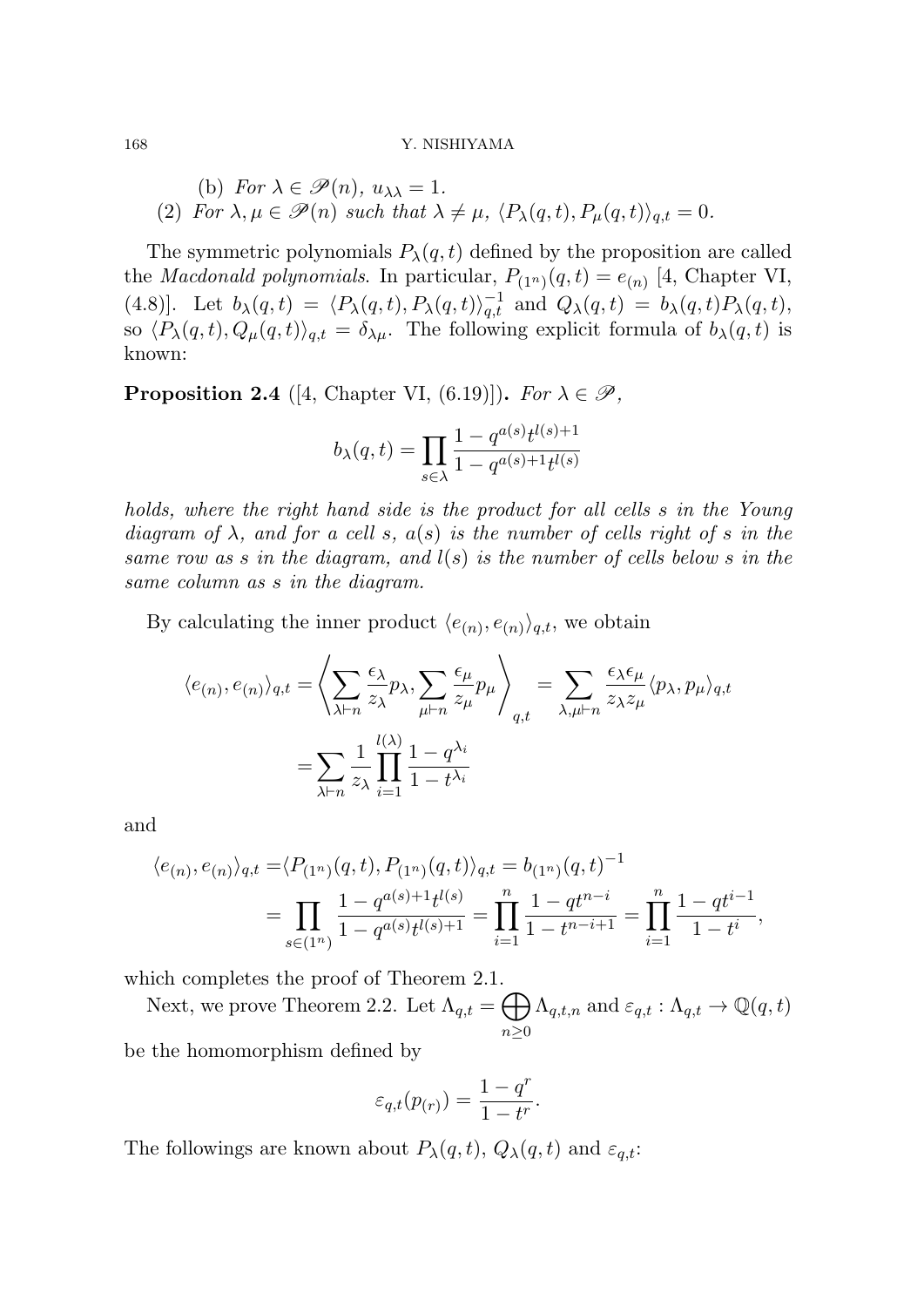## 168 Y. NISHIYAMA

(b) For 
$$
\lambda \in \mathcal{P}(n)
$$
,  $u_{\lambda\lambda} = 1$ .  
(2) For  $\lambda, \mu \in \mathcal{P}(n)$  such that  $\lambda \neq \mu$ ,  $\langle P_{\lambda}(q, t), P_{\mu}(q, t) \rangle_{q,t} = 0$ .

The symmetric polynomials  $P_{\lambda}(q, t)$  defined by the proposition are called the *Macdonald polynomials*. In particular,  $P_{(1^n)}(q,t) = e_{(n)}$  [4, Chapter VI, (4.8)]. Let  $b_{\lambda}(q,t) = \langle P_{\lambda}(q,t), P_{\lambda}(q,t) \rangle_{q,t}^{-1}$  and  $Q_{\lambda}(q,t) = b_{\lambda}(q,t)P_{\lambda}(q,t)$ , so  $\langle P_{\lambda}(q,t), Q_{\mu}(q,t) \rangle_{q,t} = \delta_{\lambda\mu}$ . The following explicit formula of  $b_{\lambda}(q,t)$  is known:

**Proposition 2.4** ([4, Chapter VI, (6.19)]). *For*  $\lambda \in \mathcal{P}$ ,

$$
b_{\lambda}(q,t) = \prod_{s \in \lambda} \frac{1 - q^{a(s)} t^{l(s) + 1}}{1 - q^{a(s) + 1} t^{l(s)}}
$$

*holds, where the right hand side is the product for all cells s in the Young*  $diagram of  $\lambda$ , and for a cell s,  $a(s)$  is the number of cells right of s in the$ *same row as s in the diagram, and l*(*s*) *is the number of cells below s in the same column as s in the diagram.*

By calculating the inner product  $\langle e_{(n)}, e_{(n)} \rangle_{q,t}$ , we obtain

$$
\langle e_{(n)}, e_{(n)} \rangle_{q,t} = \left\langle \sum_{\lambda \vdash n} \frac{\epsilon_{\lambda}}{z_{\lambda}} p_{\lambda}, \sum_{\mu \vdash n} \frac{\epsilon_{\mu}}{z_{\mu}} p_{\mu} \right\rangle_{q,t} = \sum_{\lambda, \mu \vdash n} \frac{\epsilon_{\lambda} \epsilon_{\mu}}{z_{\lambda} z_{\mu}} \langle p_{\lambda}, p_{\mu} \rangle_{q,t}
$$

$$
= \sum_{\lambda \vdash n} \frac{1}{z_{\lambda}} \prod_{i=1}^{l(\lambda)} \frac{1 - q^{\lambda_i}}{1 - t^{\lambda_i}}
$$

and

$$
\langle e_{(n)}, e_{(n)} \rangle_{q,t} = \langle P_{(1^n)}(q, t), P_{(1^n)}(q, t) \rangle_{q,t} = b_{(1^n)}(q, t)^{-1}
$$
  
= 
$$
\prod_{s \in (1^n)} \frac{1 - q^{a(s) + 1} t^{l(s)}}{1 - q^{a(s)} t^{l(s) + 1}} = \prod_{i=1}^n \frac{1 - qt^{n-i}}{1 - t^{n-i+1}} = \prod_{i=1}^n \frac{1 - qt^{i-1}}{1 - t^i},
$$

which completes the proof of Theorem 2.1.

Next, we prove Theorem 2.2. Let  $\Lambda_{q,t} = \bigoplus$ *n≥*0  $\Lambda_{q,t,n}$  and  $\varepsilon_{q,t} : \Lambda_{q,t} \to \mathbb{Q}(q,t)$ be the homomorphism defined by

$$
\varepsilon_{q,t}(p_{(r)}) = \frac{1-q^r}{1-t^r}.
$$

The followings are known about  $P_{\lambda}(q, t)$ ,  $Q_{\lambda}(q, t)$  and  $\varepsilon_{q,t}$ :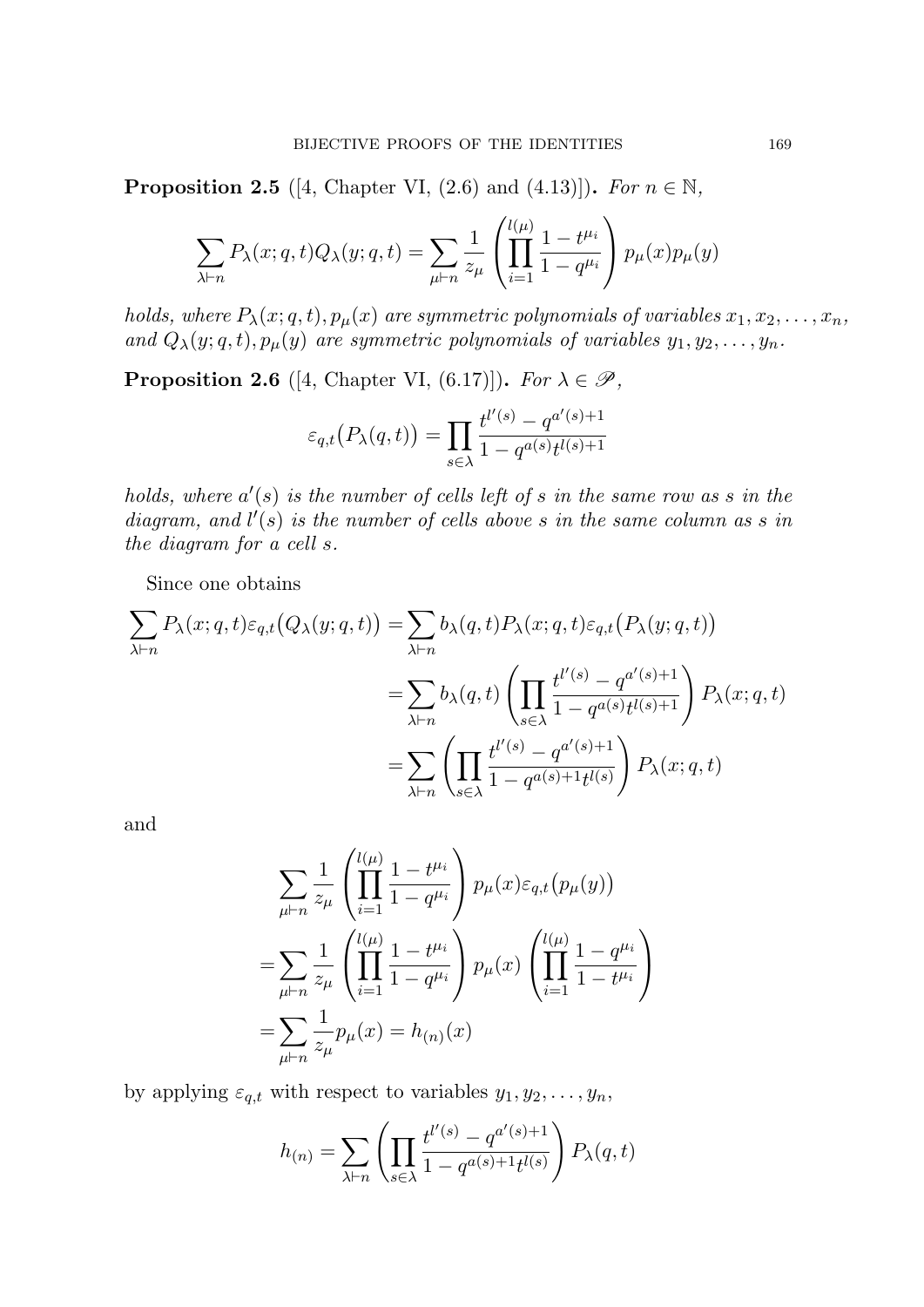**Proposition 2.5** ([4, Chapter VI, (2.6) and (4.13)]). *For*  $n \in \mathbb{N}$ ,

$$
\sum_{\lambda \vdash n} P_{\lambda}(x; q, t) Q_{\lambda}(y; q, t) = \sum_{\mu \vdash n} \frac{1}{z_{\mu}} \left( \prod_{i=1}^{l(\mu)} \frac{1 - t^{\mu_i}}{1 - q^{\mu_i}} \right) p_{\mu}(x) p_{\mu}(y)
$$

*holds, where*  $P_{\lambda}(x; q, t)$ *,*  $p_{\mu}(x)$  *are symmetric polynomials of variables*  $x_1, x_2, \ldots, x_n$ *, and*  $Q_{\lambda}(y; q, t), p_{\mu}(y)$  *are symmetric polynomials of variables*  $y_1, y_2, \ldots, y_n$ *.* 

**Proposition 2.6** ([4, Chapter VI, (6.17)])**.** *For*  $\lambda \in \mathcal{P}$ *,* 

$$
\varepsilon_{q,t}\big(P_{\lambda}(q,t)\big) = \prod_{s \in \lambda} \frac{t^{l'(s)} - q^{a'(s)+1}}{1 - q^{a(s)}t^{l(s)+1}}
$$

*holds, where a ′* (*s*) *is the number of cells left of s in the same row as s in the diagram, and l ′* (*s*) *is the number of cells above s in the same column as s in the diagram for a cell s.*

Since one obtains

$$
\sum_{\lambda \vdash n} P_{\lambda}(x; q, t) \varepsilon_{q,t}(Q_{\lambda}(y; q, t)) = \sum_{\lambda \vdash n} b_{\lambda}(q, t) P_{\lambda}(x; q, t) \varepsilon_{q,t}(P_{\lambda}(y; q, t))
$$
\n
$$
= \sum_{\lambda \vdash n} b_{\lambda}(q, t) \left( \prod_{s \in \lambda} \frac{t^{l'(s)} - q^{a'(s)+1}}{1 - q^{a(s)} t^{l(s)+1}} \right) P_{\lambda}(x; q, t)
$$
\n
$$
= \sum_{\lambda \vdash n} \left( \prod_{s \in \lambda} \frac{t^{l'(s)} - q^{a'(s)+1}}{1 - q^{a(s)+1} t^{l(s)}} \right) P_{\lambda}(x; q, t)
$$

and

$$
\sum_{\mu \vdash n} \frac{1}{z_{\mu}} \left( \prod_{i=1}^{l(\mu)} \frac{1 - t^{\mu_i}}{1 - q^{\mu_i}} \right) p_{\mu}(x) \varepsilon_{q,t} (p_{\mu}(y))
$$
\n
$$
= \sum_{\mu \vdash n} \frac{1}{z_{\mu}} \left( \prod_{i=1}^{l(\mu)} \frac{1 - t^{\mu_i}}{1 - q^{\mu_i}} \right) p_{\mu}(x) \left( \prod_{i=1}^{l(\mu)} \frac{1 - q^{\mu_i}}{1 - t^{\mu_i}} \right)
$$
\n
$$
= \sum_{\mu \vdash n} \frac{1}{z_{\mu}} p_{\mu}(x) = h_{(n)}(x)
$$

by applying  $\varepsilon_{q,t}$  with respect to variables  $y_1, y_2, \ldots, y_n$ ,

$$
h_{(n)} = \sum_{\lambda \vdash n} \left( \prod_{s \in \lambda} \frac{t^{l'(s)} - q^{a'(s)+1}}{1 - q^{a(s)+1} t^{l(s)}} \right) P_{\lambda}(q, t)
$$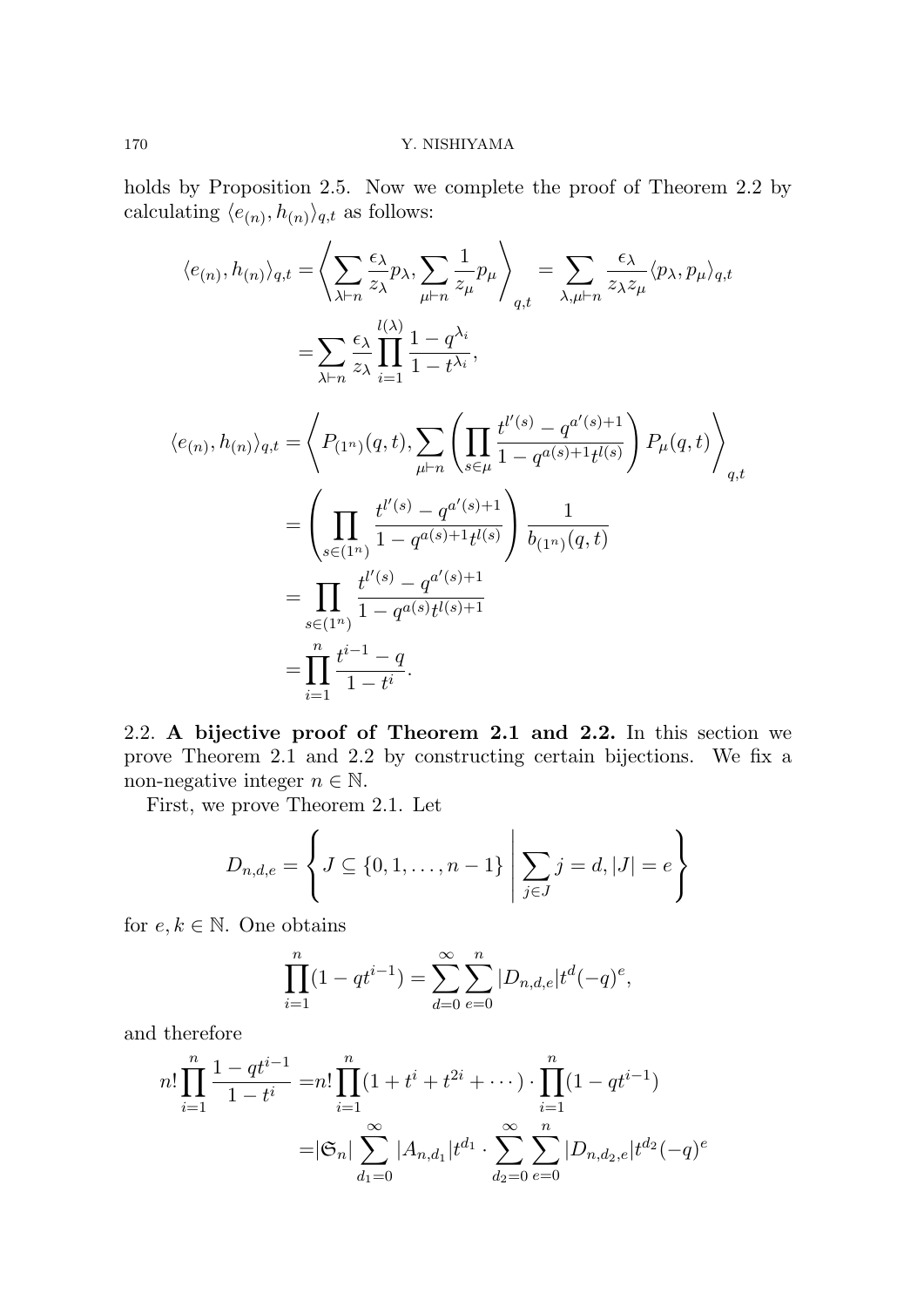holds by Proposition 2.5. Now we complete the proof of Theorem 2.2 by calculating  $\langle e_{(n)}, h_{(n)} \rangle_{q,t}$  as follows:

$$
\langle e_{(n)}, h_{(n)} \rangle_{q,t} = \left\langle \sum_{\lambda \vdash n} \frac{\epsilon_{\lambda}}{z_{\lambda}} p_{\lambda}, \sum_{\mu \vdash n} \frac{1}{z_{\mu}} p_{\mu} \right\rangle_{q,t} = \sum_{\lambda, \mu \vdash n} \frac{\epsilon_{\lambda}}{z_{\lambda} z_{\mu}} \langle p_{\lambda}, p_{\mu} \rangle_{q,t}
$$

$$
= \sum_{\lambda \vdash n} \frac{\epsilon_{\lambda}}{z_{\lambda}} \prod_{i=1}^{l(\lambda)} \frac{1 - q^{\lambda_i}}{1 - t^{\lambda_i}},
$$

$$
\langle e_{(n)}, h_{(n)} \rangle_{q,t} = \left\langle P_{(1^n)}(q, t), \sum_{\mu \vdash n} \left( \prod_{s \in \mu} \frac{t^{l'(s)} - q^{a'(s) + 1}}{1 - q^{a(s) + 1} t^{l(s)}} \right) P_{\mu}(q, t) \right\rangle_{q,t}
$$

$$
= \left( \prod_{s \in (1^n)} \frac{t^{l'(s)} - q^{a'(s) + 1}}{1 - q^{a(s) + 1} t^{l(s)}} \right) \frac{1}{b_{(1^n)}(q, t)}
$$

$$
= \prod_{s \in (1^n)} \frac{t^{l'(s)} - q^{a'(s) + 1}}{1 - q^{a(s)} t^{l(s) + 1}}
$$

$$
= \prod_{i=1}^n \frac{t^{i-1} - q}{1 - t^i}.
$$

2.2. **A bijective proof of Theorem 2.1 and 2.2.** In this section we prove Theorem 2.1 and 2.2 by constructing certain bijections. We fix a non-negative integer  $n \in \mathbb{N}$ .

First, we prove Theorem 2.1. Let

$$
D_{n,d,e} = \left\{ J \subseteq \{0, 1, \dots, n-1\} \; \middle| \; \sum_{j \in J} j = d, |J| = e \right\}
$$

for  $e, k \in \mathbb{N}$ . One obtains

$$
\prod_{i=1}^{n} (1 - qt^{i-1}) = \sum_{d=0}^{\infty} \sum_{e=0}^{n} |D_{n,d,e}| t^d (-q)^e,
$$

and therefore

$$
n! \prod_{i=1}^{n} \frac{1 - qt^{i-1}}{1 - t^{i}} = n! \prod_{i=1}^{n} (1 + t^{i} + t^{2i} + \cdots) \cdot \prod_{i=1}^{n} (1 - qt^{i-1})
$$

$$
= |\mathfrak{S}_n| \sum_{d_1=0}^{\infty} |A_{n,d_1}| t^{d_1} \cdot \sum_{d_2=0}^{\infty} \sum_{e=0}^{n} |D_{n,d_2,e}| t^{d_2} (-q)^e
$$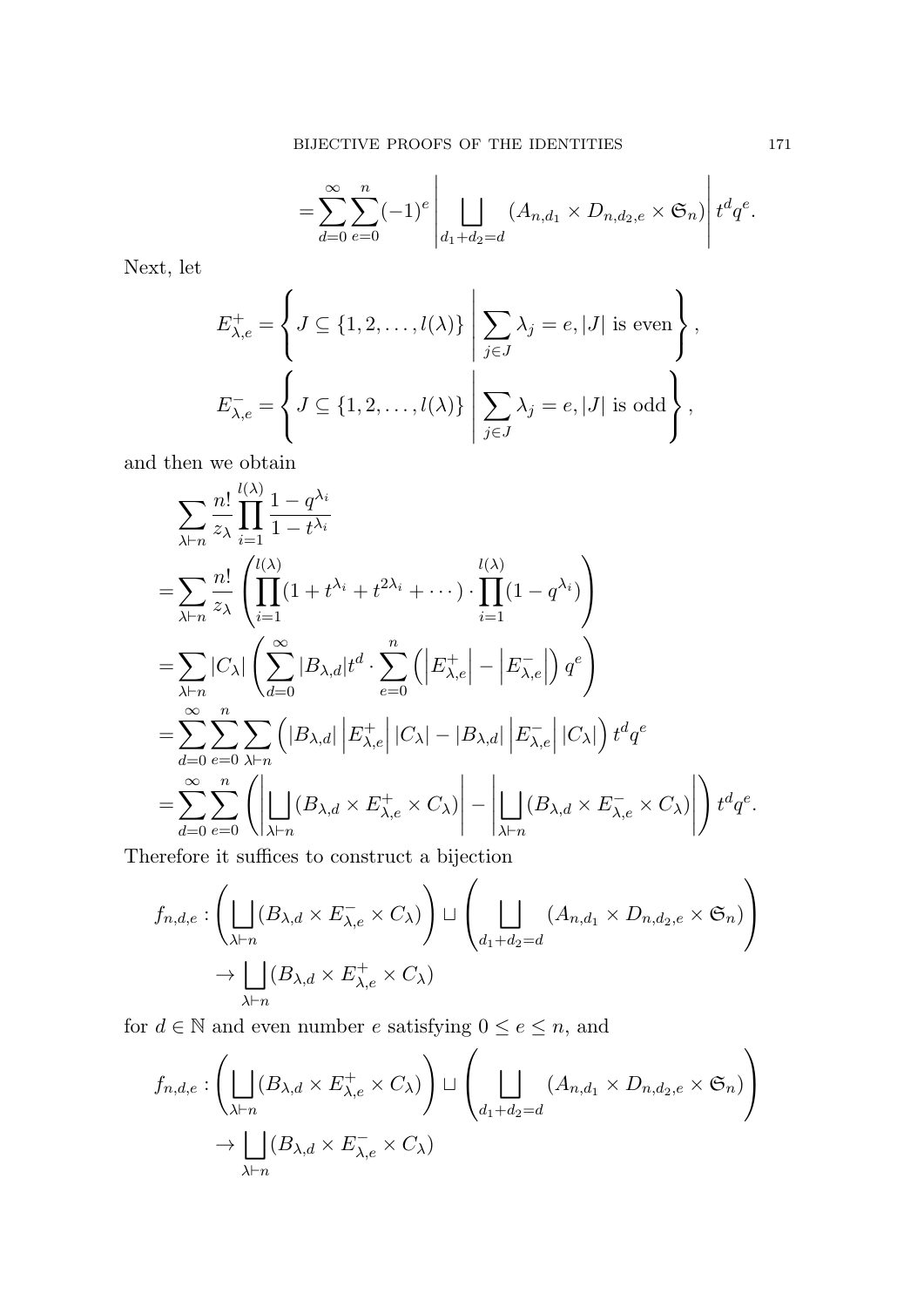$$
=\sum_{d=0}^{\infty}\sum_{e=0}^{n}(-1)^{e}\left|\bigcup_{d_{1}+d_{2}=d}\left(A_{n,d_{1}}\times D_{n,d_{2},e}\times\mathfrak{S}_{n}\right)\right|t^{d}q^{e}.
$$

Next, let

$$
E_{\lambda,e}^{+} = \left\{ J \subseteq \{1,2,\ldots,l(\lambda)\} \middle| \sum_{j\in J} \lambda_j = e, |J| \text{ is even} \right\},
$$
  

$$
E_{\lambda,e}^{-} = \left\{ J \subseteq \{1,2,\ldots,l(\lambda)\} \middle| \sum_{j\in J} \lambda_j = e, |J| \text{ is odd} \right\},
$$

and then we obtain

$$
\sum_{\lambda\vdash n} \frac{n!}{z_{\lambda}} \prod_{i=1}^{l(\lambda)} \frac{1-q^{\lambda_i}}{1-t^{\lambda_i}}
$$
\n
$$
= \sum_{\lambda\vdash n} \frac{n!}{z_{\lambda}} \left( \prod_{i=1}^{l(\lambda)} (1+t^{\lambda_i}+t^{2\lambda_i}+\cdots) \cdot \prod_{i=1}^{l(\lambda)} (1-q^{\lambda_i}) \right)
$$
\n
$$
= \sum_{\lambda\vdash n} |C_{\lambda}| \left( \sum_{d=0}^{\infty} |B_{\lambda,d}| t^d \cdot \sum_{e=0}^n \left( \left| E_{\lambda,e}^+ \right| - \left| E_{\lambda,e}^- \right| \right) q^e \right)
$$
\n
$$
= \sum_{d=0}^{\infty} \sum_{e=0}^n \sum_{\lambda\vdash n} \left( |B_{\lambda,d}| \left| E_{\lambda,e}^+ \right| |C_{\lambda}| - |B_{\lambda,d}| \left| E_{\lambda,e}^- \right| |C_{\lambda}| \right) t^d q^e
$$
\n
$$
= \sum_{d=0}^{\infty} \sum_{e=0}^n \left( \left| \prod_{\lambda\vdash n} (B_{\lambda,d} \times E_{\lambda,e}^+ \times C_{\lambda}) \right| - \left| \prod_{\lambda\vdash n} (B_{\lambda,d} \times E_{\lambda,e}^- \times C_{\lambda}) \right| \right) t^d q^e.
$$

Therefore it suffices to construct a bijection

$$
f_{n,d,e} : \left( \bigsqcup_{\lambda \vdash n} (B_{\lambda,d} \times E_{\lambda,e}^- \times C_\lambda) \right) \sqcup \left( \bigsqcup_{d_1 + d_2 = d} (A_{n,d_1} \times D_{n,d_2,e} \times \mathfrak{S}_n) \right)
$$
  

$$
\rightarrow \bigsqcup_{\lambda \vdash n} (B_{\lambda,d} \times E_{\lambda,e}^+ \times C_\lambda)
$$

for  $d \in \mathbb{N}$  and even number  $e$  satisfying  $0 \le e \le n$ , and

$$
f_{n,d,e} : \left( \bigsqcup_{\lambda \vdash n} (B_{\lambda,d} \times E_{\lambda,e}^+ \times C_{\lambda}) \right) \sqcup \left( \bigsqcup_{d_1 + d_2 = d} (A_{n,d_1} \times D_{n,d_2,e} \times \mathfrak{S}_n) \right)
$$
  

$$
\rightarrow \bigsqcup_{\lambda \vdash n} (B_{\lambda,d} \times E_{\lambda,e}^- \times C_{\lambda})
$$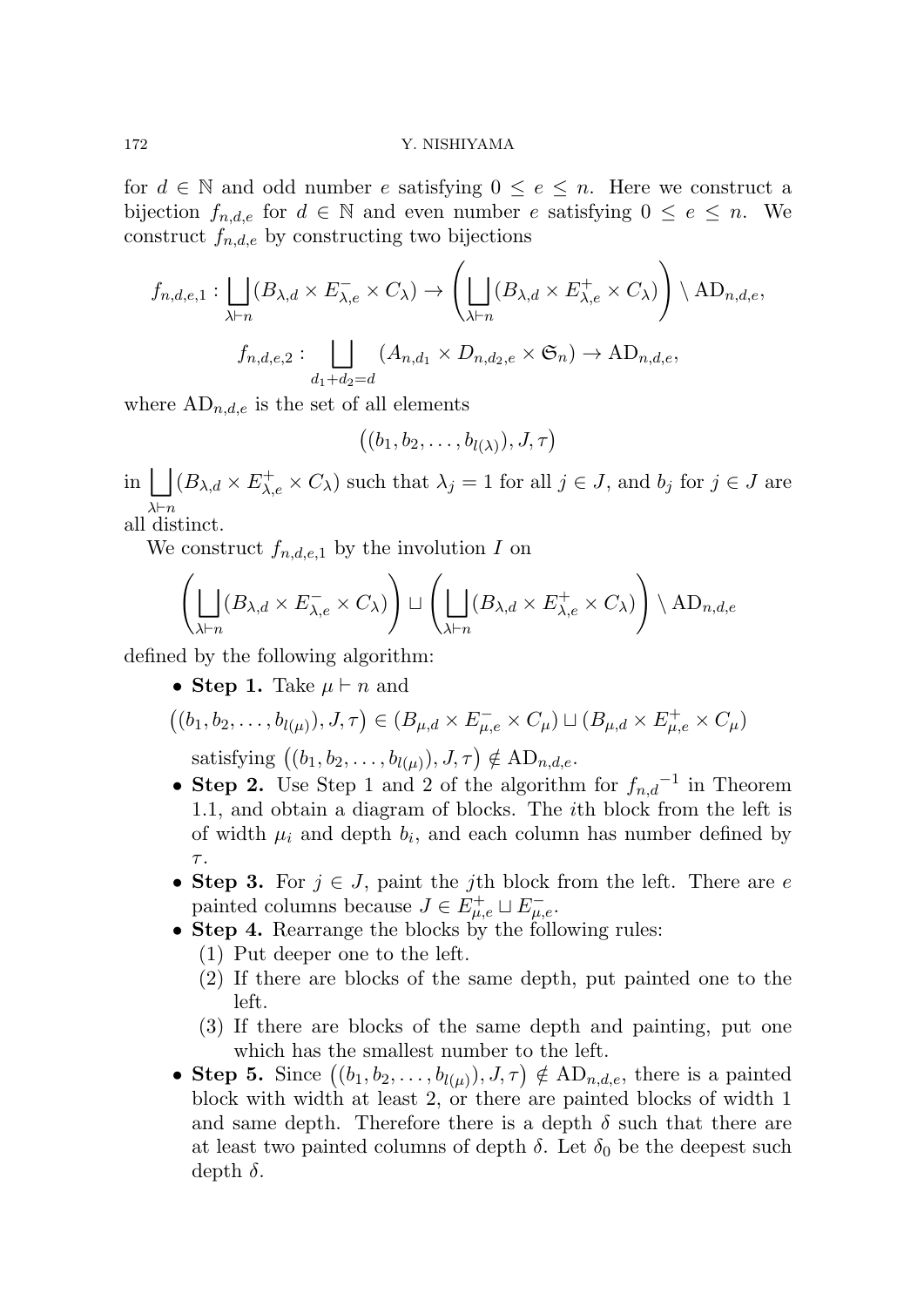for  $d \in \mathbb{N}$  and odd number  $e$  satisfying  $0 \leq e \leq n$ . Here we construct a bijection  $f_{n,d,e}$  for  $d \in \mathbb{N}$  and even number *e* satisfying  $0 \leq e \leq n$ . We construct  $f_{n,d,e}$  by constructing two bijections

$$
f_{n,d,e,1} : \bigsqcup_{\lambda \vdash n} (B_{\lambda,d} \times E_{\lambda,e}^{-} \times C_{\lambda}) \to \left( \bigsqcup_{\lambda \vdash n} (B_{\lambda,d} \times E_{\lambda,e}^{+} \times C_{\lambda}) \right) \setminus \text{AD}_{n,d,e},
$$

$$
f_{n,d,e,2} : \bigsqcup_{d_1 + d_2 = d} (A_{n,d_1} \times D_{n,d_2,e} \times \mathfrak{S}_n) \to \text{AD}_{n,d,e},
$$

where  $AD_{n,d,e}$  is the set of all elements

$$
((b_1,b_2,\ldots,b_{l(\lambda)}),J,\tau)
$$

 $\text{Im}$   $\bigcup (B_{\lambda,d} \times E_{\lambda,e}^+ \times C_{\lambda})$  such that  $\lambda_j = 1$  for all  $j \in J$ , and  $b_j$  for  $j \in J$  are *λ⊢n*

all distinct.

We construct  $f_{n,d,e,1}$  by the involution *I* on

$$
\left(\bigsqcup_{\lambda \vdash n} (B_{\lambda,d} \times E_{\lambda,e}^{-} \times C_{\lambda})\right) \sqcup \left(\bigsqcup_{\lambda \vdash n} (B_{\lambda,d} \times E_{\lambda,e}^{+} \times C_{\lambda})\right) \setminus \mathrm{AD}_{n,d,e}
$$

defined by the following algorithm:

*•* **Step 1.** Take *µ ⊢ n* and

$$
((b_1, b_2, \ldots, b_{l(\mu)}), J, \tau) \in (B_{\mu,d} \times E_{\mu,e}^- \times C_{\mu}) \sqcup (B_{\mu,d} \times E_{\mu,e}^+ \times C_{\mu})
$$

satisfying  $((b_1, b_2, \ldots, b_{l(\mu)}), J, \tau) \notin \text{AD}_{n,d,e}.$ 

- *•* **Step 2.** Use Step 1 and 2 of the algorithm for *fn,d −*1 in Theorem 1.1, and obtain a diagram of blocks. The *i*th block from the left is of width  $\mu_i$  and depth  $b_i$ , and each column has number defined by *τ* .
- *•* **Step 3.** For *j ∈ J*, paint the *j*th block from the left. There are *e* painted columns because  $J \in E_{\mu,e}^+ \sqcup E_{\mu,e}^-$ .
- **Step 4.** Rearrange the blocks by the following rules:
	- (1) Put deeper one to the left.
	- (2) If there are blocks of the same depth, put painted one to the left.
	- (3) If there are blocks of the same depth and painting, put one which has the smallest number to the left.
- **Step 5.** Since  $((b_1, b_2, \ldots, b_{l(\mu)}), J, \tau) \notin \text{AD}_{n,d,e}$ , there is a painted block with width at least 2, or there are painted blocks of width 1 and same depth. Therefore there is a depth  $\delta$  such that there are at least two painted columns of depth  $\delta$ . Let  $\delta_0$  be the deepest such depth *δ*.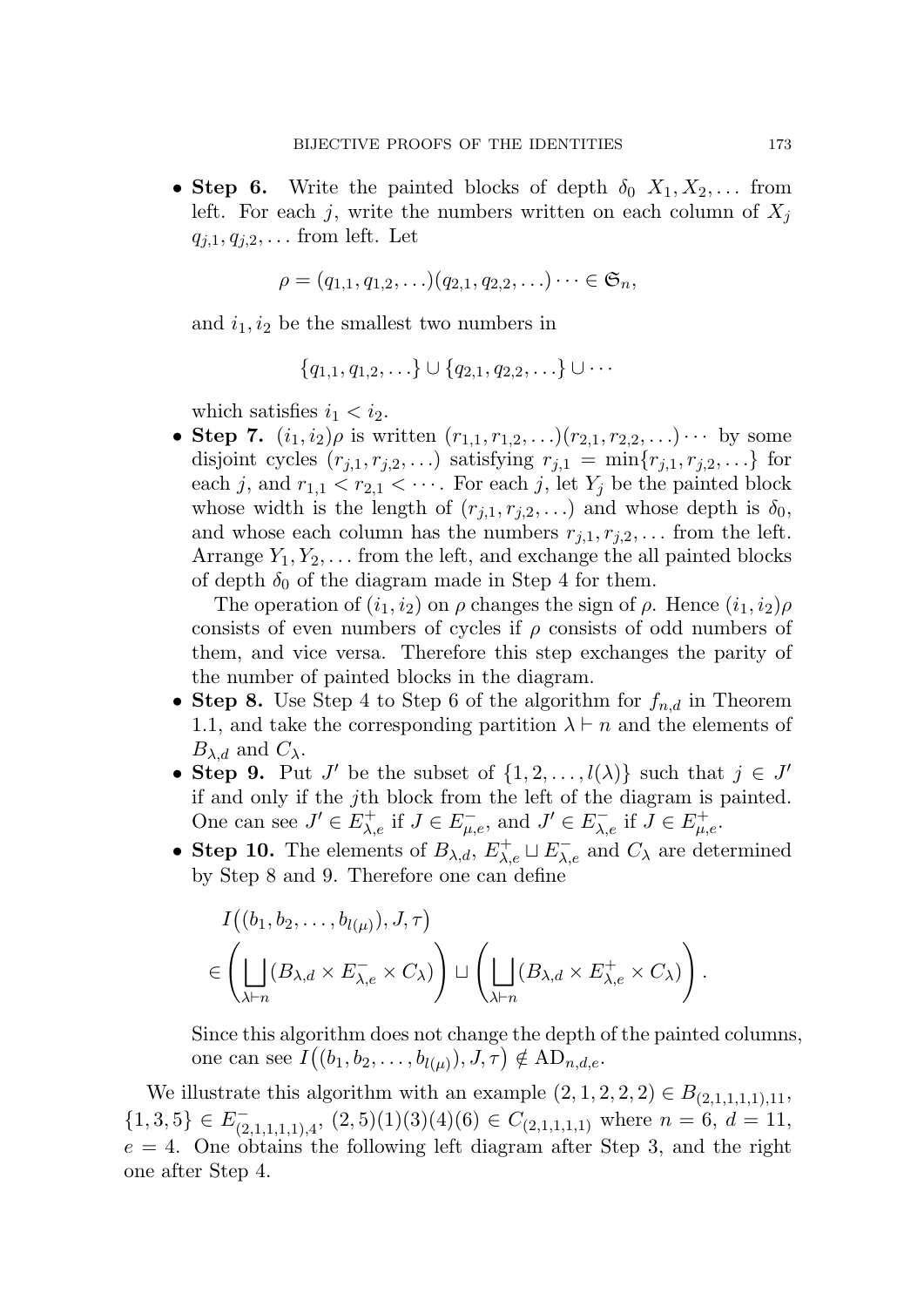• **Step 6.** Write the painted blocks of depth  $\delta_0$   $X_1, X_2, \ldots$  from left. For each *j*, write the numbers written on each column of  $X_j$ *qj,*1*, qj,*2*, . . .* from left. Let

$$
\rho = (q_{1,1}, q_{1,2}, \ldots)(q_{2,1}, q_{2,2}, \ldots) \cdots \in \mathfrak{S}_n,
$$

and  $i_1, i_2$  be the smallest two numbers in

$$
\{q_{1,1}, q_{1,2}, \ldots\} \cup \{q_{2,1}, q_{2,2}, \ldots\} \cup \cdots
$$

which satisfies  $i_1 < i_2$ .

• **Step 7.**  $(i_1, i_2)\rho$  is written  $(r_{1,1}, r_{1,2}, \ldots)(r_{2,1}, r_{2,2}, \ldots) \cdots$  by some disjoint cycles  $(r_{j,1}, r_{j,2}, \ldots)$  satisfying  $r_{j,1} = \min\{r_{j,1}, r_{j,2}, \ldots\}$  for each *j*, and  $r_{1,1} < r_{2,1} < \cdots$ . For each *j*, let  $Y_j$  be the painted block whose width is the length of  $(r_{j,1}, r_{j,2}, \ldots)$  and whose depth is  $\delta_0$ , and whose each column has the numbers  $r_{i,1}, r_{i,2}, \ldots$  from the left. Arrange  $Y_1, Y_2, \ldots$  from the left, and exchange the all painted blocks of depth  $\delta_0$  of the diagram made in Step 4 for them.

The operation of  $(i_1, i_2)$  on  $\rho$  changes the sign of  $\rho$ . Hence  $(i_1, i_2)\rho$ consists of even numbers of cycles if *ρ* consists of odd numbers of them, and vice versa. Therefore this step exchanges the parity of the number of painted blocks in the diagram.

- *•* **Step 8.** Use Step 4 to Step 6 of the algorithm for *fn,d* in Theorem 1.1, and take the corresponding partition  $\lambda \vdash n$  and the elements of *Bλ*,*d* and *Cλ*.
- **Step 9.** Put *J'* be the subset of  $\{1, 2, \ldots, l(\lambda)\}$  such that  $j \in J'$ if and only if the *j*th block from the left of the diagram is painted. One can see  $J' \in E_{\lambda,e}^+$  if  $J \in E_{\mu,e}^-$ , and  $J' \in E_{\lambda,e}^-$  if  $J \in E_{\mu,e}^+$ .
- **Step 10.** The elements of  $B_{\lambda,d}$ ,  $E_{\lambda,e}^+ \sqcup E_{\lambda,e}^-$  and  $C_{\lambda}$  are determined by Step 8 and 9. Therefore one can define

$$
I((b_1, b_2, \dots, b_{l(\mu)}), J, \tau)
$$
  

$$
\in \left( \bigsqcup_{\lambda \vdash n} (B_{\lambda,d} \times E_{\lambda,e}^{-} \times C_{\lambda}) \right) \sqcup \left( \bigsqcup_{\lambda \vdash n} (B_{\lambda,d} \times E_{\lambda,e}^{+} \times C_{\lambda}) \right).
$$

Since this algorithm does not change the depth of the painted columns, one can see  $I((b_1, b_2, \ldots, b_{l(\mu)}), J, \tau) \notin AD_{n, d, e}$ .

We illustrate this algorithm with an example  $(2, 1, 2, 2, 2) \in B_{(2,1,1,1,1,1,1)}$  $\{1,3,5\} \in E^-_{(2,1,1,1,1),4}, (2,5)(1)(3)(4)(6) \in C_{(2,1,1,1,1)}$  where  $n = 6, d = 11,$  $e = 4$ . One obtains the following left diagram after Step 3, and the right one after Step 4.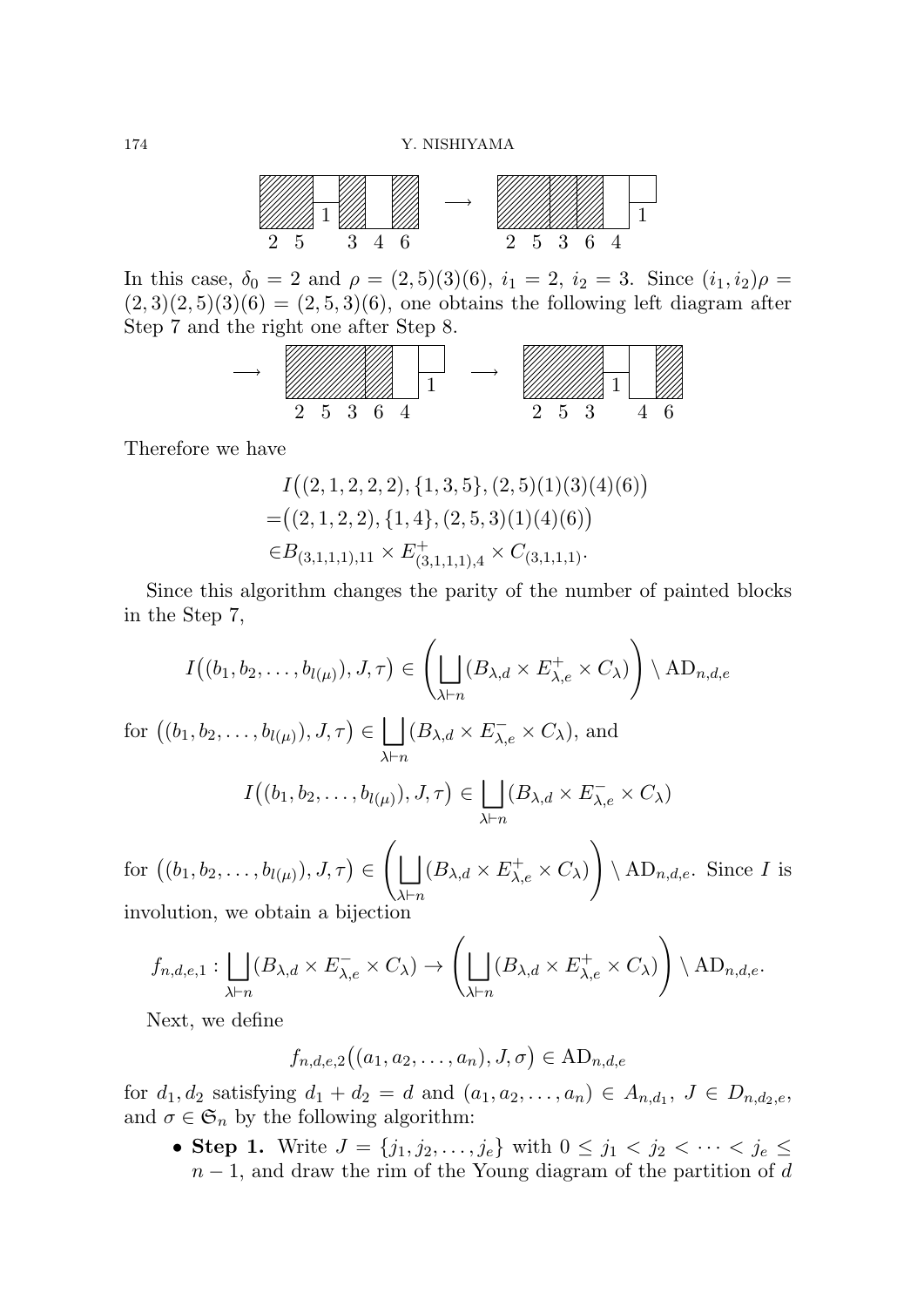

In this case,  $\delta_0 = 2$  and  $\rho = (2, 5)(3)(6)$ ,  $i_1 = 2$ ,  $i_2 = 3$ . Since  $(i_1, i_2)\rho =$  $(2,3)(2,5)(3)(6) = (2,5,3)(6)$ , one obtains the following left diagram after Step 7 and the right one after Step 8.

$$
\begin{array}{c}\n\cdots \\
\begin{array}{c}\n\frac{1}{2} \\
2\n\end{array} \\
\begin{array}{ccc}\n\frac{1}{2} \\
\frac{1}{2} \\
\frac{1}{2} \\
\frac{1}{2} \\
\frac{1}{2} \\
\frac{1}{2} \\
\frac{1}{2} \\
\frac{1}{2} \\
\frac{1}{2} \\
\frac{1}{2} \\
\frac{1}{2} \\
\frac{1}{2} \\
\frac{1}{2} \\
\frac{1}{2} \\
\frac{1}{2} \\
\frac{1}{2} \\
\frac{1}{2} \\
\frac{1}{2} \\
\frac{1}{2} \\
\frac{1}{2} \\
\frac{1}{2} \\
\frac{1}{2} \\
\frac{1}{2} \\
\frac{1}{2} \\
\frac{1}{2} \\
\frac{1}{2} \\
\frac{1}{2} \\
\frac{1}{2} \\
\frac{1}{2} \\
\frac{1}{2} \\
\frac{1}{2} \\
\frac{1}{2} \\
\frac{1}{2} \\
\frac{1}{2} \\
\frac{1}{2} \\
\frac{1}{2} \\
\frac{1}{2} \\
\frac{1}{2} \\
\frac{1}{2} \\
\frac{1}{2} \\
\frac{1}{2} \\
\frac{1}{2} \\
\frac{1}{2} \\
\frac{1}{2} \\
\frac{1}{2} \\
\frac{1}{2} \\
\frac{1}{2} \\
\frac{1}{2} \\
\frac{1}{2} \\
\frac{1}{2} \\
\frac{1}{2} \\
\frac{1}{2} \\
\frac{1}{2} \\
\frac{1}{2} \\
\frac{1}{2} \\
\frac{1}{2} \\
\frac{1}{2} \\
\frac{1}{2} \\
\frac{1}{2} \\
\frac{1}{2} \\
\frac{1}{2} \\
\frac{1}{2} \\
\frac{1}{2} \\
\frac{1}{2} \\
\frac{1}{2} \\
\frac{1}{2} \\
\frac{1}{2} \\
\frac{1}{2} \\
\frac{1}{2} \\
\frac{1}{2} \\
\frac{1}{2} \\
\frac{1}{2} \\
\frac{1}{2} \\
\frac{1}{2} \\
\frac{1}{2} \\
\frac{1}{2} \\
\frac{1}{2} \\
\frac{1}{2} \\
\frac{1}{2} \\
\frac{1}{2} \\
\frac{1}{2} \\
\frac{1}{2} \\
\frac{1}{2} \\
\frac{1}{2} \\
\frac{1}{2} \\
\frac{1}{2} \\
\frac{1}{2} \\
\frac{1}{2} \\
\frac{1}{2} \\
\frac{1
$$

Therefore we have

$$
I((2, 1, 2, 2, 2), \{1, 3, 5\}, (2, 5)(1)(3)(4)(6))
$$
  
=((2, 1, 2, 2), \{1, 4\}, (2, 5, 3)(1)(4)(6))  
 $\in B_{(3,1,1,1),11} \times E_{(3,1,1,1),4}^+ \times C_{(3,1,1,1)}.$ 

Since this algorithm changes the parity of the number of painted blocks in the Step 7,

$$
I((b_1, b_2, \ldots, b_{l(\mu)}), J, \tau) \in \left(\bigsqcup_{\lambda \vdash n} (B_{\lambda, d} \times E_{\lambda, e}^+ \times C_{\lambda})\right) \setminus \mathrm{AD}_{n, d, e}
$$

for  $((b_1, b_2, \ldots, b_{l(\mu)}), J, \tau) \in$  | | *λ⊢n*  $(B_{\lambda,d} \times E_{\lambda,e}^- \times C_{\lambda}),$  and

$$
I((b_1, b_2, \ldots, b_{l(\mu)}), J, \tau) \in \bigsqcup_{\lambda \vdash n} (B_{\lambda, d} \times E_{\lambda, e}^{-} \times C_{\lambda})
$$

 $\text{for } ((b_1, b_2, \ldots, b_{l(\mu)}), J, \tau) \in$  $\sqrt{ }$ ⊔ *λ⊢n*  $(B_{\lambda,d} \times E_{\lambda,e}^+ \times C_{\lambda})$  $\setminus$ *\* AD*n,d,e*. Since *I* is involution, we obtain a bijection

$$
f_{n,d,e,1}: \bigsqcup_{\lambda \vdash n} (B_{\lambda,d} \times E_{\lambda,e}^{-} \times C_{\lambda}) \to \left( \bigsqcup_{\lambda \vdash n} (B_{\lambda,d} \times E_{\lambda,e}^{+} \times C_{\lambda}) \right) \setminus \mathrm{AD}_{n,d,e}.
$$

Next, we define

$$
f_{n,d,e,2}((a_1,a_2,\ldots,a_n),J,\sigma) \in \mathrm{AD}_{n,d,e}
$$

for  $d_1, d_2$  satisfying  $d_1 + d_2 = d$  and  $(a_1, a_2, \ldots, a_n) \in A_{n,d_1}, J \in D_{n,d_2,e}$ , and  $\sigma \in \mathfrak{S}_n$  by the following algorithm:

• **Step 1.** Write  $J = \{j_1, j_2, \ldots, j_e\}$  with  $0 \leq j_1 < j_2 < \cdots < j_e \leq$ *n* − 1, and draw the rim of the Young diagram of the partition of *d*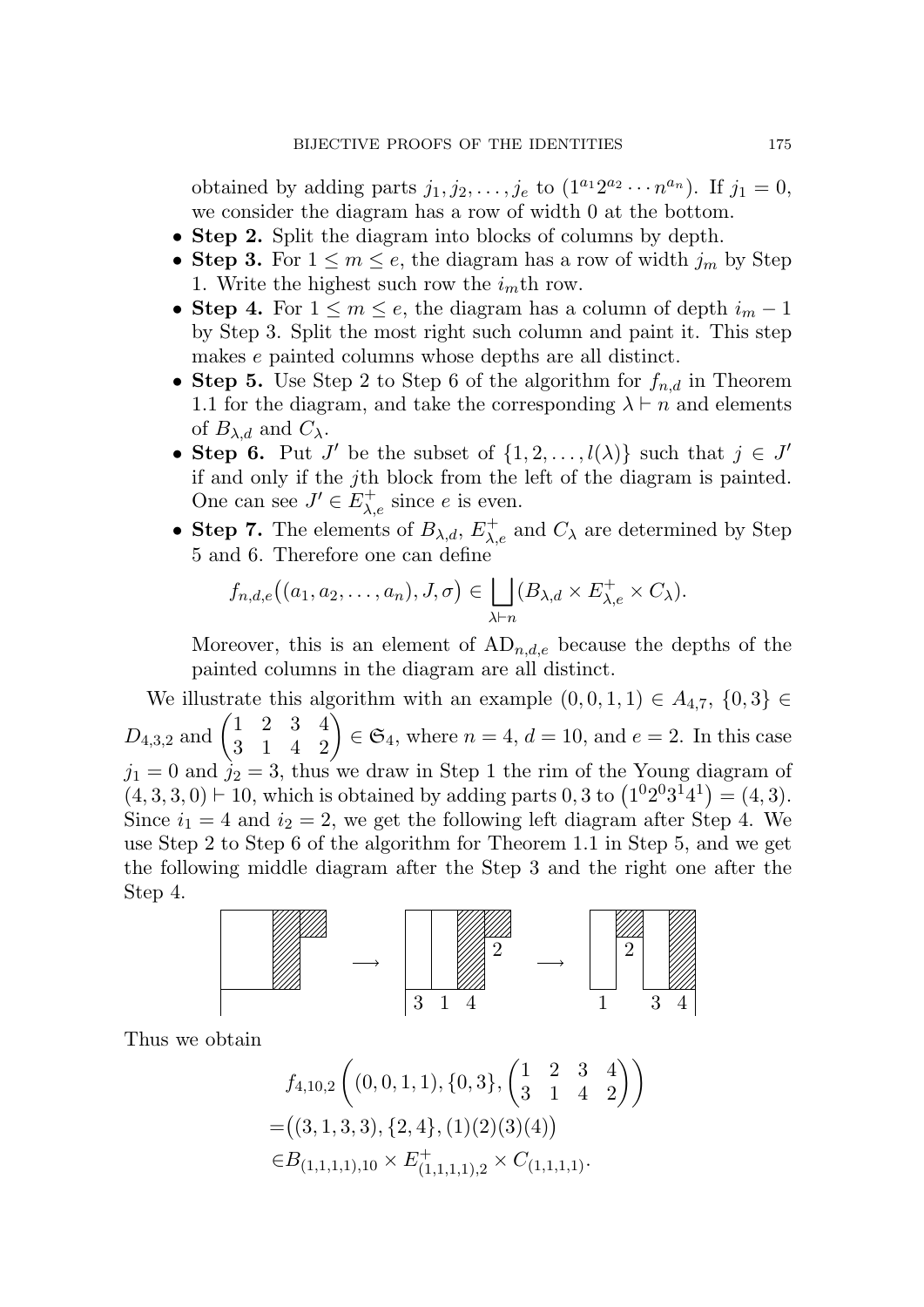obtained by adding parts  $j_1, j_2, \ldots, j_e$  to  $(1^{a_1}2^{a_2} \cdots n^{a_n})$ . If  $j_1 = 0$ , we consider the diagram has a row of width 0 at the bottom.

- *•* **Step 2.** Split the diagram into blocks of columns by depth.
- **Step 3.** For  $1 \leq m \leq e$ , the diagram has a row of width  $j_m$  by Step 1. Write the highest such row the  $i<sub>m</sub>$ <sup>th</sup> row.
- **Step 4.** For  $1 \leq m \leq e$ , the diagram has a column of depth  $i_m 1$ by Step 3. Split the most right such column and paint it. This step makes *e* painted columns whose depths are all distinct.
- **Step 5.** Use Step 2 to Step 6 of the algorithm for  $f_{n,d}$  in Theorem 1.1 for the diagram, and take the corresponding  $\lambda \vdash n$  and elements of  $B_{\lambda,d}$  and  $C_{\lambda}$ .
- **Step 6.** Put *J'* be the subset of  $\{1, 2, \ldots, l(\lambda)\}$  such that  $j \in J'$ if and only if the *j*th block from the left of the diagram is painted. One can see  $J' \in E^+_{\lambda,e}$  since *e* is even.
- **Step 7.** The elements of  $B_{\lambda,d}$ ,  $E_{\lambda,e}^+$  and  $C_{\lambda}$  are determined by Step 5 and 6. Therefore one can define

$$
f_{n,d,e}((a_1,a_2,\ldots,a_n),J,\sigma)\in \bigsqcup_{\lambda\vdash n}(B_{\lambda,d}\times E_{\lambda,e}^+\times C_{\lambda}).
$$

Moreover, this is an element of  $AD_{n,d,e}$  because the depths of the painted columns in the diagram are all distinct.

We illustrate this algorithm with an example  $(0, 0, 1, 1)$  ∈  $A_{4,7}$ ,  $\{0, 3\}$  ∈  $D_{4,3,2}$  and  $\begin{pmatrix} 1 & 2 & 3 & 4 \\ 3 & 1 & 4 & 2 \end{pmatrix} \in \mathfrak{S}_4$ , where  $n = 4$ ,  $d = 10$ , and  $e = 2$ . In this case  $j_1 = 0$  and  $j_2 = 3$ , thus we draw in Step 1 the rim of the Young diagram of  $(4,3,3,0) \vdash 10$ , which is obtained by adding parts 0, 3 to  $(1^02^03^14^1) = (4,3)$ . Since  $i_1 = 4$  and  $i_2 = 2$ , we get the following left diagram after Step 4. We use Step 2 to Step 6 of the algorithm for Theorem 1.1 in Step 5, and we get the following middle diagram after the Step 3 and the right one after the Step 4.



Thus we obtain

$$
f_{4,10,2}\left((0,0,1,1),\{0,3\},\begin{pmatrix}1&2&3&4\\3&1&4&2\end{pmatrix}\right)
$$
  
=\left((3,1,3,3),\{2,4\},(1)(2)(3)(4)\right)  
 $\in B_{(1,1,1,1),10} \times E_{(1,1,1,1),2}^+ \times C_{(1,1,1,1)}.$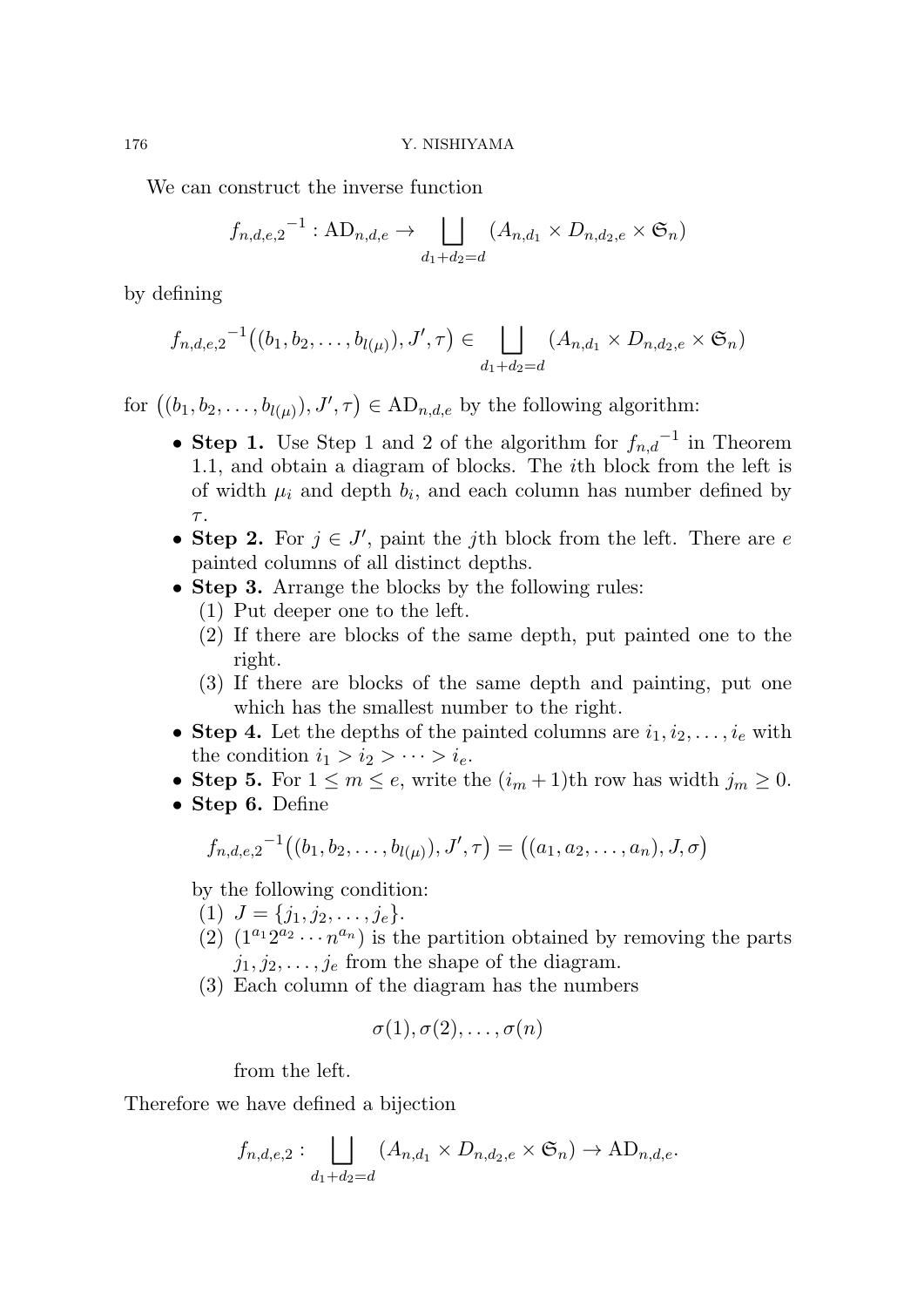We can construct the inverse function

$$
f_{n,d,e,2}^{-1} : \mathbf{AD}_{n,d,e} \to \bigsqcup_{d_1+d_2=d} (A_{n,d_1} \times D_{n,d_2,e} \times \mathfrak{S}_n)
$$

by defining

$$
f_{n,d,e,2}^{-1}((b_1,b_2,\ldots,b_{l(\mu)}),J',\tau) \in \bigsqcup_{d_1+d_2=d} (A_{n,d_1} \times D_{n,d_2,e} \times \mathfrak{S}_n)
$$

for  $((b_1, b_2, \ldots, b_{l(\mu)}), J', \tau) \in \text{AD}_{n,d,e}$  by the following algorithm:

- *•* **Step 1.** Use Step 1 and 2 of the algorithm for *fn,d −*1 in Theorem 1.1, and obtain a diagram of blocks. The *i*th block from the left is of width  $\mu_i$  and depth  $b_i$ , and each column has number defined by *τ* .
- **Step 2.** For  $j \in J'$ , paint the *j*th block from the left. There are *e* painted columns of all distinct depths.
- **Step 3.** Arrange the blocks by the following rules:
	- (1) Put deeper one to the left.
	- (2) If there are blocks of the same depth, put painted one to the right.
	- (3) If there are blocks of the same depth and painting, put one which has the smallest number to the right.
- **Step 4.** Let the depths of the painted columns are  $i_1, i_2, \ldots, i_e$  with the condition  $i_1 > i_2 > \cdots > i_e$ .
- **Step 5.** For  $1 \leq m \leq e$ , write the  $(i_m + 1)$ th row has width  $j_m \geq 0$ .
- *•* **Step 6.** Define

$$
f_{n,d,e,2}^{-1}((b_1,b_2,\ldots,b_{l(\mu)}),J',\tau) = ((a_1,a_2,\ldots,a_n),J,\sigma)
$$

by the following condition:

- $(1)$   $J = \{j_1, j_2, \ldots, j_e\}.$
- (2)  $(1^{a_1}2^{a_2}\cdots n^{a_n})$  is the partition obtained by removing the parts  $j_1, j_2, \ldots, j_e$  from the shape of the diagram.
- (3) Each column of the diagram has the numbers

$$
\sigma(1), \sigma(2), \ldots, \sigma(n)
$$

from the left.

Therefore we have defined a bijection

$$
f_{n,d,e,2} : \bigsqcup_{d_1+d_2=d} (A_{n,d_1} \times D_{n,d_2,e} \times \mathfrak{S}_n) \to \text{AD}_{n,d,e}.
$$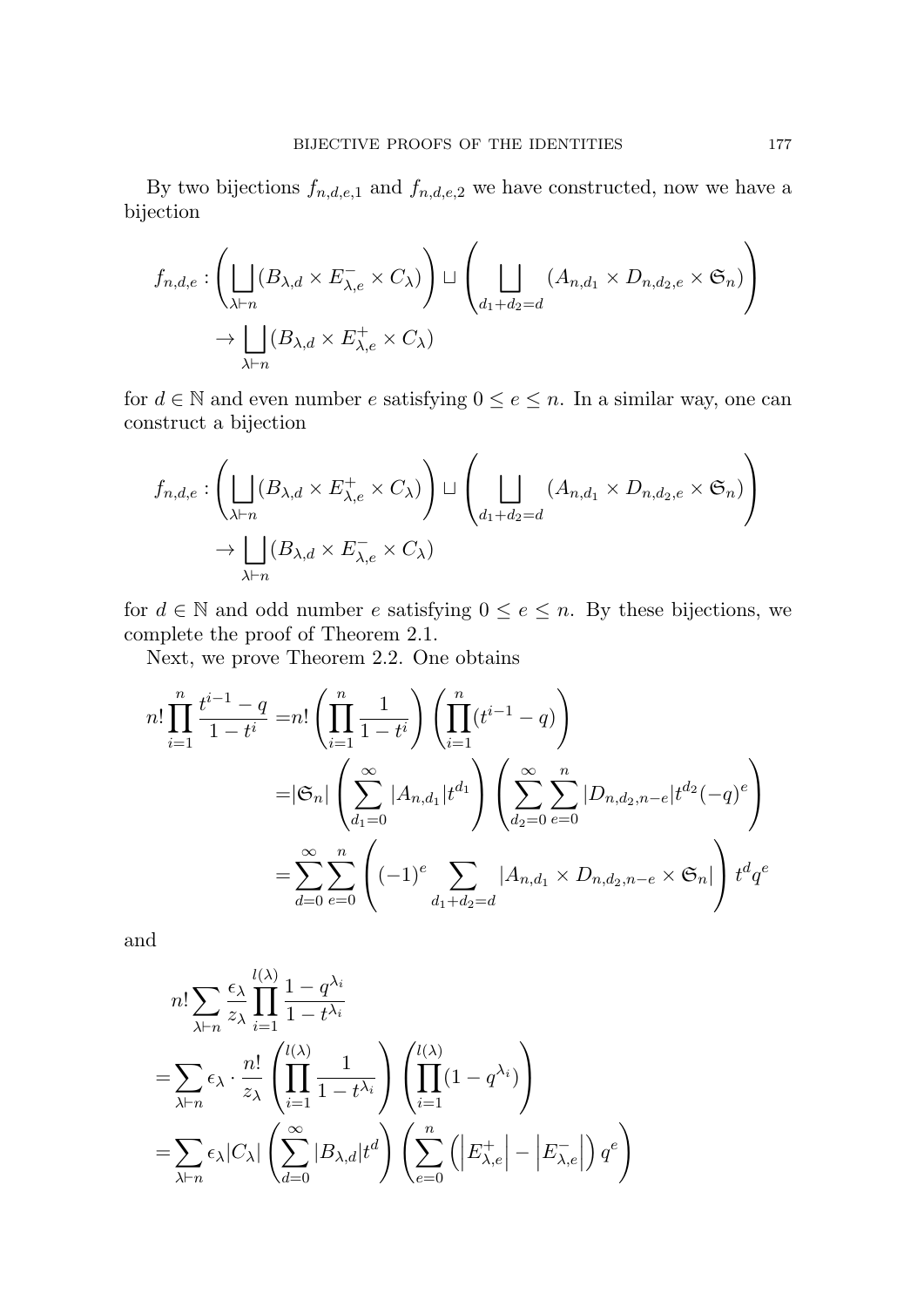By two bijections  $f_{n,d,e,1}$  and  $f_{n,d,e,2}$  we have constructed, now we have a bijection

$$
f_{n,d,e} : \left( \bigsqcup_{\lambda \vdash n} (B_{\lambda,d} \times E_{\lambda,e}^- \times C_{\lambda}) \right) \sqcup \left( \bigsqcup_{d_1 + d_2 = d} (A_{n,d_1} \times D_{n,d_2,e} \times \mathfrak{S}_n) \right)
$$
  

$$
\rightarrow \bigsqcup_{\lambda \vdash n} (B_{\lambda,d} \times E_{\lambda,e}^+ \times C_{\lambda})
$$

for  $d \in \mathbb{N}$  and even number  $e$  satisfying  $0 \le e \le n$ . In a similar way, one can construct a bijection

$$
f_{n,d,e} : \left( \bigsqcup_{\lambda \vdash n} (B_{\lambda,d} \times E_{\lambda,e}^+ \times C_{\lambda}) \right) \sqcup \left( \bigsqcup_{d_1 + d_2 = d} (A_{n,d_1} \times D_{n,d_2,e} \times \mathfrak{S}_n) \right)
$$
  

$$
\rightarrow \bigsqcup_{\lambda \vdash n} (B_{\lambda,d} \times E_{\lambda,e}^- \times C_{\lambda})
$$

for  $d \in \mathbb{N}$  and odd number  $e$  satisfying  $0 \le e \le n$ . By these bijections, we complete the proof of Theorem 2.1.

Next, we prove Theorem 2.2. One obtains

$$
n! \prod_{i=1}^{n} \frac{t^{i-1} - q}{1 - t^{i}} = n! \left( \prod_{i=1}^{n} \frac{1}{1 - t^{i}} \right) \left( \prod_{i=1}^{n} (t^{i-1} - q) \right)
$$
  

$$
= |\mathfrak{S}_n| \left( \sum_{d_1=0}^{\infty} |A_{n,d_1}| t^{d_1} \right) \left( \sum_{d_2=0}^{\infty} \sum_{e=0}^{n} |D_{n,d_2,n-e}| t^{d_2} (-q)^e \right)
$$
  

$$
= \sum_{d=0}^{\infty} \sum_{e=0}^{n} \left( (-1)^e \sum_{d_1+d_2=d} |A_{n,d_1} \times D_{n,d_2,n-e} \times \mathfrak{S}_n| \right) t^d q^e
$$

and

$$
n! \sum_{\lambda \vdash n} \frac{\epsilon_{\lambda}}{z_{\lambda}} \prod_{i=1}^{l(\lambda)} \frac{1 - q^{\lambda_i}}{1 - t^{\lambda_i}}
$$
  
= 
$$
\sum_{\lambda \vdash n} \epsilon_{\lambda} \cdot \frac{n!}{z_{\lambda}} \left( \prod_{i=1}^{l(\lambda)} \frac{1}{1 - t^{\lambda_i}} \right) \left( \prod_{i=1}^{l(\lambda)} (1 - q^{\lambda_i}) \right)
$$
  
= 
$$
\sum_{\lambda \vdash n} \epsilon_{\lambda} |C_{\lambda}| \left( \sum_{d=0}^{\infty} |B_{\lambda,d}| t^d \right) \left( \sum_{e=0}^{n} \left( \left| E_{\lambda,e}^{+} \right| - \left| E_{\lambda,e}^{-} \right| \right) q^e \right)
$$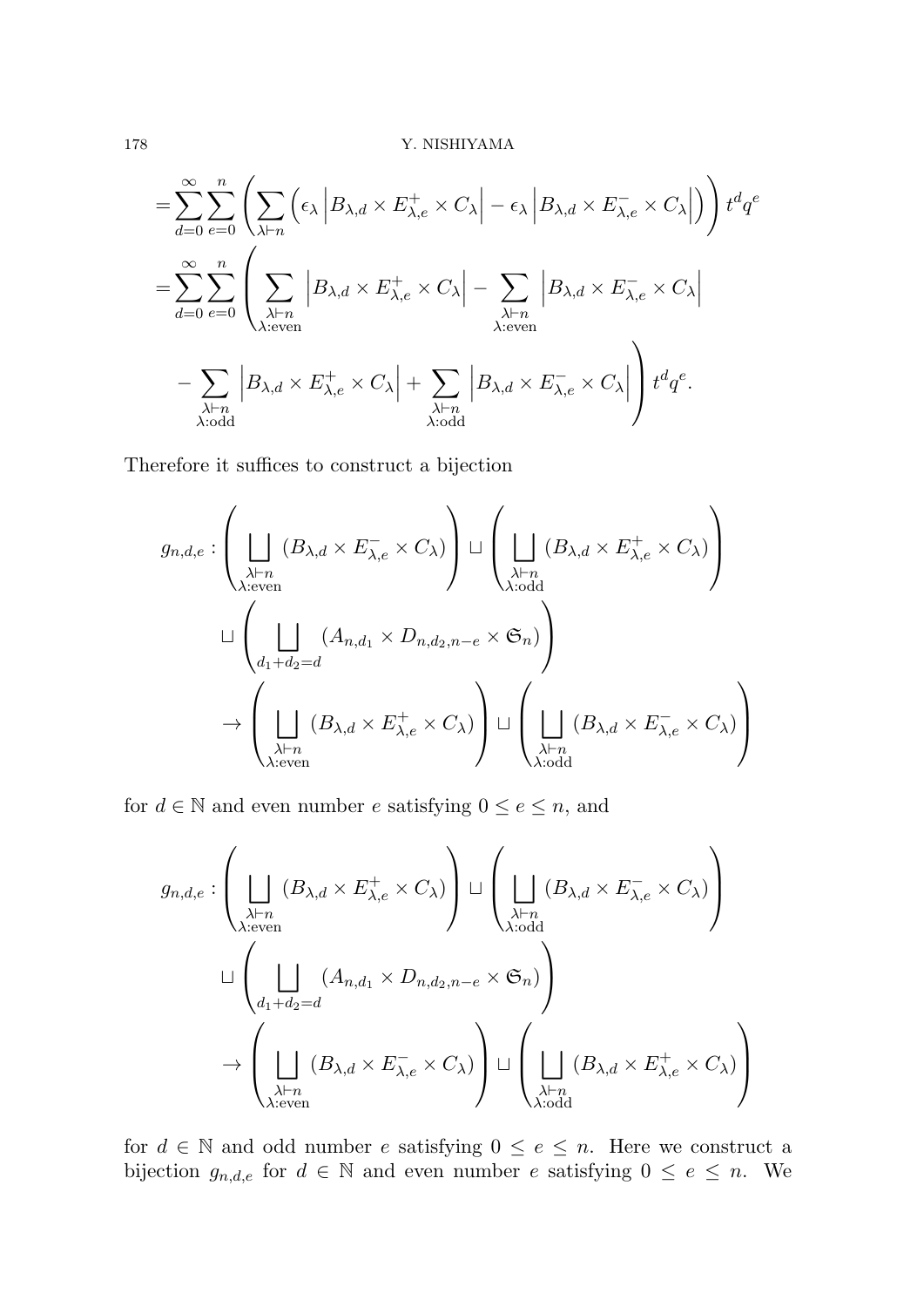$$
= \sum_{d=0}^{\infty} \sum_{e=0}^{n} \left( \sum_{\lambda \vdash n} \left( \epsilon_{\lambda} \left| B_{\lambda,d} \times E_{\lambda,e}^{+} \times C_{\lambda} \right| - \epsilon_{\lambda} \left| B_{\lambda,d} \times E_{\lambda,e}^{-} \times C_{\lambda} \right| \right) \right) t^{d} q^{e}
$$
  

$$
= \sum_{d=0}^{\infty} \sum_{e=0}^{n} \left( \sum_{\substack{\lambda \vdash n \\ \lambda: even}} \left| B_{\lambda,d} \times E_{\lambda,e}^{+} \times C_{\lambda} \right| - \sum_{\substack{\lambda \vdash n \\ \lambda: even}} \left| B_{\lambda,d} \times E_{\lambda,e}^{-} \times C_{\lambda} \right|
$$
  

$$
- \sum_{\substack{\lambda \vdash n \\ \lambda: odd}} \left| B_{\lambda,d} \times E_{\lambda,e}^{+} \times C_{\lambda} \right| + \sum_{\substack{\lambda \vdash n \\ \lambda: odd}} \left| B_{\lambda,d} \times E_{\lambda,e}^{-} \times C_{\lambda} \right| \right) t^{d} q^{e}.
$$

Therefore it suffices to construct a bijection

$$
g_{n,d,e} : \left( \bigcup_{\substack{\lambda \vdash n \\ \lambda : \text{even}}} (B_{\lambda,d} \times E_{\lambda,e}^{-} \times C_{\lambda}) \right) \sqcup \left( \bigcup_{\substack{\lambda \vdash n \\ \lambda : \text{odd}}} (B_{\lambda,d} \times E_{\lambda,e}^{+} \times C_{\lambda}) \right)
$$
  

$$
\sqcup \left( \bigcup_{\substack{d_1+d_2=d \\ \lambda \vdash n}} (A_{n,d_1} \times D_{n,d_2,n-e} \times \mathfrak{S}_n) \right)
$$
  

$$
\rightarrow \left( \bigcup_{\substack{\lambda \vdash n \\ \lambda : \text{even}}} (B_{\lambda,d} \times E_{\lambda,e}^{+} \times C_{\lambda}) \right) \sqcup \left( \bigcup_{\substack{\lambda \vdash n \\ \lambda : \text{odd}}} (B_{\lambda,d} \times E_{\lambda,e}^{-} \times C_{\lambda}) \right)
$$

for  $d \in \mathbb{N}$  and even number  $e$  satisfying  $0 \le e \le n$ , and

$$
g_{n,d,e} : \left( \bigcup_{\substack{\lambda \vdash n \\ \lambda : \text{even}}} (B_{\lambda,d} \times E_{\lambda,e}^+ \times C_{\lambda}) \right) \sqcup \left( \bigcup_{\substack{\lambda \vdash n \\ \lambda : \text{odd}}} (B_{\lambda,d} \times E_{\lambda,e}^- \times C_{\lambda}) \right)
$$
  

$$
\sqcup \left( \bigcup_{\substack{d_1 + d_2 = d \\ \lambda : \text{even}}} (A_{n,d_1} \times D_{n,d_2,n-e} \times \mathfrak{S}_n) \right)
$$
  

$$
\rightarrow \left( \bigcup_{\substack{\lambda \vdash n \\ \lambda : \text{even}}} (B_{\lambda,d} \times E_{\lambda,e}^- \times C_{\lambda}) \right) \sqcup \left( \bigcup_{\substack{\lambda \vdash n \\ \lambda : \text{odd}}} (B_{\lambda,d} \times E_{\lambda,e}^+ \times C_{\lambda}) \right)
$$

for  $d \in \mathbb{N}$  and odd number  $e$  satisfying  $0 \le e \le n$ . Here we construct a bijection  $g_{n,d,e}$  for  $d \in \mathbb{N}$  and even number  $e$  satisfying  $0 \le e \le n$ . We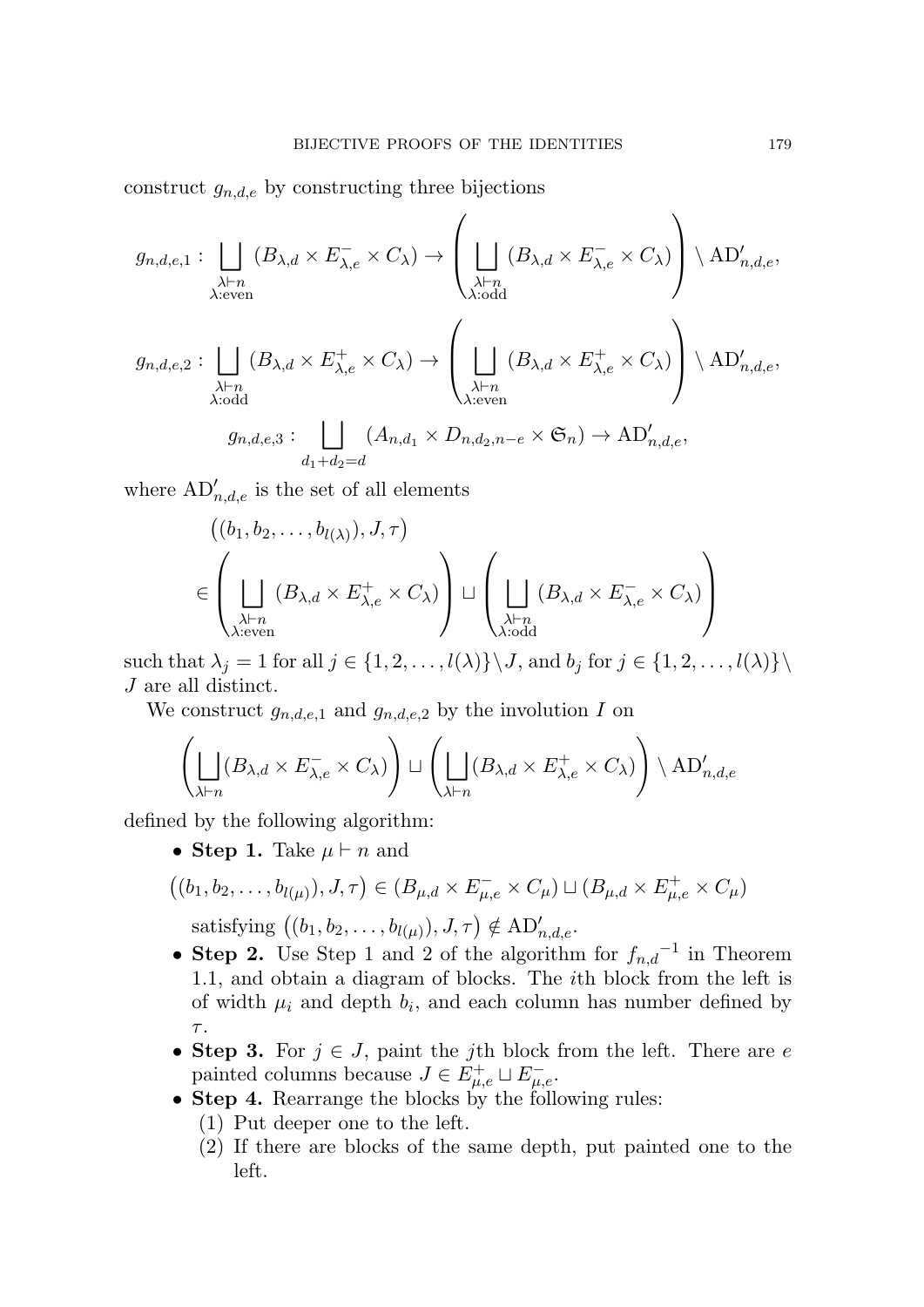construct  $g_{n,d,e}$  by constructing three bijections

$$
g_{n,d,e,1}: \bigsqcup_{\substack{\lambda\vdash n\\ \lambda: \text{even}}} (B_{\lambda,d} \times E_{\lambda,e}^{-} \times C_{\lambda}) \to \left(\bigsqcup_{\substack{\lambda\vdash n\\ \lambda: \text{odd}}} (B_{\lambda,d} \times E_{\lambda,e}^{-} \times C_{\lambda})\right) \setminus \mathrm{AD}_{n,d,e}^{\prime},
$$

$$
g_{n,d,e,2}: \bigsqcup_{\substack{\lambda\vdash n\\ \lambda: \text{odd}}} (B_{\lambda,d} \times E_{\lambda,e}^{+} \times C_{\lambda}) \to \left(\bigsqcup_{\substack{\lambda\vdash n\\ \lambda: \text{even}}} (B_{\lambda,d} \times E_{\lambda,e}^{+} \times C_{\lambda})\right) \setminus \mathrm{AD}_{n,d,e}^{\prime},
$$

$$
g_{n,d,e,3}: \bigsqcup_{d_1+d_2=d} (A_{n,d_1} \times D_{n,d_2,n-e} \times \mathfrak{S}_n) \to \mathrm{AD}_{n,d,e}^{\prime},
$$

where  $AD'_{n,d,e}$  is the set of all elements

$$
\left(\left(b_1, b_2, \ldots, b_{l(\lambda)}\right), J, \tau\right)
$$
\n
$$
\in \left(\bigsqcup_{\substack{\lambda \vdash n \\ \lambda:\text{even}}} (B_{\lambda,d} \times E_{\lambda,e}^+ \times C_{\lambda})\right) \sqcup \left(\bigsqcup_{\substack{\lambda \vdash n \\ \lambda:\text{odd}}} (B_{\lambda,d} \times E_{\lambda,e}^- \times C_{\lambda})\right)
$$

such that  $\lambda_j = 1$  for all  $j \in \{1, 2, ..., l(\lambda)\} \setminus J$ , and  $b_j$  for  $j \in \{1, 2, ..., l(\lambda)\} \setminus J$ *J* are all distinct.

We construct  $g_{n,d,e,1}$  and  $g_{n,d,e,2}$  by the involution *I* on

$$
\left(\bigsqcup_{\lambda \vdash n} (B_{\lambda,d} \times E_{\lambda,e}^{-} \times C_{\lambda})\right) \sqcup \left(\bigsqcup_{\lambda \vdash n} (B_{\lambda,d} \times E_{\lambda,e}^{+} \times C_{\lambda})\right) \setminus \mathrm{AD}'_{n,d,e}
$$

defined by the following algorithm:

*•* **Step 1.** Take *µ ⊢ n* and

$$
((b_1, b_2, \ldots, b_{l(\mu)}), J, \tau) \in (B_{\mu,d} \times E_{\mu,e}^- \times C_{\mu}) \sqcup (B_{\mu,d} \times E_{\mu,e}^+ \times C_{\mu})
$$

satisfying  $((b_1, b_2, \ldots, b_{l(\mu)}), J, \tau) \notin \text{AD}'_{n,d,e}$ .

- *•* **Step 2.** Use Step 1 and 2 of the algorithm for *fn,d −*1 in Theorem 1.1, and obtain a diagram of blocks. The *i*th block from the left is of width  $\mu_i$  and depth  $b_i$ , and each column has number defined by *τ* .
- **Step 3.** For  $j \in J$ , paint the *j*th block from the left. There are *e* painted columns because  $J \in E_{\mu,e}^+ \sqcup E_{\mu,e}^-$ .
- *•* **Step 4.** Rearrange the blocks by the following rules:
	- (1) Put deeper one to the left.
	- (2) If there are blocks of the same depth, put painted one to the left.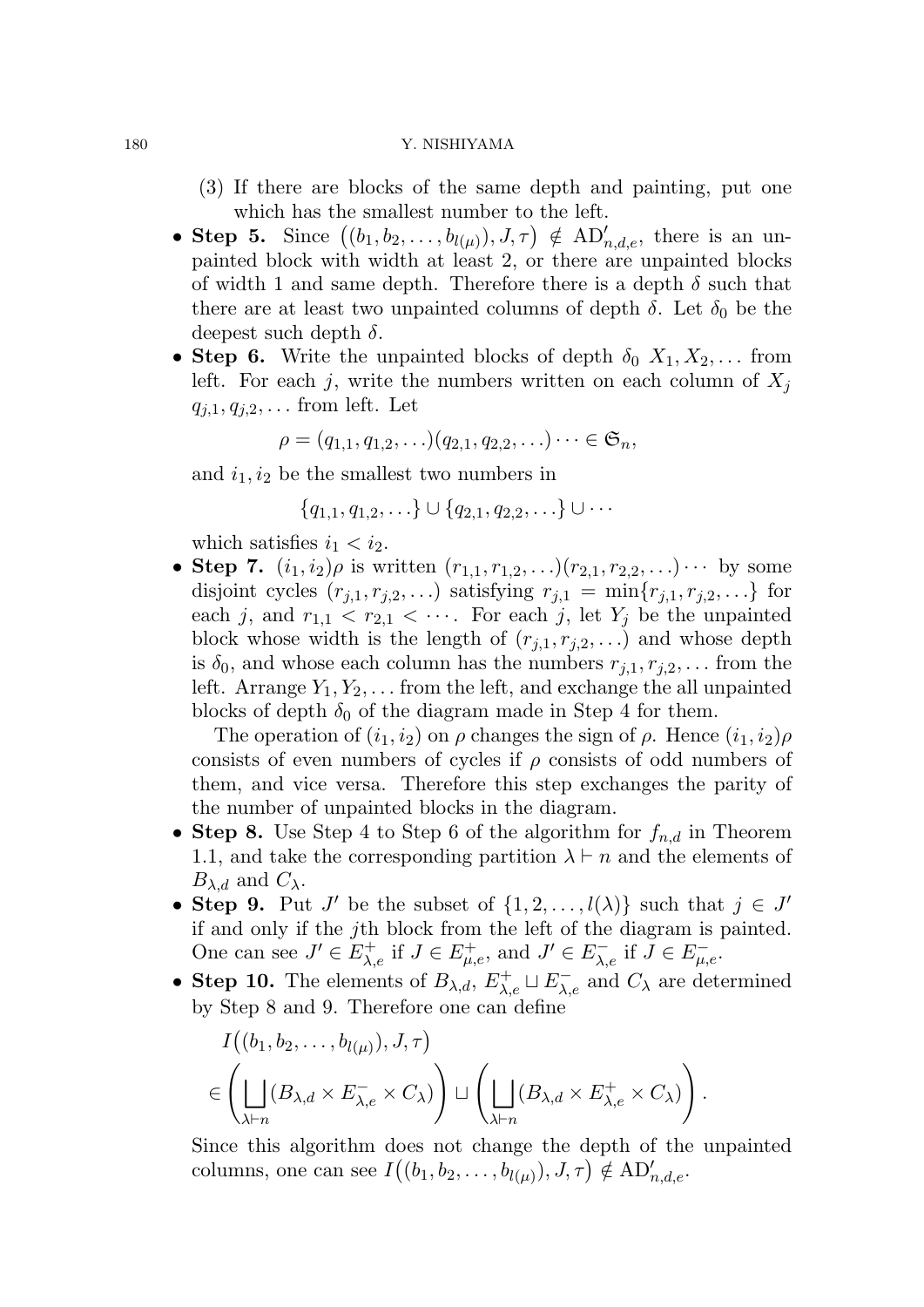#### 180 Y. NISHIYAMA

- (3) If there are blocks of the same depth and painting, put one which has the smallest number to the left.
- **Step 5.** Since  $((b_1, b_2, \ldots, b_{l(\mu)}), J, \tau) \notin AD'_{n,d,e}$ , there is an unpainted block with width at least 2, or there are unpainted blocks of width 1 and same depth. Therefore there is a depth  $\delta$  such that there are at least two unpainted columns of depth  $\delta$ . Let  $\delta_0$  be the deepest such depth *δ*.
- **Step 6.** Write the unpainted blocks of depth  $\delta_0$   $X_1, X_2, \ldots$  from left. For each *j*, write the numbers written on each column of  $X_j$  $q_{i,1}, q_{i,2}, \ldots$  from left. Let

$$
\rho = (q_{1,1}, q_{1,2}, \ldots)(q_{2,1}, q_{2,2}, \ldots) \cdots \in \mathfrak{S}_n,
$$

and  $i_1, i_2$  be the smallest two numbers in

$$
\{q_{1,1}, q_{1,2}, \ldots\} \cup \{q_{2,1}, q_{2,2}, \ldots\} \cup \cdots
$$

which satisfies  $i_1 < i_2$ .

• **Step 7.**  $(i_1, i_2)\rho$  is written  $(r_{1,1}, r_{1,2}, \ldots)(r_{2,1}, r_{2,2}, \ldots) \cdots$  by some disjoint cycles  $(r_{j,1}, r_{j,2}, \ldots)$  satisfying  $r_{j,1} = \min\{r_{j,1}, r_{j,2}, \ldots\}$  for each *j*, and  $r_{1,1} < r_{2,1} < \cdots$ . For each *j*, let  $Y_j$  be the unpainted block whose width is the length of  $(r_{j,1}, r_{j,2}, \ldots)$  and whose depth is  $\delta_0$ , and whose each column has the numbers  $r_{j,1}, r_{j,2}, \ldots$  from the left. Arrange  $Y_1, Y_2, \ldots$  from the left, and exchange the all unpainted blocks of depth  $\delta_0$  of the diagram made in Step 4 for them.

The operation of  $(i_1, i_2)$  on  $\rho$  changes the sign of  $\rho$ . Hence  $(i_1, i_2)\rho$ consists of even numbers of cycles if *ρ* consists of odd numbers of them, and vice versa. Therefore this step exchanges the parity of the number of unpainted blocks in the diagram.

- *•* **Step 8.** Use Step 4 to Step 6 of the algorithm for *fn,d* in Theorem 1.1, and take the corresponding partition  $\lambda \vdash n$  and the elements of  $B_{\lambda,d}$  and  $C_{\lambda}$ .
- **Step 9.** Put *J'* be the subset of  $\{1, 2, \ldots, l(\lambda)\}$  such that  $j \in J'$ if and only if the *j*th block from the left of the diagram is painted. One can see  $J' \in E_{\lambda,e}^+$  if  $J \in E_{\mu,e}^+$ , and  $J' \in E_{\lambda,e}^-$  if  $\overline{J} \in E_{\mu,e}^-$ .
- **Step 10.** The elements of  $B_{\lambda,d}$ ,  $E_{\lambda,e}^+ \sqcup E_{\lambda,e}^-$  and  $C_{\lambda}$  are determined by Step 8 and 9. Therefore one can define

$$
I((b_1, b_2, \dots, b_{l(\mu)}), J, \tau)
$$
  

$$
\in \left( \bigsqcup_{\lambda \vdash n} (B_{\lambda,d} \times E_{\lambda,e}^{-} \times C_{\lambda}) \right) \sqcup \left( \bigsqcup_{\lambda \vdash n} (B_{\lambda,d} \times E_{\lambda,e}^{+} \times C_{\lambda}) \right).
$$

Since this algorithm does not change the depth of the unpainted columns, one can see  $I((b_1, b_2, \ldots, b_{l(\mu)}), J, \tau) \notin \text{AD}'_{n,d,e}$ .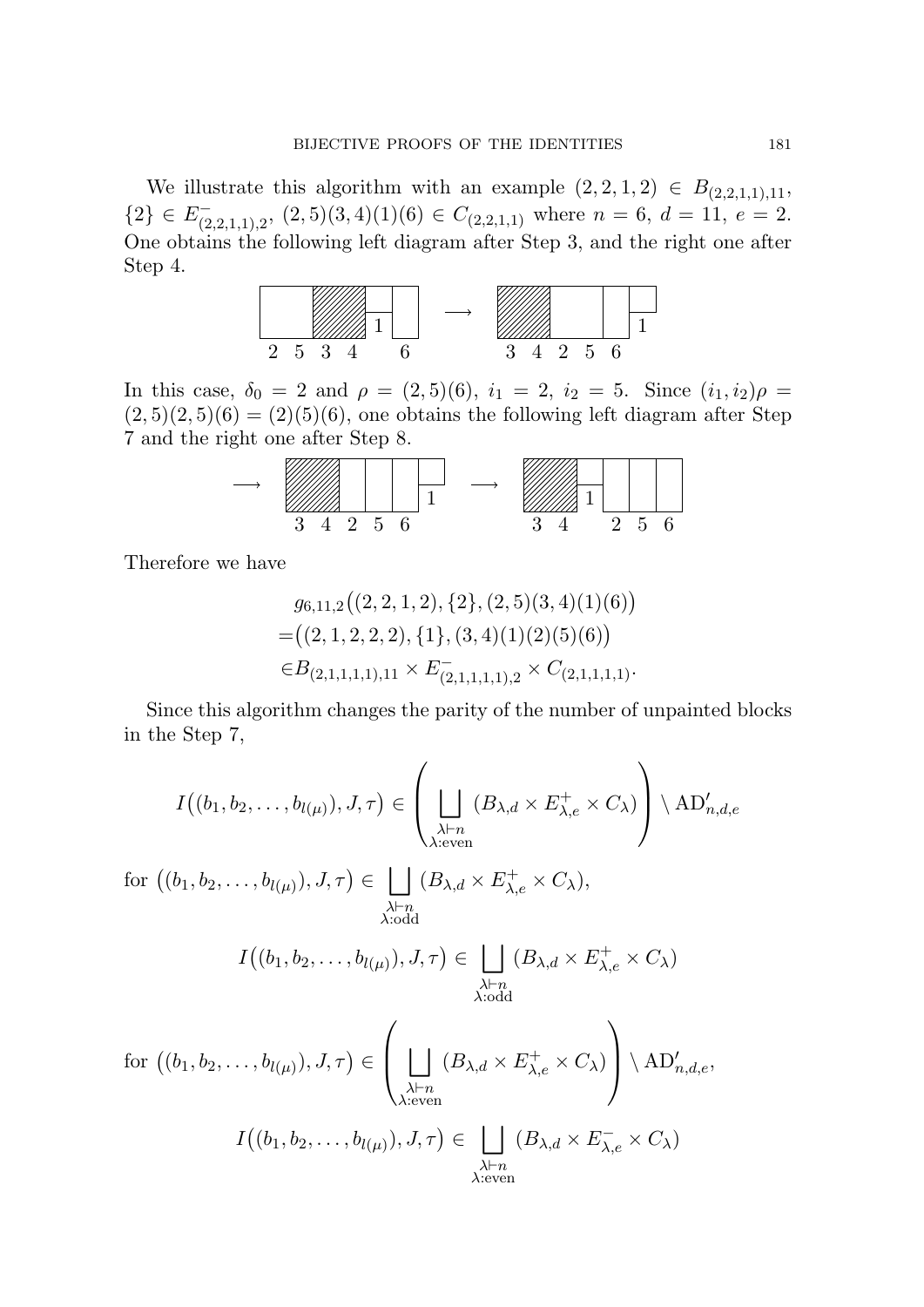We illustrate this algorithm with an example  $(2, 2, 1, 2) \in B_{(2,2,1,1),11}$ ,  ${2} \in E^-_{(2,2,1,1),2}, (2,5)(3,4)(1)(6) \in C_{(2,2,1,1)}$  where  $n = 6, d = 11, e = 2$ . One obtains the following left diagram after Step 3, and the right one after Step 4.



In this case,  $\delta_0 = 2$  and  $\rho = (2, 5)(6)$ ,  $i_1 = 2$ ,  $i_2 = 5$ . Since  $(i_1, i_2)\rho =$  $(2,5)(2,5)(6) = (2)(5)(6)$ , one obtains the following left diagram after Step 7 and the right one after Step 8.



Therefore we have

$$
g_{6,11,2}((2,2,1,2),\{2\},(2,5)(3,4)(1)(6))
$$
  
=((2,1,2,2,2),\{1\},(3,4)(1)(2)(5)(6))  

$$
\in B_{(2,1,1,1,1),11} \times E_{(2,1,1,1,1),2}^{-} \times C_{(2,1,1,1,1)}.
$$

Since this algorithm changes the parity of the number of unpainted blocks in the Step 7,

$$
I((b_1, b_2, \dots, b_{l(\mu)}), J, \tau) \in \left(\bigcup_{\substack{\lambda \vdash n \\ \lambda : \text{even}}} (B_{\lambda, d} \times E_{\lambda, e}^+ \times C_{\lambda})\right) \setminus \mathrm{AD}_{n, d, e}'
$$

 $\text{for } ((b_1, b_2, \ldots, b_{l(\mu)}), J, \tau) \in$ *λ⊢n λ*:odd  $(B_{\lambda,d} \times E_{\lambda,e}^+ \times C_{\lambda}),$ 

$$
I((b_1, b_2, \dots, b_{l(\mu)}), J, \tau) \in \bigsqcup_{\substack{\lambda \vdash n \\ \lambda : \text{odd}}} (B_{\lambda, d} \times E_{\lambda, e}^+ \times C_{\lambda})
$$

for 
$$
((b_1, b_2, ..., b_{l(\mu)}), J, \tau) \in \left(\bigcup_{\substack{\lambda \vdash n \\ \lambda \text{: even}}} (B_{\lambda,d} \times E_{\lambda,e}^+ \times C_{\lambda})\right) \setminus \mathrm{AD}'_{n,d,e},
$$
  

$$
I((b_1, b_2, ..., b_{l(\mu)}), J, \tau) \in \bigcup_{\substack{\lambda \vdash n \\ \lambda \text{: even}}} (B_{\lambda,d} \times E_{\lambda,e}^- \times C_{\lambda})
$$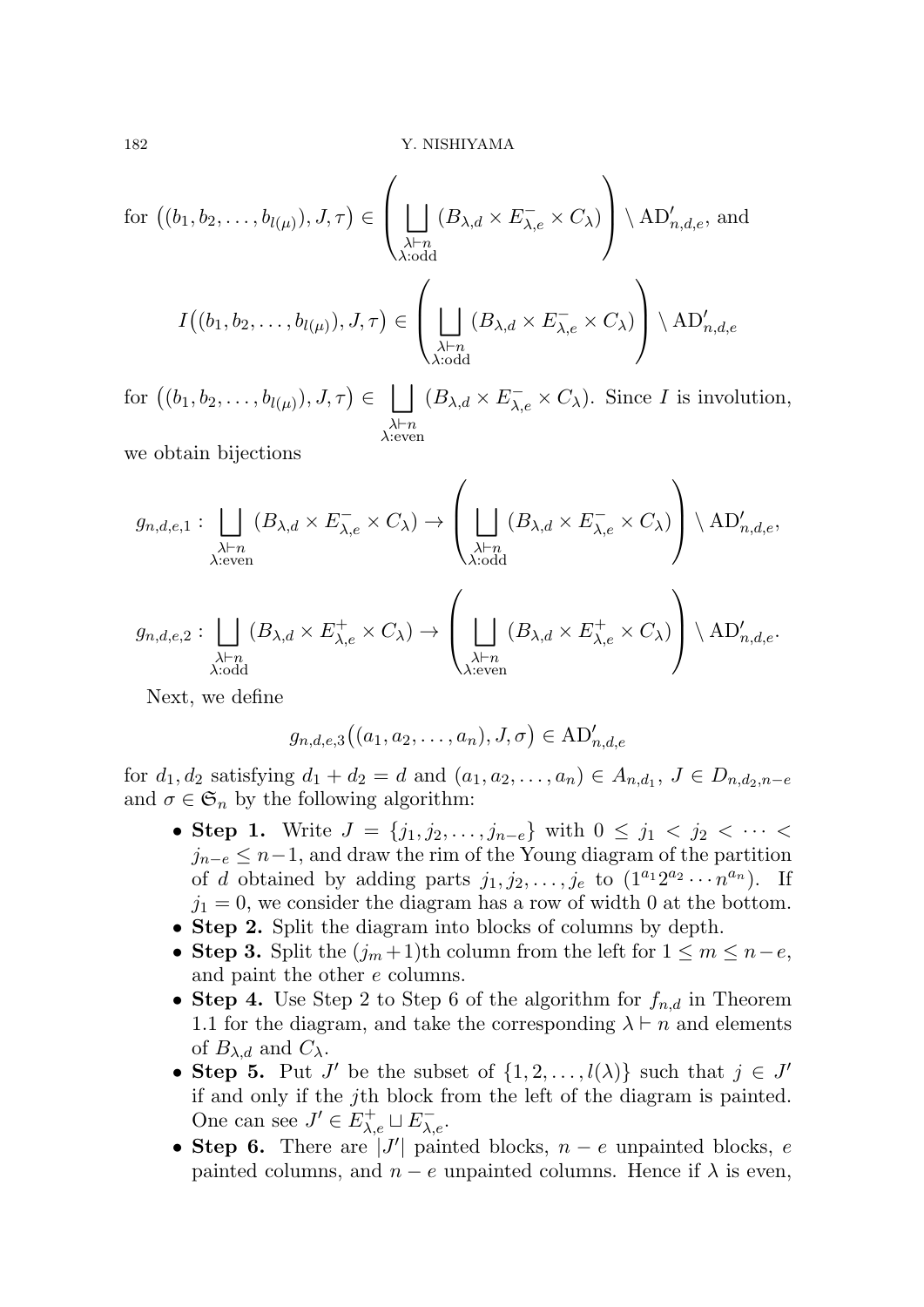for 
$$
((b_1, b_2, ..., b_{l(\mu)}), J, \tau) \in \left(\bigcup_{\substack{\lambda \vdash n \\ \lambda : \text{odd}}} (B_{\lambda, d} \times E_{\lambda, e}^{-} \times C_{\lambda})\right) \setminus \mathrm{AD}_{n, d, e}',
$$
 and

$$
I\big((b_1, b_2, \ldots, b_{l(\mu)}), J, \tau\big) \in \left(\bigsqcup_{\substack{\lambda \vdash n \\ \lambda : \text{odd}}} (B_{\lambda, d} \times E_{\lambda, e}^- \times C_\lambda)\right) \setminus \mathrm{AD}_{n, d, e}'
$$

 $\text{for } ((b_1, b_2, \ldots, b_{l(\mu)}), J, \tau) \in \Box$ *λ⊢n λ*:even  $(B_{\lambda,d} \times E_{\lambda,e}^- \times C_{\lambda}).$  Since *I* is involution,

we obtain bijections

$$
g_{n,d,e,1}: \bigcup_{\substack{\lambda\vdash n\\ \lambda:\text{even}}} (B_{\lambda,d}\times E_{\lambda,e}^{-}\times C_{\lambda}) \to \left(\bigcup_{\substack{\lambda\vdash n\\ \lambda:\text{odd}}} (B_{\lambda,d}\times E_{\lambda,e}^{-}\times C_{\lambda})\right) \setminus \mathrm{AD}_{n,d,e}',
$$

$$
g_{n,d,e,2}: \bigcup_{\substack{\lambda\vdash n\\ \lambda:\text{odd}}} (B_{\lambda,d}\times E_{\lambda,e}^{+}\times C_{\lambda}) \to \left(\bigcup_{\substack{\lambda\vdash n\\ \lambda:\text{even}}} (B_{\lambda,d}\times E_{\lambda,e}^{+}\times C_{\lambda})\right) \setminus \mathrm{AD}_{n,d,e}'.
$$

Next, we define

$$
g_{n,d,e,3}((a_1,a_2,\ldots,a_n),J,\sigma) \in \mathrm{AD}'_{n,d,e}
$$

for  $d_1, d_2$  satisfying  $d_1 + d_2 = d$  and  $(a_1, a_2, \ldots, a_n) \in A_{n,d_1}, J \in D_{n,d_2,n-e}$ and  $\sigma \in \mathfrak{S}_n$  by the following algorithm:

- **Step 1.** Write *J* = { $j_1, j_2, \ldots, j_{n-e}$ } with 0 ≤  $j_1$  <  $j_2$  <  $\cdots$  <  $j_{n-e} \leq n-1$ , and draw the rim of the Young diagram of the partition of *d* obtained by adding parts  $j_1, j_2, \ldots, j_e$  to  $(1^{a_1}2^{a_2} \cdots n^{a_n})$ . If  $j_1 = 0$ , we consider the diagram has a row of width 0 at the bottom.
- *•* **Step 2.** Split the diagram into blocks of columns by depth.
- **Step 3.** Split the  $(j_m+1)$ th column from the left for  $1 ≤ m ≤ n e$ , and paint the other *e* columns.
- **Step 4.** Use Step 2 to Step 6 of the algorithm for  $f_{n,d}$  in Theorem 1.1 for the diagram, and take the corresponding  $\lambda \vdash n$  and elements of  $B_{\lambda,d}$  and  $C_{\lambda}$ .
- **Step 5.** Put *J'* be the subset of  $\{1, 2, \ldots, l(\lambda)\}$  such that  $j \in J'$ if and only if the *j*th block from the left of the diagram is painted. One can see  $J' \in E_{\lambda,e}^+ \sqcup E_{\lambda,e}^-$ .
- *•* **Step 6.** There are *|J ′ |* painted blocks, *n − e* unpainted blocks, *e* painted columns, and  $n - e$  unpainted columns. Hence if  $\lambda$  is even,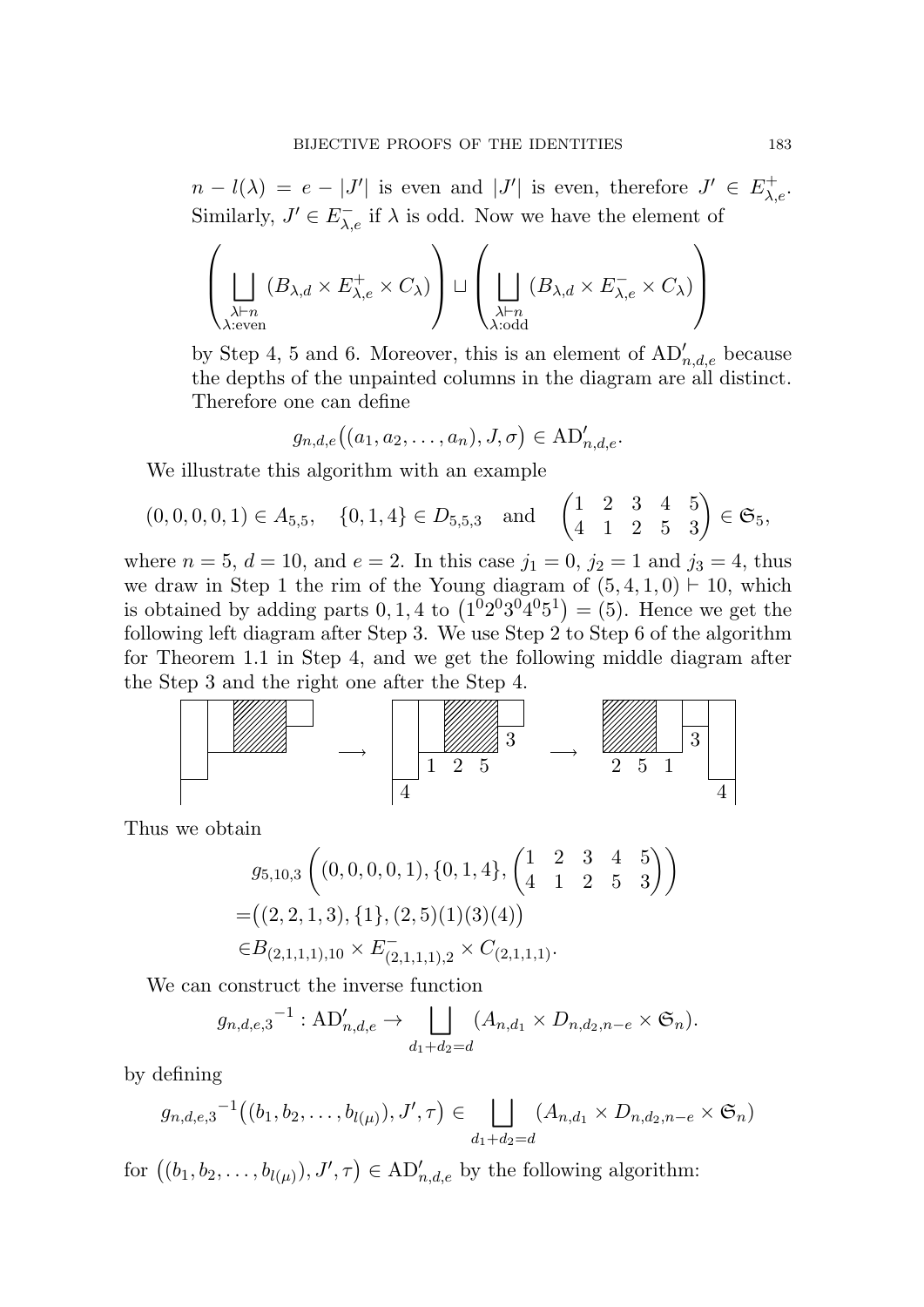$n - l(\lambda) = e - |J'|$  is even and  $|J'|$  is even, therefore  $J' \in E^+_{\lambda,e}$ . Similarly,  $J' \in E_{\lambda, e}^-$  if  $\lambda$  is odd. Now we have the element of

$$
\left(\bigsqcup_{\substack{\lambda \vdash n \\ \lambda : \text{even}}} (B_{\lambda,d} \times E_{\lambda,e}^+ \times C_{\lambda})\right) \sqcup \left(\bigsqcup_{\substack{\lambda \vdash n \\ \lambda : \text{odd}}} (B_{\lambda,d} \times E_{\lambda,e}^- \times C_{\lambda})\right)
$$

by Step 4, 5 and 6. Moreover, this is an element of  $AD'_{n,d,e}$  because the depths of the unpainted columns in the diagram are all distinct. Therefore one can define

$$
g_{n,d,e}((a_1,a_2,\ldots,a_n),J,\sigma) \in \operatorname{AD}'_{n,d,e}.
$$

We illustrate this algorithm with an example

$$
(0,0,0,0,1) \in A_{5,5}
$$
,  $\{0,1,4\} \in D_{5,5,3}$  and  $\begin{pmatrix} 1 & 2 & 3 & 4 & 5 \\ 4 & 1 & 2 & 5 & 3 \end{pmatrix} \in \mathfrak{S}_5$ ,

where  $n = 5$ ,  $d = 10$ , and  $e = 2$ . In this case  $j_1 = 0$ ,  $j_2 = 1$  and  $j_3 = 4$ , thus we draw in Step 1 the rim of the Young diagram of  $(5, 4, 1, 0) \vdash 10$ , which is obtained by adding parts  $0, 1, 4$  to  $(1^02^03^04^05^1) = (5)$ . Hence we get the following left diagram after Step 3. We use Step 2 to Step 6 of the algorithm for Theorem 1.1 in Step 4, and we get the following middle diagram after the Step 3 and the right one after the Step 4.



Thus we obtain

$$
g_{5,10,3}\left((0,0,0,0,1),\{0,1,4\},\begin{pmatrix}1&2&3&4&5\\4&1&2&5&3\end{pmatrix}\right)
$$
  
=\left((2,2,1,3),\{1\},(2,5)(1)(3)(4)\right)  

$$
\in B_{(2,1,1,1),10}\times E_{(2,1,1,1),2}^{-} \times C_{(2,1,1,1)}.
$$

We can construct the inverse function

$$
g_{n,d,e,3}^{-1} : \mathbf{AD}'_{n,d,e} \to \bigsqcup_{d_1+d_2=d} (A_{n,d_1} \times D_{n,d_2,n-e} \times \mathfrak{S}_n).
$$

by defining

$$
g_{n,d,e,3}^{-1}((b_1,b_2,\ldots,b_{l(\mu)}),J',\tau) \in \bigsqcup_{d_1+d_2=d} (A_{n,d_1} \times D_{n,d_2,n-e} \times \mathfrak{S}_n)
$$

for  $((b_1, b_2, \ldots, b_{l(\mu)}), J', \tau) \in \mathrm{AD}'_{n,d,e}$  by the following algorithm: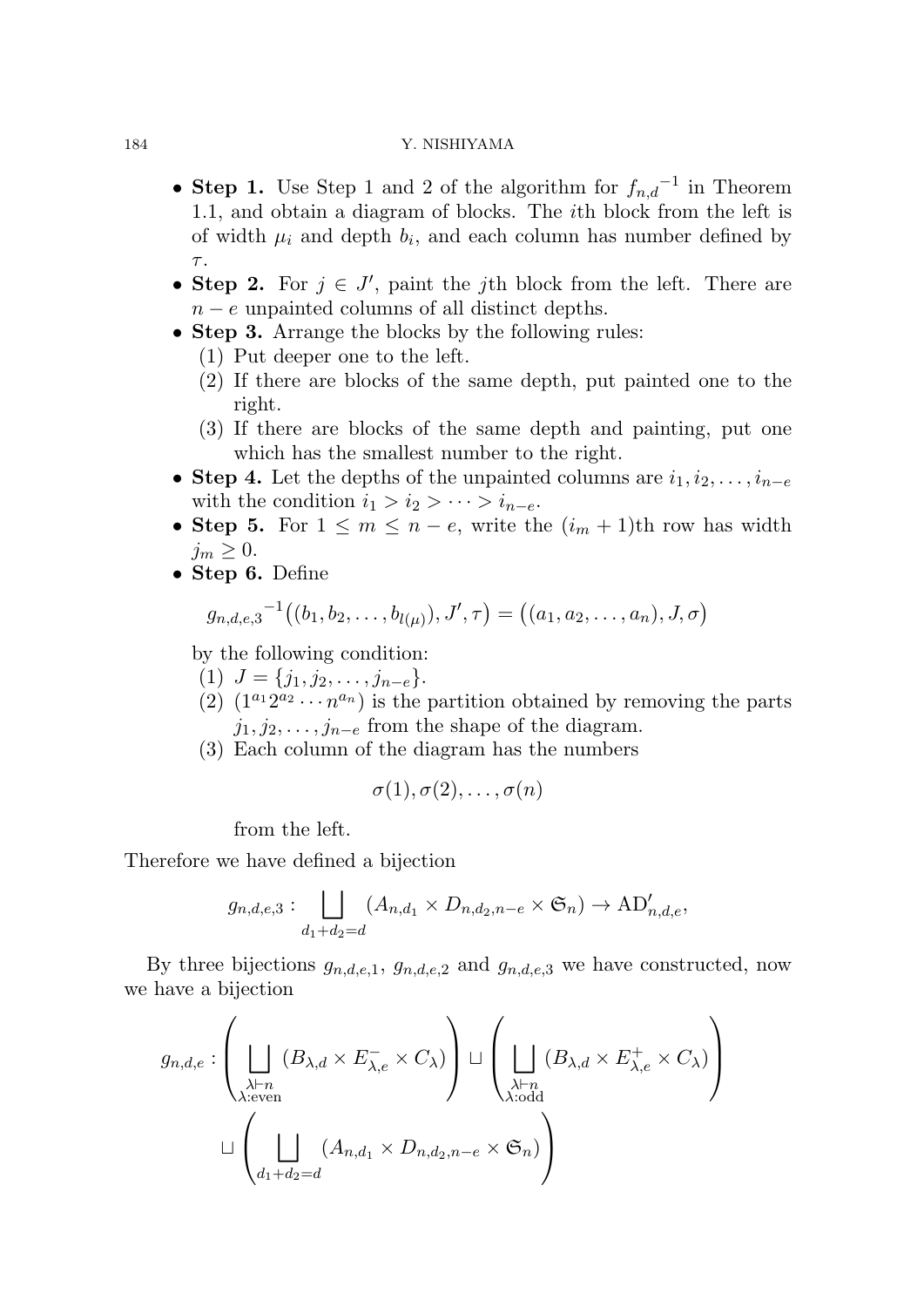## 184 Y. NISHIYAMA

- *•* **Step 1.** Use Step 1 and 2 of the algorithm for *fn,d −*1 in Theorem 1.1, and obtain a diagram of blocks. The *i*th block from the left is of width  $\mu_i$  and depth  $b_i$ , and each column has number defined by *τ* .
- **Step 2.** For  $j \in J'$ , paint the *j*th block from the left. There are *n* − *e* unpainted columns of all distinct depths.
- **Step 3.** Arrange the blocks by the following rules:
	- (1) Put deeper one to the left.
	- (2) If there are blocks of the same depth, put painted one to the right.
	- (3) If there are blocks of the same depth and painting, put one which has the smallest number to the right.
- *•* **Step 4.** Let the depths of the unpainted columns are *i*1*, i*2*, . . . , in−<sup>e</sup>* with the condition  $i_1 > i_2 > \cdots > i_{n-e}$ .
- **Step 5.** For  $1 \leq m \leq n e$ , write the  $(i_m + 1)$ th row has width  $j_m \geq 0$ .
- *•* **Step 6.** Define

$$
g_{n,d,e,3}^{-1}((b_1,b_2,\ldots,b_{l(\mu)}),J',\tau) = ((a_1,a_2,\ldots,a_n),J,\sigma)
$$

by the following condition:

- $(1)$   $J = \{j_1, j_2, \ldots, j_{n-e}\}.$
- (2)  $(1^{a_1}2^{a_2}\cdots n^{a_n})$  is the partition obtained by removing the parts *j*1*, j*2*, . . . , jn−<sup>e</sup>* from the shape of the diagram.
- (3) Each column of the diagram has the numbers

$$
\sigma(1), \sigma(2), \ldots, \sigma(n)
$$

from the left.

Therefore we have defined a bijection

$$
g_{n,d,e,3} : \bigsqcup_{d_1+d_2=d} (A_{n,d_1} \times D_{n,d_2,n-e} \times \mathfrak{S}_n) \to \mathbf{AD}'_{n,d,e},
$$

By three bijections  $g_{n,d,e,1}$ ,  $g_{n,d,e,2}$  and  $g_{n,d,e,3}$  we have constructed, now we have a bijection

$$
g_{n,d,e}: \left(\bigsqcup_{\substack{\lambda \vdash n \\ \lambda: \text{even}}} (B_{\lambda,d} \times E_{\lambda,e}^{-} \times C_{\lambda})\right) \sqcup \left(\bigsqcup_{\substack{\lambda \vdash n \\ \lambda: \text{odd}}} (B_{\lambda,d} \times E_{\lambda,e}^{+} \times C_{\lambda})\right)
$$

$$
\sqcup \left(\bigsqcup_{d_1+d_2=d} (A_{n,d_1} \times D_{n,d_2,n-e} \times \mathfrak{S}_n)\right)
$$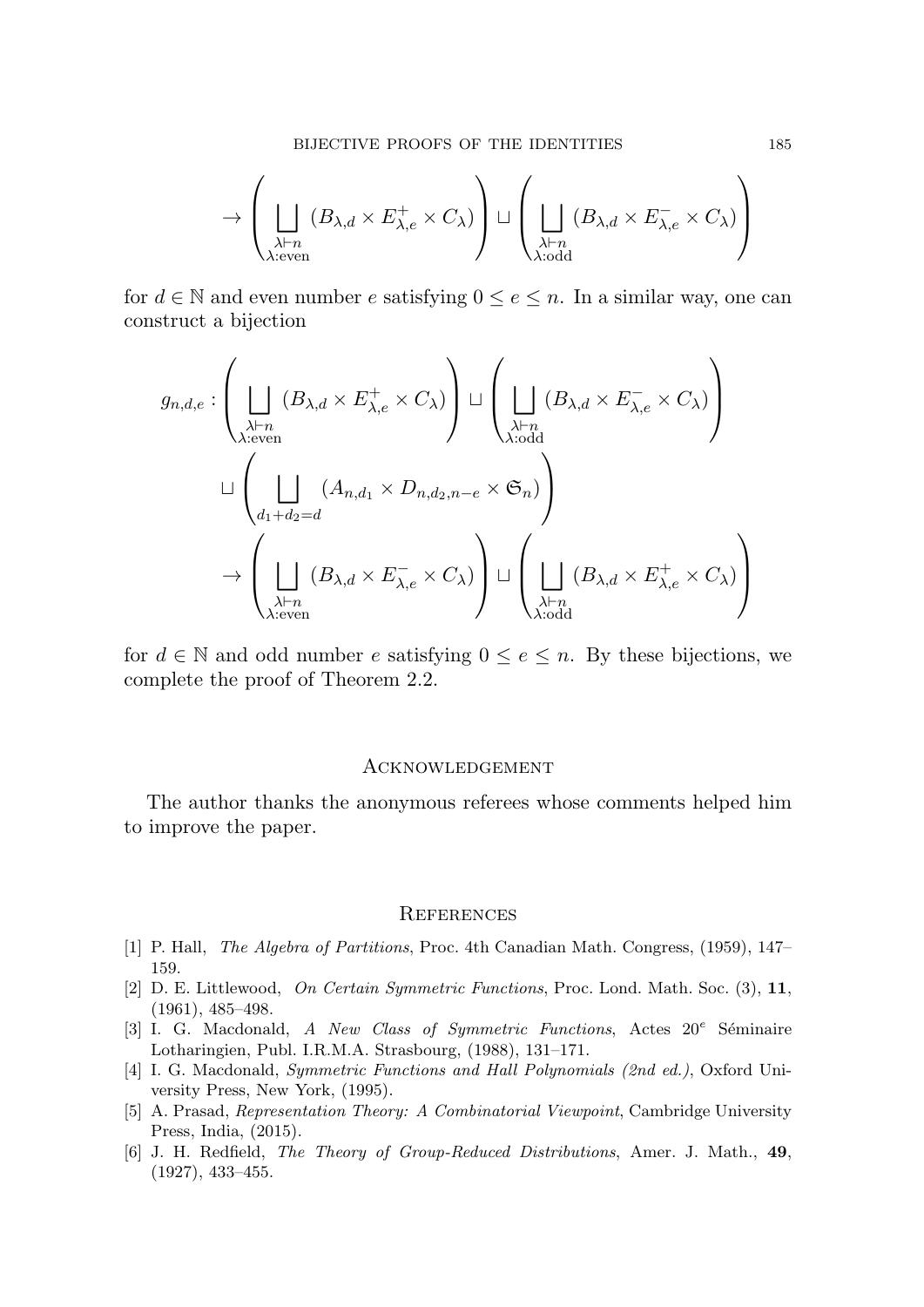$$
\to \left(\bigsqcup_{\substack{\lambda \vdash n \\ \lambda : \text{even}}} (B_{\lambda,d} \times E_{\lambda,e}^+ \times C_{\lambda})\right) \sqcup \left(\bigsqcup_{\substack{\lambda \vdash n \\ \lambda : \text{odd}}} (B_{\lambda,d} \times E_{\lambda,e}^- \times C_{\lambda})\right)
$$

for  $d \in \mathbb{N}$  and even number  $e$  satisfying  $0 \le e \le n$ . In a similar way, one can construct a bijection

$$
g_{n,d,e} : \left( \bigcup_{\substack{\lambda \vdash n \\ \lambda : \text{even}}} (B_{\lambda,d} \times E_{\lambda,e}^+ \times C_{\lambda}) \right) \sqcup \left( \bigcup_{\substack{\lambda \vdash n \\ \lambda : \text{odd}}} (B_{\lambda,d} \times E_{\lambda,e}^- \times C_{\lambda}) \right)
$$
  

$$
\sqcup \left( \bigcup_{d_1 + d_2 = d} (A_{n,d_1} \times D_{n,d_2,n-e} \times \mathfrak{S}_n) \right)
$$
  

$$
\rightarrow \left( \bigcup_{\substack{\lambda \vdash n \\ \lambda : \text{even}}} (B_{\lambda,d} \times E_{\lambda,e}^- \times C_{\lambda}) \right) \sqcup \left( \bigcup_{\substack{\lambda \vdash n \\ \lambda : \text{odd}}} (B_{\lambda,d} \times E_{\lambda,e}^+ \times C_{\lambda}) \right)
$$

for  $d \in \mathbb{N}$  and odd number  $e$  satisfying  $0 \le e \le n$ . By these bijections, we complete the proof of Theorem 2.2.

#### **ACKNOWLEDGEMENT**

The author thanks the anonymous referees whose comments helped him to improve the paper.

#### **REFERENCES**

- [1] P. Hall, *The Algebra of Partitions*, Proc. 4th Canadian Math. Congress, (1959), 147– 159.
- [2] D. E. Littlewood, *On Certain Symmetric Functions*, Proc. Lond. Math. Soc. (3), **11**, (1961), 485–498.
- [3] I. G. Macdonald, *A New Class of Symmetric Functions*, Actes 20<sup>e</sup> Séminaire Lotharingien, Publ. I.R.M.A. Strasbourg, (1988), 131–171.
- [4] I. G. Macdonald, *Symmetric Functions and Hall Polynomials (2nd ed.)*, Oxford University Press, New York, (1995).
- [5] A. Prasad, *Representation Theory: A Combinatorial Viewpoint*, Cambridge University Press, India, (2015).
- [6] J. H. Redfield, *The Theory of Group-Reduced Distributions*, Amer. J. Math., **49**, (1927), 433–455.